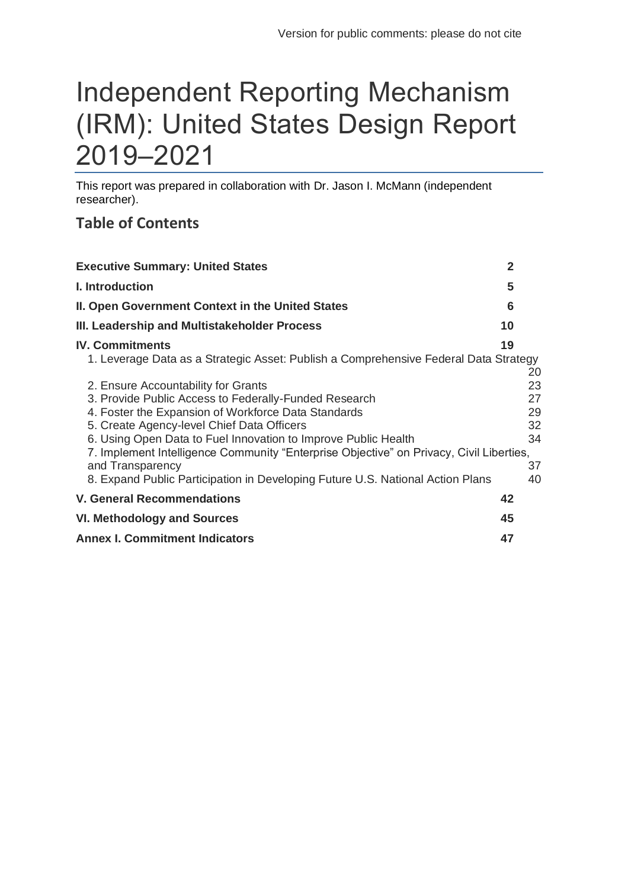# Independent Reporting Mechanism (IRM): United States Design Report 2019–2021

This report was prepared in collaboration with Dr. Jason I. McMann (independent researcher).

# **Table of Contents**

| <b>Executive Summary: United States</b>                                                                                                                                                                                                                                                                                                                                                                                                                              | $\mathbf{2}$ |                                              |
|----------------------------------------------------------------------------------------------------------------------------------------------------------------------------------------------------------------------------------------------------------------------------------------------------------------------------------------------------------------------------------------------------------------------------------------------------------------------|--------------|----------------------------------------------|
| I. Introduction                                                                                                                                                                                                                                                                                                                                                                                                                                                      | 5            |                                              |
| II. Open Government Context in the United States                                                                                                                                                                                                                                                                                                                                                                                                                     | 6            |                                              |
| III. Leadership and Multistakeholder Process                                                                                                                                                                                                                                                                                                                                                                                                                         | 10           |                                              |
| <b>IV. Commitments</b><br>1. Leverage Data as a Strategic Asset: Publish a Comprehensive Federal Data Strategy                                                                                                                                                                                                                                                                                                                                                       | 19           |                                              |
| 2. Ensure Accountability for Grants<br>3. Provide Public Access to Federally-Funded Research<br>4. Foster the Expansion of Workforce Data Standards<br>5. Create Agency-level Chief Data Officers<br>6. Using Open Data to Fuel Innovation to Improve Public Health<br>7. Implement Intelligence Community "Enterprise Objective" on Privacy, Civil Liberties,<br>and Transparency<br>8. Expand Public Participation in Developing Future U.S. National Action Plans |              | 20<br>23<br>27<br>29<br>32<br>34<br>37<br>40 |
| <b>V. General Recommendations</b>                                                                                                                                                                                                                                                                                                                                                                                                                                    | 42           |                                              |
| <b>VI. Methodology and Sources</b>                                                                                                                                                                                                                                                                                                                                                                                                                                   | 45           |                                              |
| <b>Annex I. Commitment Indicators</b>                                                                                                                                                                                                                                                                                                                                                                                                                                | 47           |                                              |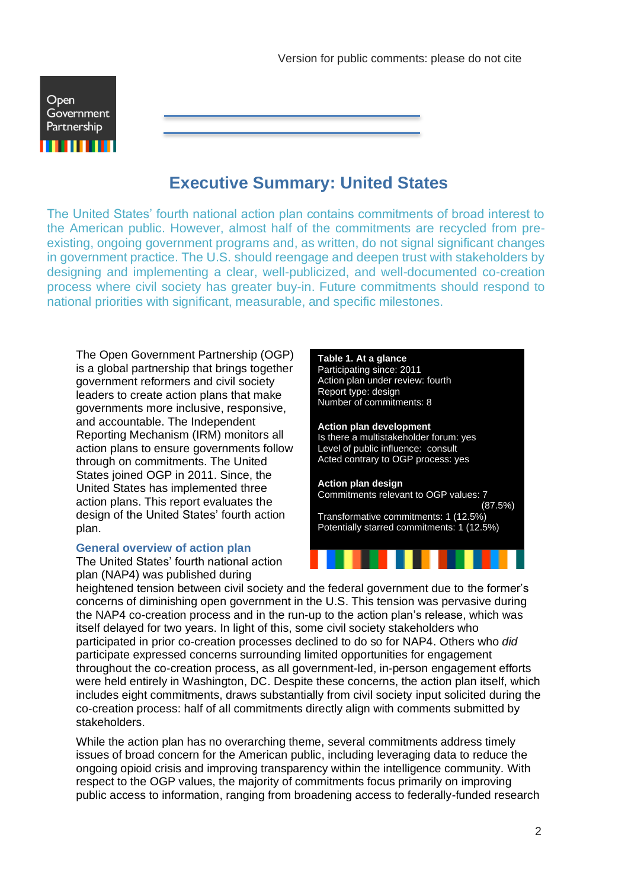

# **Executive Summary: United States**

<span id="page-1-0"></span>The United States' fourth national action plan contains commitments of broad interest to the American public. However, almost half of the commitments are recycled from preexisting, ongoing government programs and, as written, do not signal significant changes in government practice. The U.S. should reengage and deepen trust with stakeholders by designing and implementing a clear, well-publicized, and well-documented co-creation process where civil society has greater buy-in. Future commitments should respond to national priorities with significant, measurable, and specific milestones.

The Open Government Partnership (OGP) is a global partnership that brings together government reformers and civil society leaders to create action plans that make governments more inclusive, responsive, and accountable. The Independent Reporting Mechanism (IRM) monitors all action plans to ensure governments follow through on commitments. The United States joined OGP in 2011. Since, the United States has implemented three action plans. This report evaluates the design of the United States' fourth action plan.

#### **General overview of action plan**

The United States' fourth national action plan (NAP4) was published during

### **Table 1. At a glance** Participating since: 2011 Action plan under review: fourth Report type: design Number of commitments: 8 **Action plan development** Is there a multistakeholder forum: yes Level of public influence: consult Acted contrary to OGP process: yes **Action plan design** Commitments relevant to OGP values: 7  $(87.5\%)$ Transformative commitments: 1 (12.5%) Potentially starred commitments: 1 (12.5%)

heightened tension between civil society and the federal government due to the former's concerns of diminishing open government in the U.S. This tension was pervasive during the NAP4 co-creation process and in the run-up to the action plan's release, which was itself delayed for two years. In light of this, some civil society stakeholders who participated in prior co-creation processes declined to do so for NAP4. Others who *did* participate expressed concerns surrounding limited opportunities for engagement throughout the co-creation process, as all government-led, in-person engagement efforts were held entirely in Washington, DC. Despite these concerns, the action plan itself, which includes eight commitments, draws substantially from civil society input solicited during the co-creation process: half of all commitments directly align with comments submitted by stakeholders.

While the action plan has no overarching theme, several commitments address timely issues of broad concern for the American public, including leveraging data to reduce the ongoing opioid crisis and improving transparency within the intelligence community. With respect to the OGP values, the majority of commitments focus primarily on improving public access to information, ranging from broadening access to federally-funded research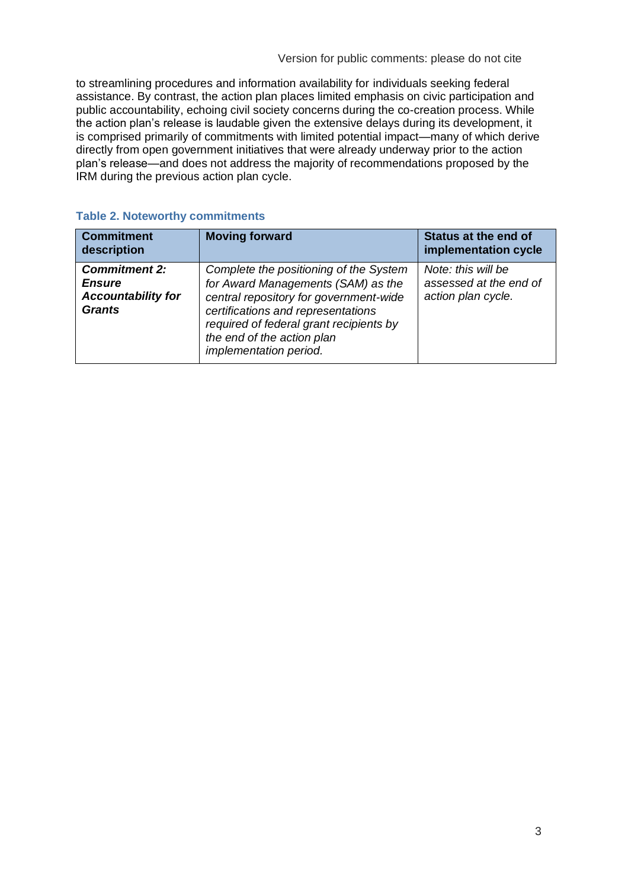to streamlining procedures and information availability for individuals seeking federal assistance. By contrast, the action plan places limited emphasis on civic participation and public accountability, echoing civil society concerns during the co-creation process. While the action plan's release is laudable given the extensive delays during its development, it is comprised primarily of commitments with limited potential impact—many of which derive directly from open government initiatives that were already underway prior to the action plan's release—and does not address the majority of recommendations proposed by the IRM during the previous action plan cycle.

| <b>Commitment</b><br>description                                                    | <b>Moving forward</b>                                                                                                                                                                                                                                           | <b>Status at the end of</b><br>implementation cycle                |
|-------------------------------------------------------------------------------------|-----------------------------------------------------------------------------------------------------------------------------------------------------------------------------------------------------------------------------------------------------------------|--------------------------------------------------------------------|
| <b>Commitment 2:</b><br><b>Ensure</b><br><b>Accountability for</b><br><b>Grants</b> | Complete the positioning of the System<br>for Award Managements (SAM) as the<br>central repository for government-wide<br>certifications and representations<br>required of federal grant recipients by<br>the end of the action plan<br>implementation period. | Note: this will be<br>assessed at the end of<br>action plan cycle. |

#### **Table 2. Noteworthy commitments**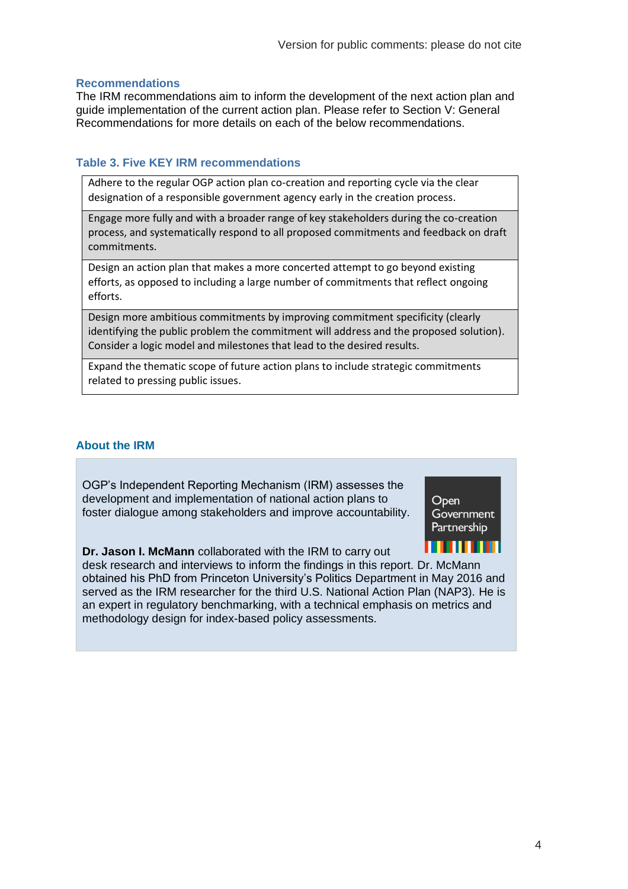#### **Recommendations**

The IRM recommendations aim to inform the development of the next action plan and guide implementation of the current action plan. Please refer to Section V: General Recommendations for more details on each of the below recommendations.

#### **Table 3. Five KEY IRM recommendations**

Adhere to the regular OGP action plan co-creation and reporting cycle via the clear designation of a responsible government agency early in the creation process.

Engage more fully and with a broader range of key stakeholders during the co-creation process, and systematically respond to all proposed commitments and feedback on draft commitments.

Design an action plan that makes a more concerted attempt to go beyond existing efforts, as opposed to including a large number of commitments that reflect ongoing efforts.

Design more ambitious commitments by improving commitment specificity (clearly identifying the public problem the commitment will address and the proposed solution). Consider a logic model and milestones that lead to the desired results.

Expand the thematic scope of future action plans to include strategic commitments related to pressing public issues.

#### **About the IRM**

OGP's Independent Reporting Mechanism (IRM) assesses the development and implementation of national action plans to foster dialogue among stakeholders and improve accountability.

**Dr. Jason I. McMann** collaborated with the IRM to carry out



desk research and interviews to inform the findings in this report. Dr. McMann obtained his PhD from Princeton University's Politics Department in May 2016 and served as the IRM researcher for the third U.S. National Action Plan (NAP3). He is an expert in regulatory benchmarking, with a technical emphasis on metrics and methodology design for index-based policy assessments.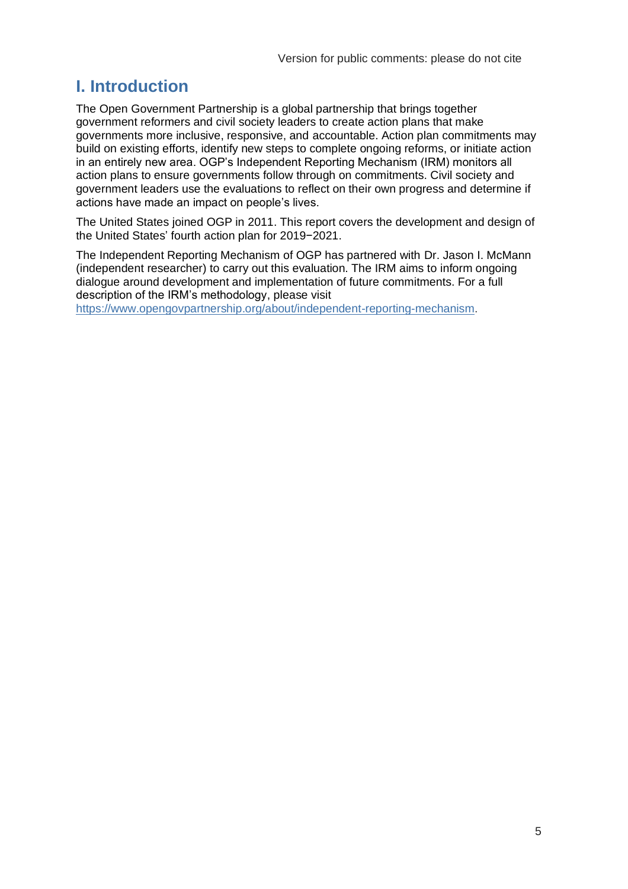# <span id="page-4-0"></span>**I. Introduction**

The Open Government Partnership is a global partnership that brings together government reformers and civil society leaders to create action plans that make governments more inclusive, responsive, and accountable. Action plan commitments may build on existing efforts, identify new steps to complete ongoing reforms, or initiate action in an entirely new area. OGP's Independent Reporting Mechanism (IRM) monitors all action plans to ensure governments follow through on commitments. Civil society and government leaders use the evaluations to reflect on their own progress and determine if actions have made an impact on people's lives.

The United States joined OGP in 2011. This report covers the development and design of the United States' fourth action plan for 2019−2021.

The Independent Reporting Mechanism of OGP has partnered with Dr. Jason I. McMann (independent researcher) to carry out this evaluation. The IRM aims to inform ongoing dialogue around development and implementation of future commitments. For a full description of the IRM's methodology, please visit

[https://www.opengovpartnership.org/about/independent-reporting-mechanism.](https://www.opengovpartnership.org/about/independent-reporting-mechanism)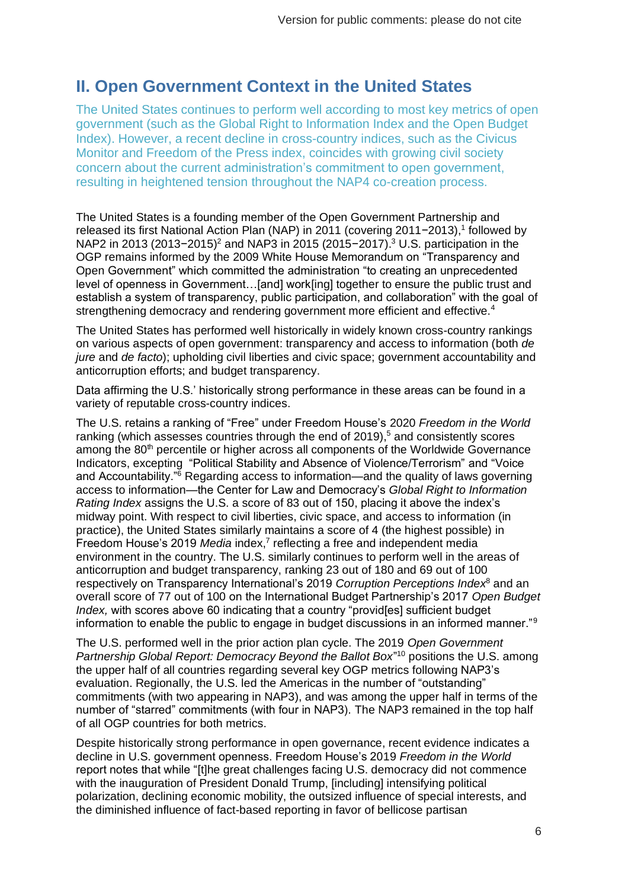# <span id="page-5-0"></span>**II. Open Government Context in the United States**

The United States continues to perform well according to most key metrics of open government (such as the Global Right to Information Index and the Open Budget Index). However, a recent decline in cross-country indices, such as the Civicus Monitor and Freedom of the Press index, coincides with growing civil society concern about the current administration's commitment to open government, resulting in heightened tension throughout the NAP4 co-creation process.

The United States is a founding member of the Open Government Partnership and released its first National Action Plan (NAP) in 2011 (covering 2011−2013), 1 followed by NAP2 in 2013 (2013−2015)<sup>2</sup> and NAP3 in 2015 (2015−2017).<sup>3</sup> U.S. participation in the OGP remains informed by the 2009 White House Memorandum on "Transparency and Open Government" which committed the administration "to creating an unprecedented level of openness in Government…[and] work[ing] together to ensure the public trust and establish a system of transparency, public participation, and collaboration" with the goal of strengthening democracy and rendering government more efficient and effective.<sup>4</sup>

The United States has performed well historically in widely known cross-country rankings on various aspects of open government: transparency and access to information (both *de jure* and *de facto*); upholding civil liberties and civic space; government accountability and anticorruption efforts; and budget transparency.

Data affirming the U.S.' historically strong performance in these areas can be found in a variety of reputable cross-country indices.

The U.S. retains a ranking of "Free" under Freedom House's 2020 *Freedom in the World*  ranking (which assesses countries through the end of 2019),<sup>5</sup> and consistently scores among the 80<sup>th</sup> percentile or higher across all components of the Worldwide Governance Indicators, excepting "Political Stability and Absence of Violence/Terrorism" and "Voice and Accountability."<sup>6</sup> Regarding access to information—and the quality of laws governing access to information—the Center for Law and Democracy's *Global Right to Information Rating Index* assigns the U.S. a score of 83 out of 150, placing it above the index's midway point. With respect to civil liberties, civic space, and access to information (in practice), the United States similarly maintains a score of 4 (the highest possible) in Freedom House's 2019 Media index,<sup>7</sup> reflecting a free and independent media environment in the country. The U.S. similarly continues to perform well in the areas of anticorruption and budget transparency, ranking 23 out of 180 and 69 out of 100 respectively on Transparency International's 2019 *Corruption Perceptions Index*<sup>8</sup> and an overall score of 77 out of 100 on the International Budget Partnership's 2017 *Open Budget Index,* with scores above 60 indicating that a country "provid[es] sufficient budget information to enable the public to engage in budget discussions in an informed manner."<sup>9</sup>

The U.S. performed well in the prior action plan cycle. The 2019 *Open Government*  Partnership Global Report: Democracy Beyond the Ballot Box<sup>"10</sup> positions the U.S. among the upper half of all countries regarding several key OGP metrics following NAP3's evaluation. Regionally, the U.S. led the Americas in the number of "outstanding" commitments (with two appearing in NAP3), and was among the upper half in terms of the number of "starred" commitments (with four in NAP3). The NAP3 remained in the top half of all OGP countries for both metrics.

Despite historically strong performance in open governance, recent evidence indicates a decline in U.S. government openness. Freedom House's 2019 *Freedom in the World*  report notes that while "[t]he great challenges facing U.S. democracy did not commence with the inauguration of President Donald Trump, [including] intensifying political polarization, declining economic mobility, the outsized influence of special interests, and the diminished influence of fact-based reporting in favor of bellicose partisan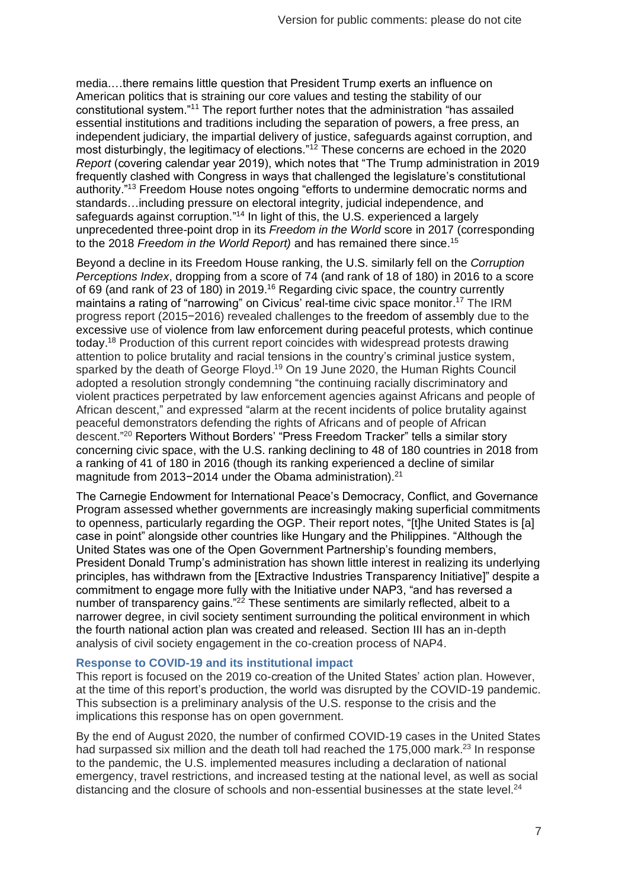media.…there remains little question that President Trump exerts an influence on American politics that is straining our core values and testing the stability of our constitutional system."<sup>11</sup> The report further notes that the administration "has assailed essential institutions and traditions including the separation of powers, a free press, an independent judiciary, the impartial delivery of justice, safeguards against corruption, and most disturbingly, the legitimacy of elections."<sup>12</sup> These concerns are echoed in the 2020 *Report* (covering calendar year 2019), which notes that "The Trump administration in 2019 frequently clashed with Congress in ways that challenged the legislature's constitutional authority."<sup>13</sup> Freedom House notes ongoing "efforts to undermine democratic norms and standards…including pressure on electoral integrity, judicial independence, and safeguards against corruption."<sup>14</sup> In light of this, the U.S. experienced a largely unprecedented three-point drop in its *Freedom in the World* score in 2017 (corresponding to the 2018 *Freedom in the World Report)* and has remained there since.<sup>15</sup>

Beyond a decline in its Freedom House ranking, the U.S. similarly fell on the *Corruption Perceptions Index*, dropping from a score of 74 (and rank of 18 of 180) in 2016 to a score of 69 (and rank of 23 of 180) in 2019.<sup>16</sup> Regarding civic space, the country currently maintains a rating of "narrowing" on Civicus' real-time civic space monitor.<sup>17</sup> The IRM progress report (2015−2016) revealed challenges to the freedom of assembly due to the excessive use of violence from law enforcement during peaceful protests, which continue today.<sup>18</sup> Production of this current report coincides with widespread protests drawing attention to police brutality and racial tensions in the country's criminal justice system, sparked by the death of George Floyd.<sup>19</sup> On 19 June 2020, the Human Rights Council adopted a resolution strongly condemning "the continuing racially discriminatory and violent practices perpetrated by law enforcement agencies against Africans and people of African descent," and expressed "alarm at the recent incidents of police brutality against peaceful demonstrators defending the rights of Africans and of people of African descent." <sup>20</sup> Reporters Without Borders' "Press Freedom Tracker" tells a similar story concerning civic space, with the U.S. ranking declining to 48 of 180 countries in 2018 from a ranking of 41 of 180 in 2016 (though its ranking experienced a decline of similar magnitude from 2013-2014 under the Obama administration).<sup>21</sup>

The Carnegie Endowment for International Peace's Democracy, Conflict, and Governance Program assessed whether governments are increasingly making superficial commitments to openness, particularly regarding the OGP. Their report notes, "[t]he United States is [a] case in point" alongside other countries like Hungary and the Philippines. "Although the United States was one of the Open Government Partnership's founding members, President Donald Trump's administration has shown little interest in realizing its underlying principles, has withdrawn from the [Extractive Industries Transparency Initiative]" despite a commitment to engage more fully with the Initiative under NAP3, "and has reversed a number of transparency gains."<sup>22</sup> These sentiments are similarly reflected, albeit to a narrower degree, in civil society sentiment surrounding the political environment in which the fourth national action plan was created and released. Section III has an in-depth analysis of civil society engagement in the co-creation process of NAP4.

#### **Response to COVID-19 and its institutional impact**

This report is focused on the 2019 co-creation of the United States' action plan. However, at the time of this report's production, the world was disrupted by the COVID-19 pandemic. This subsection is a preliminary analysis of the U.S. response to the crisis and the implications this response has on open government.

By the end of August 2020, the number of confirmed COVID-19 cases in the United States had surpassed six million and the death toll had reached the 175,000 mark.<sup>23</sup> In response to the pandemic, the U.S. implemented measures including a declaration of national emergency, travel restrictions, and increased testing at the national level, as well as social distancing and the closure of schools and non-essential businesses at the state level.<sup>24</sup>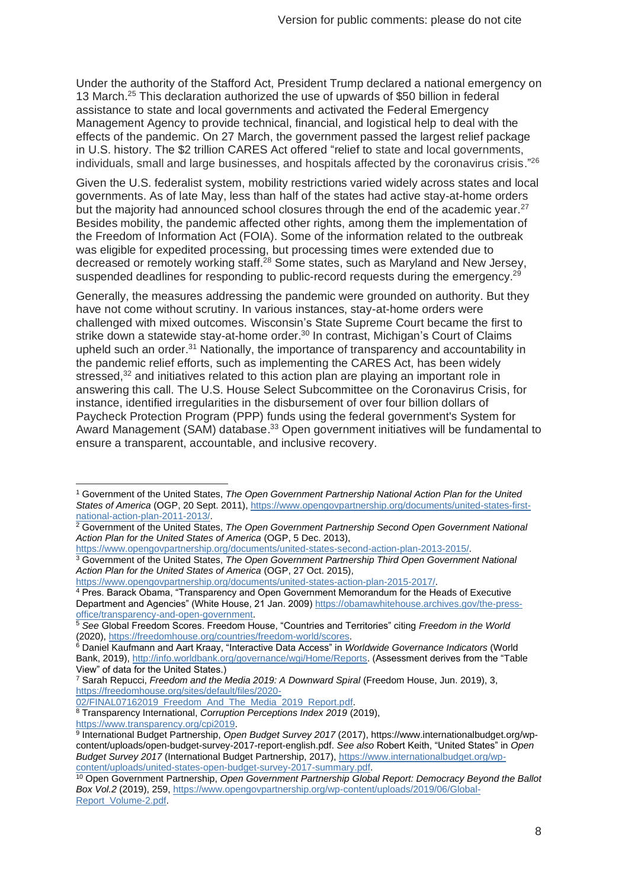Under the authority of the Stafford Act, President Trump declared a national emergency on 13 March. <sup>25</sup> This declaration authorized the use of upwards of \$50 billion in federal assistance to state and local governments and activated the Federal Emergency Management Agency to provide technical, financial, and logistical help to deal with the effects of the pandemic. On 27 March, the government passed the largest relief package in U.S. history. The \$2 trillion CARES Act offered "relief to state and local governments, individuals, small and large businesses, and hospitals affected by the coronavirus crisis."<sup>26</sup>

Given the U.S. federalist system, mobility restrictions varied widely across states and local governments. As of late May, less than half of the states had active stay-at-home orders but the majority had announced school closures through the end of the academic year.<sup>27</sup> Besides mobility, the pandemic affected other rights, among them the implementation of the Freedom of Information Act (FOIA). Some of the information related to the outbreak was eligible for expedited processing, but processing times were extended due to decreased or remotely working staff.<sup>28</sup> Some states, such as Maryland and New Jersey, suspended deadlines for responding to public-record requests during the emergency.<sup>29</sup>

Generally, the measures addressing the pandemic were grounded on authority. But they have not come without scrutiny. In various instances, stay-at-home orders were challenged with mixed outcomes. Wisconsin's State Supreme Court became the first to strike down a statewide stay-at-home order.<sup>30</sup> In contrast, Michigan's Court of Claims upheld such an order.<sup>31</sup> Nationally, the importance of transparency and accountability in the pandemic relief efforts, such as implementing the CARES Act, has been widely stressed,<sup>32</sup> and initiatives related to this action plan are playing an important role in answering this call. The U.S. House Select Subcommittee on the Coronavirus Crisis, for instance, identified irregularities in the disbursement of over four billion dollars of Paycheck Protection Program (PPP) funds using the federal government's System for Award Management (SAM) database.<sup>33</sup> Open government initiatives will be fundamental to ensure a transparent, accountable, and inclusive recovery.

[https://www.opengovpartnership.org/documents/united-states-action-plan-2015-2017/.](https://www.opengovpartnership.org/documents/united-states-action-plan-2015-2017/)

[02/FINAL07162019\\_Freedom\\_And\\_The\\_Media\\_2019\\_Report.pdf.](https://freedomhouse.org/sites/default/files/2020-02/FINAL07162019_Freedom_And_The_Media_2019_Report.pdf)

<sup>1</sup> Government of the United States, *The Open Government Partnership National Action Plan for the United States of America* (OGP, 20 Sept. 2011)[, https://www.opengovpartnership.org/documents/united-states-first](https://www.opengovpartnership.org/documents/united-states-first-national-action-plan-2011-2013/)[national-action-plan-2011-2013/.](https://www.opengovpartnership.org/documents/united-states-first-national-action-plan-2011-2013/)

<sup>2</sup> Government of the United States, *The Open Government Partnership Second Open Government National Action Plan for the United States of America* (OGP, 5 Dec. 2013),

[https://www.opengovpartnership.org/documents/united-states-second-action-plan-2013-2015/.](https://www.opengovpartnership.org/documents/united-states-second-action-plan-2013-2015/)

<sup>3</sup> Government of the United States, *The Open Government Partnership Third Open Government National Action Plan for the United States of America* (OGP, 27 Oct. 2015),

<sup>4</sup> Pres. Barack Obama, "Transparency and Open Government Memorandum for the Heads of Executive Department and Agencies" (White House, 21 Jan. 2009[\) https://obamawhitehouse.archives.gov/the-press](https://obamawhitehouse.archives.gov/the-press-office/transparency-and-open-government)[office/transparency-and-open-government.](https://obamawhitehouse.archives.gov/the-press-office/transparency-and-open-government)

<sup>5</sup> *See* Global Freedom Scores. Freedom House, "Countries and Territories" citing *Freedom in the World*  (2020), [https://freedomhouse.org/countries/freedom-world/scores.](https://freedomhouse.org/countries/freedom-world/scores)

<sup>6</sup> Daniel Kaufmann and Aart Kraay, "Interactive Data Access" in *Worldwide Governance Indicators* (World Bank, 2019)[, http://info.worldbank.org/governance/wgi/Home/Reports.](http://info.worldbank.org/governance/wgi/Home/Reports) (Assessment derives from the "Table View" of data for the United States.)

<sup>7</sup> Sarah Repucci, *Freedom and the Media 2019: A Downward Spiral* (Freedom House, Jun. 2019), 3, [https://freedomhouse.org/sites/default/files/2020-](https://freedomhouse.org/sites/default/files/2020-02/FINAL07162019_Freedom_And_The_Media_2019_Report.pdf)

<sup>8</sup> Transparency International, *Corruption Perceptions Index 2019* (2019),

[https://www.transparency.org/cpi2019.](https://www.transparency.org/cpi2019) 9 International Budget Partnership, *Open Budget Survey 2017* (2017), https://www.internationalbudget.org/wpcontent/uploads/open-budget-survey-2017-report-english.pdf. *See also* Robert Keith, "United States" in *Open Budget Survey 2017* (International Budget Partnership, 2017), [https://www.internationalbudget.org/wp](https://www.internationalbudget.org/wp-content/uploads/united-states-open-budget-survey-2017-summary.pdf)[content/uploads/united-states-open-budget-survey-2017-summary.pdf.](https://www.internationalbudget.org/wp-content/uploads/united-states-open-budget-survey-2017-summary.pdf)

<sup>10</sup> Open Government Partnership, *Open Government Partnership Global Report: Democracy Beyond the Ballot Box Vol.2* (2019), 259, [https://www.opengovpartnership.org/wp-content/uploads/2019/06/Global-](https://www.opengovpartnership.org/wp-content/uploads/2019/06/Global-Report_Volume-2.pdf)[Report\\_Volume-2.pdf.](https://www.opengovpartnership.org/wp-content/uploads/2019/06/Global-Report_Volume-2.pdf)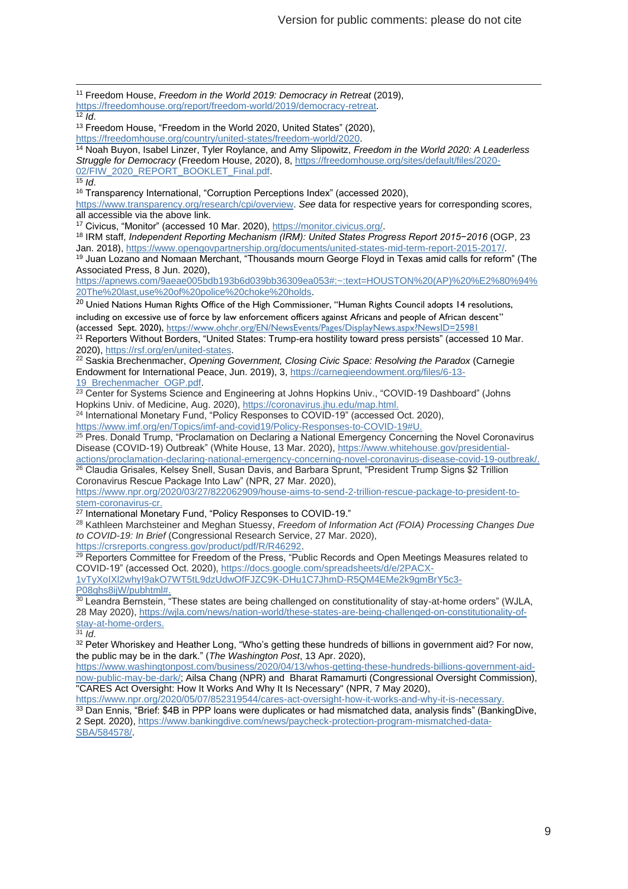<sup>11</sup> Freedom House, *Freedom in the World 2019: Democracy in Retreat* (2019), [https://freedomhouse.org/report/freedom-world/2019/democracy-retreat.](https://freedomhouse.org/report/freedom-world/2019/democracy-retreat)

 $\overline{12}$  *Id.* 

<sup>13</sup> Freedom House, "Freedom in the World 2020, United States" (2020),

[https://freedomhouse.org/country/united-states/freedom-world/2020.](https://freedomhouse.org/country/united-states/freedom-world/2020)

<sup>14</sup> Noah Buyon, Isabel Linzer, Tyler Roylance, and Amy Slipowitz, *Freedom in the World 2020: A Leaderless Struggle for Democracy* (Freedom House, 2020), 8[, https://freedomhouse.org/sites/default/files/2020-](https://freedomhouse.org/sites/default/files/2020-02/FIW_2020_REPORT_BOOKLET_Final.pdf) [02/FIW\\_2020\\_REPORT\\_BOOKLET\\_Final.pdf.](https://freedomhouse.org/sites/default/files/2020-02/FIW_2020_REPORT_BOOKLET_Final.pdf)

 $\overline{15}$  *Id.* 

<sup>16</sup> Transparency International, "Corruption Perceptions Index" (accessed 2020),

[https://www.transparency.org/research/cpi/overview.](https://www.transparency.org/research/cpi/overview) *See* data for respective years for corresponding scores, all accessible via the above link.

<sup>17</sup> Civicus, "Monitor" (accessed 10 Mar. 2020), [https://monitor.civicus.org/.](https://monitor.civicus.org/)

<sup>18</sup> IRM staff, *Independent Reporting Mechanism (IRM): United States Progress Report 2015−2016* (OGP, 23 Jan. 2018)[, https://www.opengovpartnership.org/documents/united-states-mid-term-report-2015-2017/.](https://www.opengovpartnership.org/documents/united-states-mid-term-report-2015-2017/)

<sup>19</sup> Juan Lozano and Nomaan Merchant, "Thousands mourn George Floyd in Texas amid calls for reform" (The Associated Press, 8 Jun. 2020),

[https://apnews.com/9aeae005bdb193b6d039bb36309ea053#:~:text=HOUSTON%20\(AP\)%20%E2%80%94%](https://apnews.com/9aeae005bdb193b6d039bb36309ea053#:~:text=HOUSTON%20(AP)%20%E2%80%94%20The%20last,use%20of%20police%20choke%20holds) [20The%20last,use%20of%20police%20choke%20holds.](https://apnews.com/9aeae005bdb193b6d039bb36309ea053#:~:text=HOUSTON%20(AP)%20%E2%80%94%20The%20last,use%20of%20police%20choke%20holds)

 $20$  Unied Nations Human Rights Office of the High Commissioner, "Human Rights Council adopts 14 resolutions, including on excessive use of force by law enforcement officers against Africans and people of African descent" (accessed Sept. 2020)[, https://www.ohchr.org/EN/NewsEvents/Pages/DisplayNews.aspx?NewsID=25981](https://www.ohchr.org/EN/NewsEvents/Pages/DisplayNews.aspx?NewsID=25981)

<sup>21</sup> Reporters Without Borders, "United States: Trump-era hostility toward press persists" (accessed 10 Mar. 2020), [https://rsf.org/en/united-states.](https://rsf.org/en/united-states)

<sup>22</sup> Saskia Brechenmacher, *Opening Government, Closing Civic Space: Resolving the Paradox* (Carnegie Endowment for International Peace, Jun. 2019), 3, [https://carnegieendowment.org/files/6-13-](https://carnegieendowment.org/files/6-13-19_Brechenmacher_OGP.pdf) 19 Brechenmacher OGP.pdf.

 $^{23}$  Center for Systems Science and Engineering at Johns Hopkins Univ., "COVID-19 Dashboard" (Johns Hopkins Univ. of Medicine, Aug. 2020), [https://coronavirus.jhu.edu/map.html.](https://coronavirus.jhu.edu/map.html)

<sup>24</sup> International Monetary Fund, "Policy Responses to COVID-19" (accessed Oct. 2020), [https://www.imf.org/en/Topics/imf-and-covid19/Policy-Responses-to-COVID-19#U.](https://www.imf.org/en/Topics/imf-and-covid19/Policy-Responses-to-COVID-19#U)

<sup>25</sup> Pres. Donald Trump, "Proclamation on Declaring a National Emergency Concerning the Novel Coronavirus Disease (COVID-19) Outbreak" (White House, 13 Mar. 2020), [https://www.whitehouse.gov/presidential](https://www.whitehouse.gov/presidential-actions/proclamation-declaring-national-emergency-concerning-novel-coronavirus-disease-covid-19-outbreak/)[actions/proclamation-declaring-national-emergency-concerning-novel-coronavirus-disease-covid-19-outbreak/.](https://www.whitehouse.gov/presidential-actions/proclamation-declaring-national-emergency-concerning-novel-coronavirus-disease-covid-19-outbreak/)

 $^{26}$  Claudia Grisales, Kelsey Snell, Susan Davis, and Barbara Sprunt, "President Trump Signs \$2 Trillion Coronavirus Rescue Package Into Law" (NPR, 27 Mar. 2020),

[https://www.npr.org/2020/03/27/822062909/house-aims-to-send-2-trillion-rescue-package-to-president-to](https://www.npr.org/2020/03/27/822062909/house-aims-to-send-2-trillion-rescue-package-to-president-to-stem-coronavirus-cr)[stem-coronavirus-cr.](https://www.npr.org/2020/03/27/822062909/house-aims-to-send-2-trillion-rescue-package-to-president-to-stem-coronavirus-cr)

<sup>27</sup> International Monetary Fund, "Policy Responses to COVID-19."

<sup>28</sup> Kathleen Marchsteiner and Meghan Stuessy, *Freedom of Information Act (FOIA) Processing Changes Due to COVID-19: In Brief* (Congressional Research Service, 27 Mar. 2020),

[https://crsreports.congress.gov/product/pdf/R/R46292.](https://crsreports.congress.gov/product/pdf/R/R46292)  $^{29}$  Reporters Committee for Freedom of the Press, "Public Records and Open Meetings Measures related to COVID-19" (accessed Oct. 2020)[, https://docs.google.com/spreadsheets/d/e/2PACX-](https://docs.google.com/spreadsheets/d/e/2PACX-1vTyXoIXl2whyI9akO7WT5tL9dzUdwOfFJZC9K-DHu1C7JhmD-R5QM4EMe2k9gmBrY5c3-P08qhs8ijW/pubhtml)

[1vTyXoIXl2whyI9akO7WT5tL9dzUdwOfFJZC9K-DHu1C7JhmD-R5QM4EMe2k9gmBrY5c3-](https://docs.google.com/spreadsheets/d/e/2PACX-1vTyXoIXl2whyI9akO7WT5tL9dzUdwOfFJZC9K-DHu1C7JhmD-R5QM4EMe2k9gmBrY5c3-P08qhs8ijW/pubhtml)

[P08qhs8ijW/pubhtml#.](https://docs.google.com/spreadsheets/d/e/2PACX-1vTyXoIXl2whyI9akO7WT5tL9dzUdwOfFJZC9K-DHu1C7JhmD-R5QM4EMe2k9gmBrY5c3-P08qhs8ijW/pubhtml)

<sup>30</sup> Leandra Bernstein, "These states are being challenged on constitutionality of stay-at-home orders" (WJLA, 28 May 2020), [https://wjla.com/news/nation-world/these-states-are-being-challenged-on-constitutionality-of](https://wjla.com/news/nation-world/these-states-are-being-challenged-on-constitutionality-of-stay-at-home-orders)[stay-at-home-orders.](https://wjla.com/news/nation-world/these-states-are-being-challenged-on-constitutionality-of-stay-at-home-orders)

<sup>31</sup> *Id*.

32 Peter Whoriskey and Heather Long, "Who's getting these hundreds of billions in government aid? For now, the public may be in the dark." (*The Washington Post*, 13 Apr. 2020),

[https://www.washingtonpost.com/business/2020/04/13/whos-getting-these-hundreds-billions-government-aid](https://www.washingtonpost.com/business/2020/04/13/whos-getting-these-hundreds-billions-government-aid-now-public-may-be-dark/)[now-public-may-be-dark/;](https://www.washingtonpost.com/business/2020/04/13/whos-getting-these-hundreds-billions-government-aid-now-public-may-be-dark/) Ailsa Chang (NPR) and Bharat Ramamurti (Congressional Oversight Commission), "CARES Act Oversight: How It Works And Why It Is Necessary" (NPR, 7 May 2020),

[https://www.npr.org/2020/05/07/852319544/cares-act-oversight-how-it-works-and-why-it-is-necessary.](https://www.npr.org/2020/05/07/852319544/cares-act-oversight-how-it-works-and-why-it-is-necessary)

33 Dan Ennis, "Brief: \$4B in PPP loans were duplicates or had mismatched data, analysis finds" (BankingDive, 2 Sept. 2020), [https://www.bankingdive.com/news/paycheck-protection-program-mismatched-data-](https://www.bankingdive.com/news/paycheck-protection-program-mismatched-data-SBA/584578/)[SBA/584578/.](https://www.bankingdive.com/news/paycheck-protection-program-mismatched-data-SBA/584578/)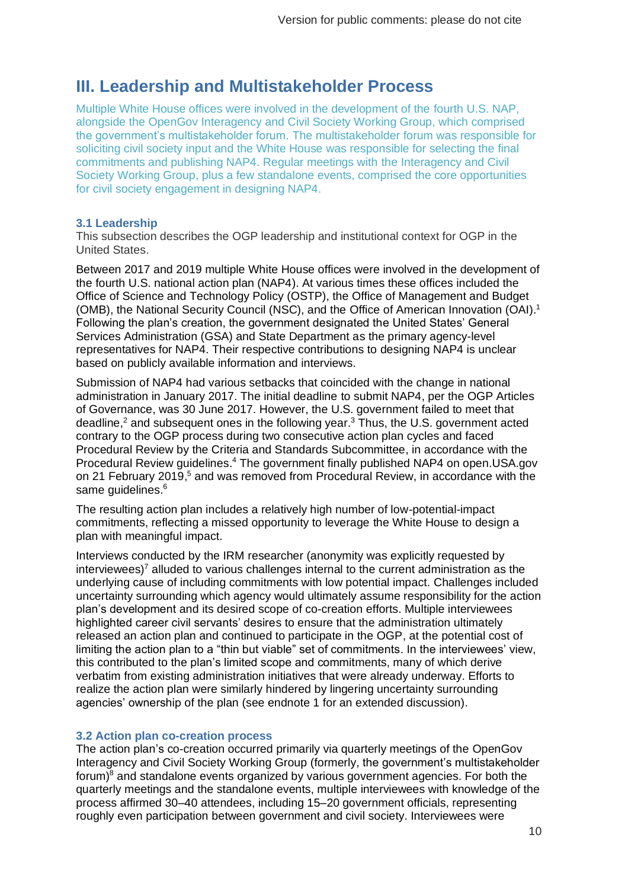# <span id="page-9-0"></span>**III. Leadership and Multistakeholder Process**

Multiple White House offices were involved in the development of the fourth U.S. NAP, alongside the OpenGov Interagency and Civil Society Working Group, which comprised the government's multistakeholder forum. The multistakeholder forum was responsible for soliciting civil society input and the White House was responsible for selecting the final commitments and publishing NAP4. Regular meetings with the Interagency and Civil Society Working Group, plus a few standalone events, comprised the core opportunities for civil society engagement in designing NAP4.

#### **3.1 Leadership**

This subsection describes the OGP leadership and institutional context for OGP in the United States.

Between 2017 and 2019 multiple White House offices were involved in the development of the fourth U.S. national action plan (NAP4). At various times these offices included the Office of Science and Technology Policy (OSTP), the Office of Management and Budget (OMB), the National Security Council (NSC), and the Office of American Innovation (OAI). 1 Following the plan's creation, the government designated the United States' General Services Administration (GSA) and State Department as the primary agency-level representatives for NAP4. Their respective contributions to designing NAP4 is unclear based on publicly available information and interviews.

Submission of NAP4 had various setbacks that coincided with the change in national administration in January 2017. The initial deadline to submit NAP4, per the OGP Articles of Governance, was 30 June 2017. However, the U.S. government failed to meet that deadline,<sup>2</sup> and subsequent ones in the following year.<sup>3</sup> Thus, the U.S. government acted contrary to the OGP process during two consecutive action plan cycles and faced Procedural Review by the Criteria and Standards Subcommittee, in accordance with the Procedural Review guidelines.<sup>4</sup> The government finally published NAP4 on open.USA.gov on 21 February 2019,<sup>5</sup> and was removed from Procedural Review, in accordance with the same guidelines.<sup>6</sup>

The resulting action plan includes a relatively high number of low-potential-impact commitments, reflecting a missed opportunity to leverage the White House to design a plan with meaningful impact.

Interviews conducted by the IRM researcher (anonymity was explicitly requested by interviewees)<sup>7</sup> alluded to various challenges internal to the current administration as the underlying cause of including commitments with low potential impact. Challenges included uncertainty surrounding which agency would ultimately assume responsibility for the action plan's development and its desired scope of co-creation efforts. Multiple interviewees highlighted career civil servants' desires to ensure that the administration ultimately released an action plan and continued to participate in the OGP, at the potential cost of limiting the action plan to a "thin but viable" set of commitments. In the interviewees' view, this contributed to the plan's limited scope and commitments, many of which derive verbatim from existing administration initiatives that were already underway. Efforts to realize the action plan were similarly hindered by lingering uncertainty surrounding agencies' ownership of the plan (see endnote 1 for an extended discussion).

#### **3.2 Action plan co-creation process**

The action plan's co-creation occurred primarily via quarterly meetings of the OpenGov Interagency and Civil Society Working Group (formerly, the government's multistakeholder forum)<sup>8</sup> and standalone events organized by various government agencies. For both the quarterly meetings and the standalone events, multiple interviewees with knowledge of the process affirmed 30–40 attendees, including 15–20 government officials, representing roughly even participation between government and civil society. Interviewees were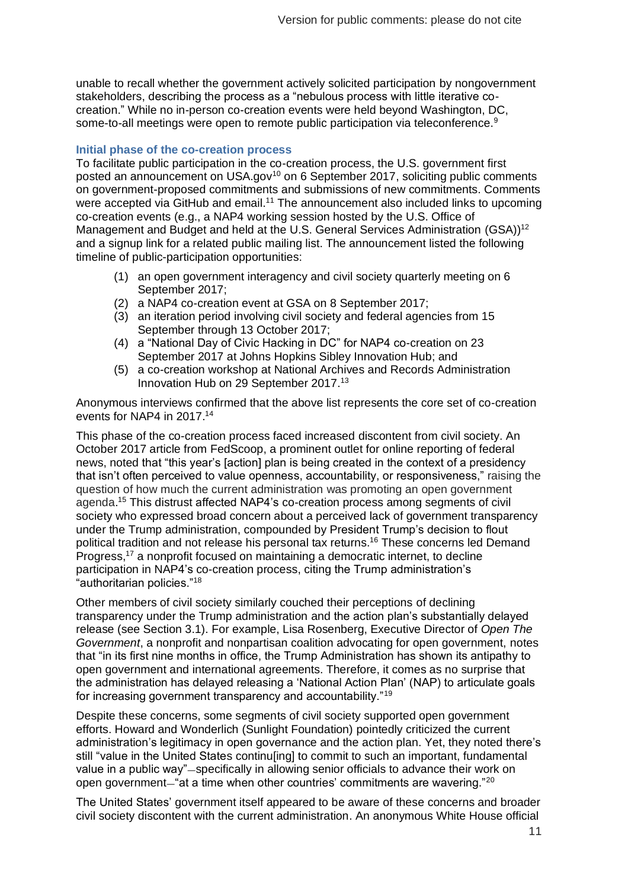unable to recall whether the government actively solicited participation by nongovernment stakeholders, describing the process as a "nebulous process with little iterative cocreation." While no in-person co-creation events were held beyond Washington, DC, some-to-all meetings were open to remote public participation via teleconference.<sup>9</sup>

#### **Initial phase of the co-creation process**

To facilitate public participation in the co-creation process, the U.S. government first posted an announcement on USA.gov<sup>10</sup> on 6 September 2017, soliciting public comments on government-proposed commitments and submissions of new commitments. Comments were accepted via GitHub and email.<sup>11</sup> The announcement also included links to upcoming co-creation events (e.g., a NAP4 working session hosted by the U.S. Office of Management and Budget and held at the U.S. General Services Administration (GSA))<sup>12</sup> and a signup link for a related public mailing list. The announcement listed the following timeline of public-participation opportunities:

- (1) an open government interagency and civil society quarterly meeting on 6 September 2017;
- (2) a NAP4 co-creation event at GSA on 8 September 2017;
- (3) an iteration period involving civil society and federal agencies from 15 September through 13 October 2017;
- (4) a "National Day of Civic Hacking in DC" for NAP4 co-creation on 23 September 2017 at Johns Hopkins Sibley Innovation Hub; and
- (5) a co-creation workshop at National Archives and Records Administration Innovation Hub on 29 September 2017.<sup>13</sup>

Anonymous interviews confirmed that the above list represents the core set of co-creation events for NAP4 in 2017. 14

This phase of the co-creation process faced increased discontent from civil society. An October 2017 article from FedScoop, a prominent outlet for online reporting of federal news, noted that "this year's [action] plan is being created in the context of a presidency that isn't often perceived to value openness, accountability, or responsiveness," raising the question of how much the current administration was promoting an open government agenda. <sup>15</sup> This distrust affected NAP4's co-creation process among segments of civil society who expressed broad concern about a perceived lack of government transparency under the Trump administration, compounded by President Trump's decision to flout political tradition and not release his personal tax returns.<sup>16</sup> These concerns led Demand Progress,<sup>17</sup> a nonprofit focused on maintaining a democratic internet, to decline participation in NAP4's co-creation process, citing the Trump administration's "authoritarian policies."<sup>18</sup>

Other members of civil society similarly couched their perceptions of declining transparency under the Trump administration and the action plan's substantially delayed release (see Section 3.1). For example, Lisa Rosenberg, Executive Director of *Open The Government*, a nonprofit and nonpartisan coalition advocating for open government, notes that "in its first nine months in office, the Trump Administration has shown its antipathy to open government and international agreements. Therefore, it comes as no surprise that the administration has delayed releasing a 'National Action Plan' (NAP) to articulate goals for increasing government transparency and accountability."<sup>19</sup>

Despite these concerns, some segments of civil society supported open government efforts. Howard and Wonderlich (Sunlight Foundation) pointedly criticized the current administration's legitimacy in open governance and the action plan. Yet, they noted there's still "value in the United States continu[ing] to commit to such an important, fundamental value in a public way"—specifically in allowing senior officials to advance their work on open government—"at a time when other countries' commitments are wavering."<sup>20</sup>

The United States' government itself appeared to be aware of these concerns and broader civil society discontent with the current administration. An anonymous White House official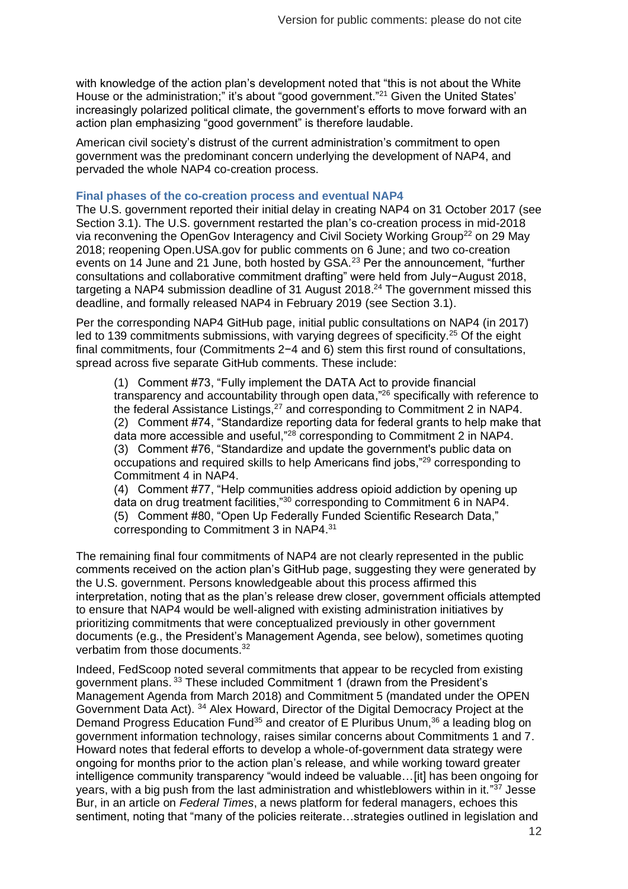with knowledge of the action plan's development noted that "this is not about the White House or the administration;" it's about "good government."<sup>21</sup> Given the United States' increasingly polarized political climate, the government's efforts to move forward with an action plan emphasizing "good government" is therefore laudable.

American civil society's distrust of the current administration's commitment to open government was the predominant concern underlying the development of NAP4, and pervaded the whole NAP4 co-creation process.

#### **Final phases of the co-creation process and eventual NAP4**

The U.S. government reported their initial delay in creating NAP4 on 31 October 2017 (see Section 3.1). The U.S. government restarted the plan's co-creation process in mid-2018 via reconvening the OpenGov Interagency and Civil Society Working Group<sup>22</sup> on 29 May 2018; reopening Open.USA.gov for public comments on 6 June; and two co-creation events on 14 June and 21 June, both hosted by GSA.<sup>23</sup> Per the announcement, "further consultations and collaborative commitment drafting" were held from July−August 2018, targeting a NAP4 submission deadline of 31 August 2018.<sup>24</sup> The government missed this deadline, and formally released NAP4 in February 2019 (see Section 3.1).

Per the corresponding NAP4 GitHub page, initial public consultations on NAP4 (in 2017) led to 139 commitments submissions, with varying degrees of specificity.<sup>25</sup> Of the eight final commitments, four (Commitments 2−4 and 6) stem this first round of consultations, spread across five separate GitHub comments. These include:

(1) Comment #73, "Fully implement the DATA Act to provide financial transparency and accountability through open data,"<sup>26</sup> specifically with reference to the federal Assistance Listings,<sup>27</sup> and corresponding to Commitment 2 in NAP4. (2) Comment #74, "Standardize reporting data for federal grants to help make that data more accessible and useful,"<sup>28</sup> corresponding to Commitment 2 in NAP4. (3) Comment #76, "Standardize and update the government's public data on occupations and required skills to help Americans find jobs,"<sup>29</sup> corresponding to Commitment 4 in NAP4.

(4) Comment #77, "Help communities address opioid addiction by opening up data on drug treatment facilities,"<sup>30</sup> corresponding to Commitment 6 in NAP4. (5) Comment #80, "Open Up Federally Funded Scientific Research Data," corresponding to Commitment 3 in NAP4.<sup>31</sup>

The remaining final four commitments of NAP4 are not clearly represented in the public comments received on the action plan's GitHub page, suggesting they were generated by the U.S. government. Persons knowledgeable about this process affirmed this interpretation, noting that as the plan's release drew closer, government officials attempted to ensure that NAP4 would be well-aligned with existing administration initiatives by prioritizing commitments that were conceptualized previously in other government documents (e.g., the President's Management Agenda, see below), sometimes quoting verbatim from those documents.<sup>32</sup>

Indeed, FedScoop noted several commitments that appear to be recycled from existing government plans.<sup>33</sup> These included Commitment 1 (drawn from the President's Management Agenda from March 2018) and Commitment 5 (mandated under the OPEN Government Data Act). <sup>34</sup> Alex Howard, Director of the Digital Democracy Project at the Demand Progress Education Fund<sup>35</sup> and creator of E Pluribus Unum,<sup>36</sup> a leading blog on government information technology, raises similar concerns about Commitments 1 and 7. Howard notes that federal efforts to develop a whole-of-government data strategy were ongoing for months prior to the action plan's release, and while working toward greater intelligence community transparency "would indeed be valuable…[it] has been ongoing for years, with a big push from the last administration and whistleblowers within in it."<sup>37</sup> Jesse Bur, in an article on *Federal Times*, a news platform for federal managers, echoes this sentiment, noting that "many of the policies reiterate...strategies outlined in legislation and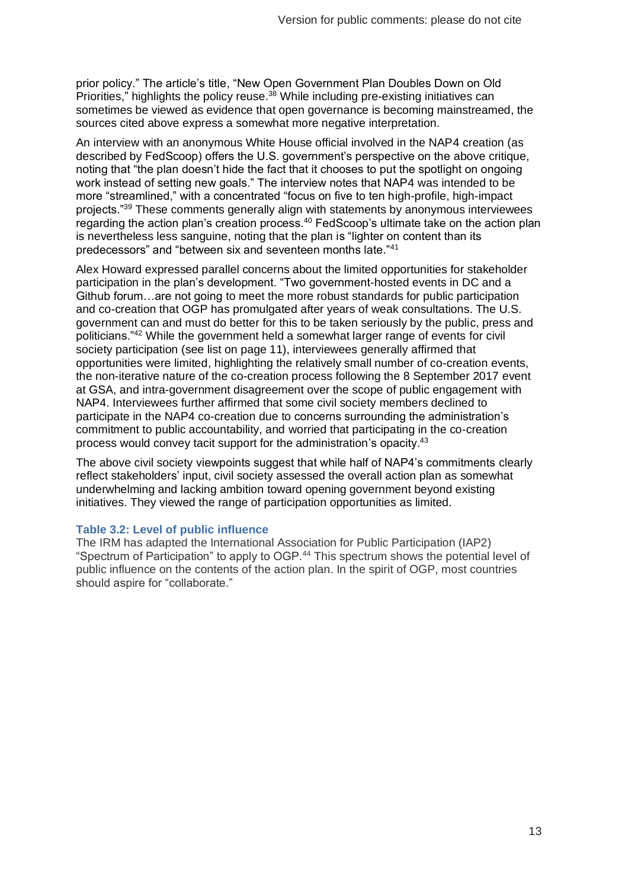prior policy." The article's title, "New Open Government Plan Doubles Down on Old Priorities," highlights the policy reuse.<sup>38</sup> While including pre-existing initiatives can sometimes be viewed as evidence that open governance is becoming mainstreamed, the sources cited above express a somewhat more negative interpretation.

An interview with an anonymous White House official involved in the NAP4 creation (as described by FedScoop) offers the U.S. government's perspective on the above critique, noting that "the plan doesn't hide the fact that it chooses to put the spotlight on ongoing work instead of setting new goals." The interview notes that NAP4 was intended to be more "streamlined," with a concentrated "focus on five to ten high-profile, high-impact projects."<sup>39</sup> These comments generally align with statements by anonymous interviewees regarding the action plan's creation process.<sup>40</sup> FedScoop's ultimate take on the action plan is nevertheless less sanguine, noting that the plan is "lighter on content than its predecessors" and "between six and seventeen months late."<sup>41</sup>

Alex Howard expressed parallel concerns about the limited opportunities for stakeholder participation in the plan's development. "Two government-hosted events in DC and a Github forum…are not going to meet the more robust standards for public participation and co-creation that OGP has promulgated after years of weak consultations. The U.S. government can and must do better for this to be taken seriously by the public, press and politicians."<sup>42</sup> While the government held a somewhat larger range of events for civil society participation (see list on page 11), interviewees generally affirmed that opportunities were limited, highlighting the relatively small number of co-creation events, the non-iterative nature of the co-creation process following the 8 September 2017 event at GSA, and intra-government disagreement over the scope of public engagement with NAP4. Interviewees further affirmed that some civil society members declined to participate in the NAP4 co-creation due to concerns surrounding the administration's commitment to public accountability, and worried that participating in the co-creation process would convey tacit support for the administration's opacity.<sup>43</sup>

The above civil society viewpoints suggest that while half of NAP4's commitments clearly reflect stakeholders' input, civil society assessed the overall action plan as somewhat underwhelming and lacking ambition toward opening government beyond existing initiatives. They viewed the range of participation opportunities as limited.

#### **Table 3.2: Level of public influence**

The IRM has adapted the International Association for Public Participation (IAP2) "Spectrum of Participation" to apply to OGP.<sup>44</sup> This spectrum shows the potential level of public influence on the contents of the action plan. In the spirit of OGP, most countries should aspire for "collaborate."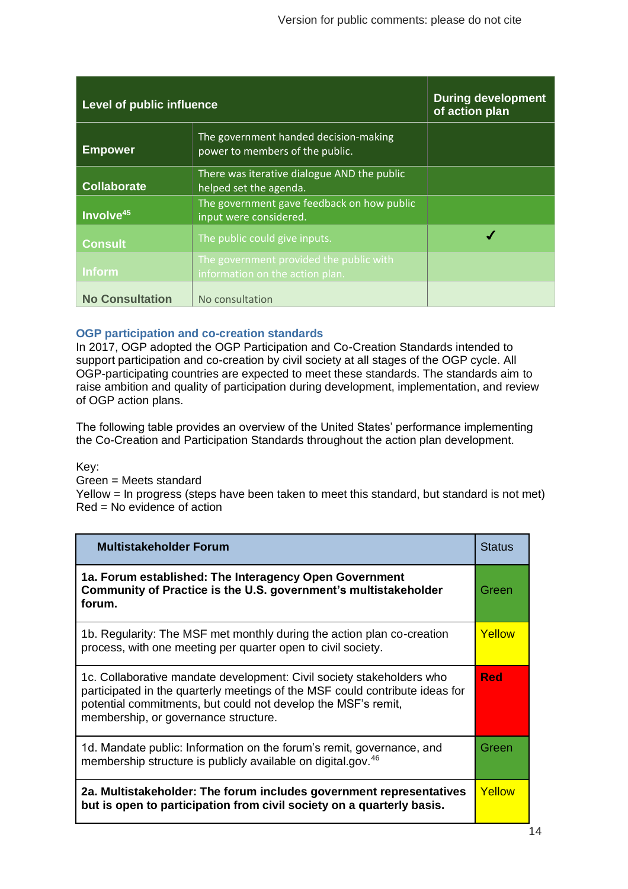| Level of public influence |                                                                            | <b>During development</b><br>of action plan |
|---------------------------|----------------------------------------------------------------------------|---------------------------------------------|
| <b>Empower</b>            | The government handed decision-making<br>power to members of the public.   |                                             |
| <b>Collaborate</b>        | There was iterative dialogue AND the public<br>helped set the agenda.      |                                             |
| Involve <sup>45</sup>     | The government gave feedback on how public<br>input were considered.       |                                             |
| <b>Consult</b>            | The public could give inputs.                                              |                                             |
| <b>Inform</b>             | The government provided the public with<br>information on the action plan. |                                             |
| <b>No Consultation</b>    | No consultation                                                            |                                             |

#### **OGP participation and co-creation standards**

In 2017, OGP adopted the OGP Participation and Co-Creation Standards intended to support participation and co-creation by civil society at all stages of the OGP cycle. All OGP-participating countries are expected to meet these standards. The standards aim to raise ambition and quality of participation during development, implementation, and review of OGP action plans.

The following table provides an overview of the United States' performance implementing the Co-Creation and Participation Standards throughout the action plan development.

Key:

Green = Meets standard

Yellow = In progress (steps have been taken to meet this standard, but standard is not met) Red = No evidence of action

| <b>Multistakeholder Forum</b>                                                                                                                                                                                                                                  | <b>Status</b> |
|----------------------------------------------------------------------------------------------------------------------------------------------------------------------------------------------------------------------------------------------------------------|---------------|
| 1a. Forum established: The Interagency Open Government<br>Community of Practice is the U.S. government's multistakeholder<br>forum.                                                                                                                            | Green         |
| 1b. Regularity: The MSF met monthly during the action plan co-creation<br>process, with one meeting per quarter open to civil society.                                                                                                                         | Yellow        |
| 1c. Collaborative mandate development: Civil society stakeholders who<br>participated in the quarterly meetings of the MSF could contribute ideas for<br>potential commitments, but could not develop the MSF's remit,<br>membership, or governance structure. | <b>Red</b>    |
| 1d. Mandate public: Information on the forum's remit, governance, and<br>membership structure is publicly available on digital.gov. <sup>46</sup>                                                                                                              | Green         |
| 2a. Multistakeholder: The forum includes government representatives<br>but is open to participation from civil society on a quarterly basis.                                                                                                                   | Yellow        |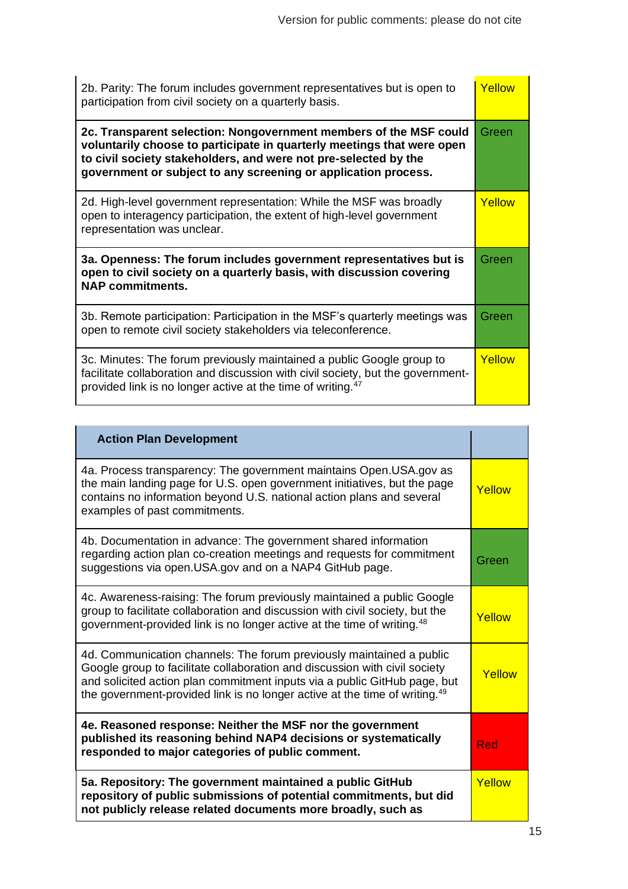| 2b. Parity: The forum includes government representatives but is open to<br>participation from civil society on a quarterly basis.                                                                                                                                               | Yellow |
|----------------------------------------------------------------------------------------------------------------------------------------------------------------------------------------------------------------------------------------------------------------------------------|--------|
| 2c. Transparent selection: Nongovernment members of the MSF could<br>voluntarily choose to participate in quarterly meetings that were open<br>to civil society stakeholders, and were not pre-selected by the<br>government or subject to any screening or application process. | Green  |
| 2d. High-level government representation: While the MSF was broadly<br>open to interagency participation, the extent of high-level government<br>representation was unclear.                                                                                                     | Yellow |
| 3a. Openness: The forum includes government representatives but is<br>open to civil society on a quarterly basis, with discussion covering<br><b>NAP commitments.</b>                                                                                                            | Green  |
| 3b. Remote participation: Participation in the MSF's quarterly meetings was<br>open to remote civil society stakeholders via teleconference.                                                                                                                                     | Green  |
| 3c. Minutes: The forum previously maintained a public Google group to<br>facilitate collaboration and discussion with civil society, but the government-<br>provided link is no longer active at the time of writing. <sup>47</sup>                                              | Yellow |

| <b>Action Plan Development</b>                                                                                                                                                                                                                                                                                            |        |
|---------------------------------------------------------------------------------------------------------------------------------------------------------------------------------------------------------------------------------------------------------------------------------------------------------------------------|--------|
| 4a. Process transparency: The government maintains Open. USA.gov as<br>the main landing page for U.S. open government initiatives, but the page<br>contains no information beyond U.S. national action plans and several<br>examples of past commitments.                                                                 | Yellow |
| 4b. Documentation in advance: The government shared information<br>regarding action plan co-creation meetings and requests for commitment<br>suggestions via open.USA.gov and on a NAP4 GitHub page.                                                                                                                      | Green  |
| 4c. Awareness-raising: The forum previously maintained a public Google<br>group to facilitate collaboration and discussion with civil society, but the<br>government-provided link is no longer active at the time of writing. <sup>48</sup>                                                                              | Yellow |
| 4d. Communication channels: The forum previously maintained a public<br>Google group to facilitate collaboration and discussion with civil society<br>and solicited action plan commitment inputs via a public GitHub page, but<br>the government-provided link is no longer active at the time of writing. <sup>49</sup> | Yellow |
| 4e. Reasoned response: Neither the MSF nor the government<br>published its reasoning behind NAP4 decisions or systematically<br>responded to major categories of public comment.                                                                                                                                          | Red    |
| 5a. Repository: The government maintained a public GitHub<br>repository of public submissions of potential commitments, but did<br>not publicly release related documents more broadly, such as                                                                                                                           | Yellow |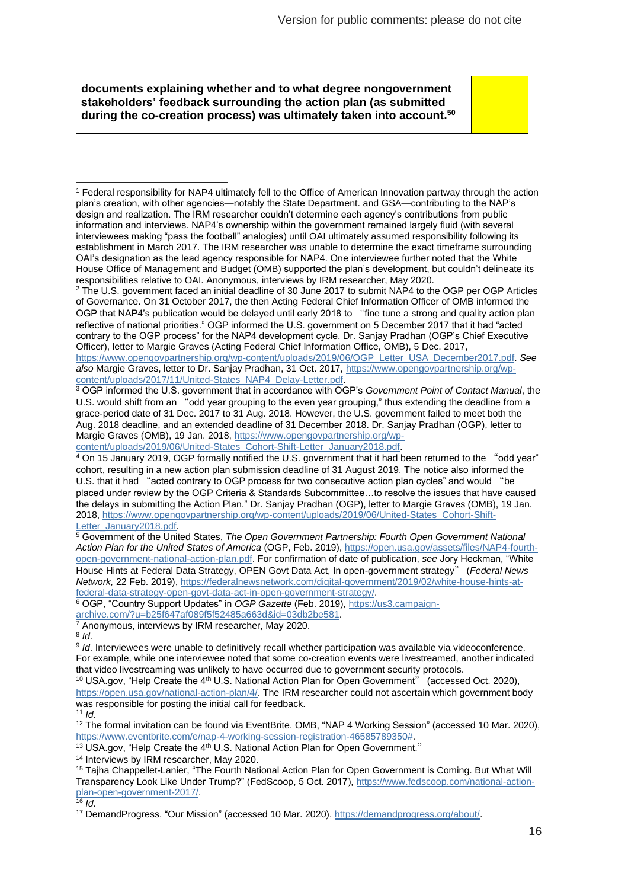**documents explaining whether and to what degree nongovernment stakeholders' feedback surrounding the action plan (as submitted during the co-creation process) was ultimately taken into account.<sup>50</sup>**

<sup>2</sup> The U.S. government faced an initial deadline of 30 June 2017 to submit NAP4 to the OGP per OGP Articles of Governance. On 31 October 2017, the then Acting Federal Chief Information Officer of OMB informed the OGP that NAP4's publication would be delayed until early 2018 to "fine tune a strong and quality action plan reflective of national priorities." OGP informed the U.S. government on 5 December 2017 that it had "acted contrary to the OGP process" for the NAP4 development cycle. Dr. Sanjay Pradhan (OGP's Chief Executive Officer), letter to Margie Graves (Acting Federal Chief Information Office, OMB), 5 Dec. 2017,

[https://www.opengovpartnership.org/wp-content/uploads/2019/06/OGP\\_Letter\\_USA\\_December2017.pdf.](https://www.opengovpartnership.org/wp-content/uploads/2019/06/OGP_Letter_USA_December2017.pdf) *See also* Margie Graves, letter to Dr. Sanjay Pradhan, 31 Oct. 2017[, https://www.opengovpartnership.org/wp](https://www.opengovpartnership.org/wp-content/uploads/2017/11/United-States_NAP4_Delay-Letter.pdf)[content/uploads/2017/11/United-States\\_NAP4\\_Delay-Letter.pdf.](https://www.opengovpartnership.org/wp-content/uploads/2017/11/United-States_NAP4_Delay-Letter.pdf)

<sup>3</sup> OGP informed the U.S. government that in accordance with OGP's *Government Point of Contact Manual*, the U.S. would shift from an "odd year grouping to the even year grouping," thus extending the deadline from a grace-period date of 31 Dec. 2017 to 31 Aug. 2018. However, the U.S. government failed to meet both the Aug. 2018 deadline, and an extended deadline of 31 December 2018. Dr. Sanjay Pradhan (OGP), letter to Margie Graves (OMB), 19 Jan. 2018, [https://www.opengovpartnership.org/wp-](https://www.opengovpartnership.org/wp-content/uploads/2019/06/United-States_Cohort-Shift-Letter_January2018.pdf)

[content/uploads/2019/06/United-States\\_Cohort-Shift-Letter\\_January2018.pdf.](https://www.opengovpartnership.org/wp-content/uploads/2019/06/United-States_Cohort-Shift-Letter_January2018.pdf)

<sup>4</sup> On 15 January 2019, OGP formally notified the U.S. government that it had been returned to the "odd year" cohort, resulting in a new action plan submission deadline of 31 August 2019. The notice also informed the U.S. that it had "acted contrary to OGP process for two consecutive action plan cycles" and would "be placed under review by the OGP Criteria & Standards Subcommittee…to resolve the issues that have caused the delays in submitting the Action Plan." Dr. Sanjay Pradhan (OGP), letter to Margie Graves (OMB), 19 Jan. 2018, [https://www.opengovpartnership.org/wp-content/uploads/2019/06/United-States\\_Cohort-Shift-](https://www.opengovpartnership.org/wp-content/uploads/2019/06/United-States_Cohort-Shift-Letter_January2018.pdf)[Letter\\_January2018.pdf.](https://www.opengovpartnership.org/wp-content/uploads/2019/06/United-States_Cohort-Shift-Letter_January2018.pdf)

<sup>5</sup> Government of the United States, *The Open Government Partnership: Fourth Open Government National Action Plan for the United States of America* (OGP, Feb. 2019)[, https://open.usa.gov/assets/files/NAP4-fourth](https://open.usa.gov/assets/files/NAP4-fourth-open-government-national-action-plan.pdf)[open-government-national-action-plan.pdf.](https://open.usa.gov/assets/files/NAP4-fourth-open-government-national-action-plan.pdf) For confirmation of date of publication, *see* Jory Heckman, "White House Hints at Federal Data Strategy, OPEN Govt Data Act, In open-government strategy" (*Federal News Network,* 22 Feb. 2019), [https://federalnewsnetwork.com/digital-government/2019/02/white-house-hints-at](https://federalnewsnetwork.com/digital-government/2019/02/white-house-hints-at-federal-data-strategy-open-govt-data-act-in-open-government-strategy/)[federal-data-strategy-open-govt-data-act-in-open-government-strategy/.](https://federalnewsnetwork.com/digital-government/2019/02/white-house-hints-at-federal-data-strategy-open-govt-data-act-in-open-government-strategy/)

<sup>6</sup> OGP, "Country Support Updates" in *OGP Gazette* (Feb. 2019), [https://us3.campaign](https://us3.campaign-archive.com/?u=b25f647af089f5f52485a663d&id=03db2be581)[archive.com/?u=b25f647af089f5f52485a663d&id=03db2be581.](https://us3.campaign-archive.com/?u=b25f647af089f5f52485a663d&id=03db2be581)

<sup>7</sup> Anonymous, interviews by IRM researcher, May 2020.

8 *Id*.

9 *Id*. Interviewees were unable to definitively recall whether participation was available via videoconference. For example, while one interviewee noted that some co-creation events were livestreamed, another indicated that video livestreaming was unlikely to have occurred due to government security protocols.

<sup>10</sup> USA.gov, "Help Create the 4<sup>th</sup> U.S. National Action Plan for Open Government" (accessed Oct. 2020), [https://open.usa.gov/national-action-plan/4/.](https://open.usa.gov/national-action-plan/4/) The IRM researcher could not ascertain which government body was responsible for posting the initial call for feedback.

<sup>11</sup> *Id*.

<sup>12</sup> The formal invitation can be found via EventBrite. OMB, "NAP 4 Working Session" (accessed 10 Mar. 2020), [https://www.eventbrite.com/e/nap-4-working-session-registration-46585789350#.](https://www.eventbrite.com/e/nap-4-working-session-registration-46585789350)

13 USA.gov, "Help Create the 4<sup>th</sup> U.S. National Action Plan for Open Government."

<sup>14</sup> Interviews by IRM researcher, May 2020.

<sup>15</sup> Tajha Chappellet-Lanier, "The Fourth National Action Plan for Open Government is Coming. But What Will Transparency Look Like Under Trump?" (FedScoop, 5 Oct. 2017)[, https://www.fedscoop.com/national-action](https://www.fedscoop.com/national-action-plan-open-government-2017/)[plan-open-government-2017/.](https://www.fedscoop.com/national-action-plan-open-government-2017/)

 $16$  *Id.* 

<sup>17</sup> DemandProgress, "Our Mission" (accessed 10 Mar. 2020), [https://demandprogress.org/about/.](https://demandprogress.org/about/)

<sup>1</sup> Federal responsibility for NAP4 ultimately fell to the Office of American Innovation partway through the action plan's creation, with other agencies—notably the State Department. and GSA—contributing to the NAP's design and realization. The IRM researcher couldn't determine each agency's contributions from public information and interviews. NAP4's ownership within the government remained largely fluid (with several interviewees making "pass the football" analogies) until OAI ultimately assumed responsibility following its establishment in March 2017. The IRM researcher was unable to determine the exact timeframe surrounding OAI's designation as the lead agency responsible for NAP4. One interviewee further noted that the White House Office of Management and Budget (OMB) supported the plan's development, but couldn't delineate its responsibilities relative to OAI. Anonymous, interviews by IRM researcher, May 2020.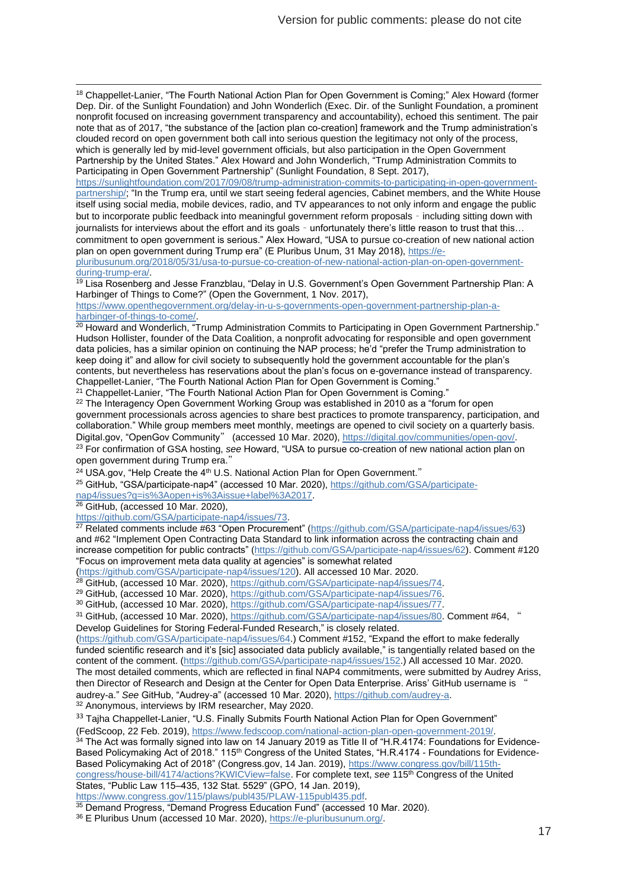<sup>18</sup> Chappellet-Lanier, "The Fourth National Action Plan for Open Government is Coming;" Alex Howard (former Dep. Dir. of the Sunlight Foundation) and John Wonderlich (Exec. Dir. of the Sunlight Foundation, a prominent nonprofit focused on increasing government transparency and accountability), echoed this sentiment. The pair note that as of 2017, "the substance of the [action plan co-creation] framework and the Trump administration's clouded record on open government both call into serious question the legitimacy not only of the process, which is generally led by mid-level government officials, but also participation in the Open Government Partnership by the United States." Alex Howard and John Wonderlich, "Trump Administration Commits to Participating in Open Government Partnership" (Sunlight Foundation, 8 Sept. 2017),

[https://sunlightfoundation.com/2017/09/08/trump-administration-commits-to-participating-in-open-government](https://sunlightfoundation.com/2017/09/08/trump-administration-commits-to-participating-in-open-government-partnership/)[partnership/;](https://sunlightfoundation.com/2017/09/08/trump-administration-commits-to-participating-in-open-government-partnership/) "In the Trump era, until we start seeing federal agencies, Cabinet members, and the White House itself using social media, mobile devices, radio, and TV appearances to not only inform and engage the public but to incorporate public feedback into meaningful government reform proposals – including sitting down with journalists for interviews about the effort and its goals – unfortunately there's little reason to trust that this… commitment to open government is serious." Alex Howard, "USA to pursue co-creation of new national action plan on open government during Trump era" (E Pluribus Unum, 31 May 2018)[, https://e-](https://e-pluribusunum.org/2018/05/31/usa-to-pursue-co-creation-of-new-national-action-plan-on-open-government-during-trump-era/)

[pluribusunum.org/2018/05/31/usa-to-pursue-co-creation-of-new-national-action-plan-on-open-government](https://e-pluribusunum.org/2018/05/31/usa-to-pursue-co-creation-of-new-national-action-plan-on-open-government-during-trump-era/)[during-trump-era/.](https://e-pluribusunum.org/2018/05/31/usa-to-pursue-co-creation-of-new-national-action-plan-on-open-government-during-trump-era/)

<sup>19</sup> Lisa Rosenberg and Jesse Franzblau, "Delay in U.S. Government's Open Government Partnership Plan: A Harbinger of Things to Come?" (Open the Government, 1 Nov. 2017),

[https://www.openthegovernment.org/delay-in-u-s-governments-open-government-partnership-plan-a](https://www.openthegovernment.org/delay-in-u-s-governments-open-government-partnership-plan-a-harbinger-of-things-to-come/)[harbinger-of-things-to-come/.](https://www.openthegovernment.org/delay-in-u-s-governments-open-government-partnership-plan-a-harbinger-of-things-to-come/)

<sup>20</sup> Howard and Wonderlich, "Trump Administration Commits to Participating in Open Government Partnership." Hudson Hollister, founder of the Data Coalition, a nonprofit advocating for responsible and open government data policies, has a similar opinion on continuing the NAP process; he'd "prefer the Trump administration to keep doing it" and allow for civil society to subsequently hold the government accountable for the plan's contents, but nevertheless has reservations about the plan's focus on e-governance instead of transparency. Chappellet-Lanier, "The Fourth National Action Plan for Open Government is Coming."

<sup>21</sup> Chappellet-Lanier, "The Fourth National Action Plan for Open Government is Coming."

 $22$  The Interagency Open Government Working Group was established in 2010 as a "forum for open government processionals across agencies to share best practices to promote transparency, participation, and collaboration." While group members meet monthly, meetings are opened to civil society on a quarterly basis. Digital.gov, "OpenGov Community" (accessed 10 Mar. 2020)[, https://digital.gov/communities/open-gov/.](https://digital.gov/communities/open-gov/) <sup>23</sup> For confirmation of GSA hosting, *see* Howard, "USA to pursue co-creation of new national action plan on open government during Trump era."

<sup>24</sup> USA.gov, "Help Create the 4<sup>th</sup> U.S. National Action Plan for Open Government."

<sup>25</sup> GitHub, "GSA/participate-nap4" (accessed 10 Mar. 2020), [https://github.com/GSA/participate-](https://github.com/GSA/participate-nap4/issues?q=is%3Aopen+is%3Aissue+label%3A2017)

[nap4/issues?q=is%3Aopen+is%3Aissue+label%3A2017.](https://github.com/GSA/participate-nap4/issues?q=is%3Aopen+is%3Aissue+label%3A2017)

<sup>26</sup> GitHub, (accessed 10 Mar. 2020),

[https://github.com/GSA/participate-nap4/issues/73.](https://github.com/GSA/participate-nap4/issues/73)

<sup>27</sup> Related comments include #63 "Open Procurement" [\(https://github.com/GSA/participate-nap4/issues/63\)](https://github.com/GSA/participate-nap4/issues/63) and #62 "Implement Open Contracting Data Standard to link information across the contracting chain and increase competition for public contracts" [\(https://github.com/GSA/participate-nap4/issues/62\)](https://github.com/GSA/participate-nap4/issues/62). Comment #120 "Focus on improvement meta data quality at agencies" is somewhat related

[\(https://github.com/GSA/participate-nap4/issues/120\)](https://github.com/GSA/participate-nap4/issues/120). All accessed 10 Mar. 2020.

<sup>28</sup> GitHub, (accessed 10 Mar. 2020)[, https://github.com/GSA/participate-nap4/issues/74.](https://github.com/GSA/participate-nap4/issues/74)

<sup>29</sup> GitHub, (accessed 10 Mar. 2020)[, https://github.com/GSA/participate-nap4/issues/76.](https://github.com/GSA/participate-nap4/issues/76)

<sup>30</sup> GitHub, (accessed 10 Mar. 2020)[, https://github.com/GSA/participate-nap4/issues/77.](https://github.com/GSA/participate-nap4/issues/77)

31 GitHub, (accessed 10 Mar. 2020)[, https://github.com/GSA/participate-nap4/issues/80.](https://github.com/GSA/participate-nap4/issues/80) Comment #64, " Develop Guidelines for Storing Federal-Funded Research," is closely related.

[\(https://github.com/GSA/participate-nap4/issues/64.](https://github.com/GSA/participate-nap4/issues/64)) Comment #152, "Expand the effort to make federally funded scientific research and it's [sic] associated data publicly available," is tangentially related based on the content of the comment. [\(https://github.com/GSA/participate-nap4/issues/152.](https://github.com/GSA/participate-nap4/issues/152)) All accessed 10 Mar. 2020. The most detailed comments, which are reflected in final NAP4 commitments, were submitted by Audrey Ariss, then Director of Research and Design at the Center for Open Data Enterprise. Ariss' GitHub username is " audrey-a." *See* GitHub, "Audrey-a" (accessed 10 Mar. 2020)[, https://github.com/audrey-a.](https://github.com/audrey-a)

<sup>32</sup> Anonymous, interviews by IRM researcher, May 2020.

33 Tajha Chappellet-Lanier, "U.S. Finally Submits Fourth National Action Plan for Open Government"

(FedScoop, 22 Feb. 2019), [https://www.fedscoop.com/national-action-plan-open-government-2019/.](https://www.fedscoop.com/national-action-plan-open-government-2019/)

 $^{34}$  The Act was formally signed into law on 14 January 2019 as Title II of "H.R.4174: Foundations for Evidence-Based Policymaking Act of 2018." 115<sup>th</sup> Congress of the United States, "H.R.4174 - Foundations for Evidence-Based Policymaking Act of 2018" (Congress.gov, 14 Jan. 2019), <u>https://www.congress.gov/bill/115th-</u> [congress/house-bill/4174/actions?KWICView=false.](https://www.congress.gov/bill/115th-congress/house-bill/4174/actions?KWICView=false) For complete text, *see* 115th Congress of the United States, "Public Law 115–435, 132 Stat. 5529" (GPO, 14 Jan. 2019),

[https://www.congress.gov/115/plaws/publ435/PLAW-115publ435.pdf.](https://www.congress.gov/115/plaws/publ435/PLAW-115publ435.pdf)

 $35$  Demand Progress, "Demand Progress Education Fund" (accessed 10 Mar. 2020).

<sup>36</sup> E Pluribus Unum (accessed 10 Mar. 2020), [https://e-pluribusunum.org/.](https://e-pluribusunum.org/)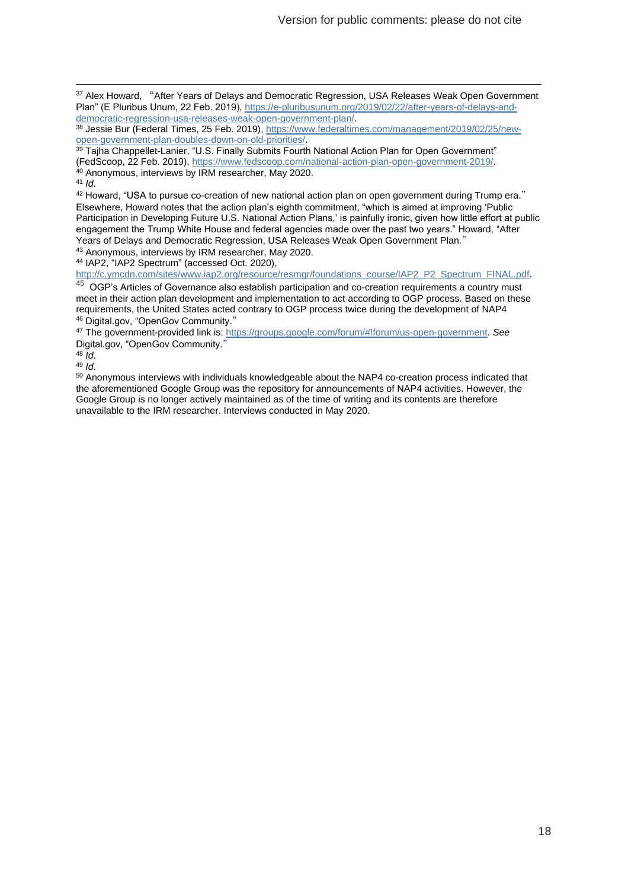<sup>37</sup> Alex Howard, "After Years of Delays and Democratic Regression, USA Releases Weak Open Government Plan" (E Pluribus Unum, 22 Feb. 2019), [https://e-pluribusunum.org/2019/02/22/after-years-of-delays-and](https://e-pluribusunum.org/2019/02/22/after-years-of-delays-and-democratic-regression-usa-releases-weak-open-government-plan/)[democratic-regression-usa-releases-weak-open-government-plan/.](https://e-pluribusunum.org/2019/02/22/after-years-of-delays-and-democratic-regression-usa-releases-weak-open-government-plan/)

<sup>38</sup> Jessie Bur (Federal Times, 25 Feb. 2019), [https://www.federaltimes.com/management/2019/02/25/new](https://www.federaltimes.com/management/2019/02/25/new-open-government-plan-doubles-down-on-old-priorities/)[open-government-plan-doubles-down-on-old-priorities/.](https://www.federaltimes.com/management/2019/02/25/new-open-government-plan-doubles-down-on-old-priorities/)

 $^{39}$  Tajha Chappellet-Lanier, "U.S. Finally Submits Fourth National Action Plan for Open Government"

(FedScoop, 22 Feb. 2019), [https://www.fedscoop.com/national-action-plan-open-government-2019/.](https://www.fedscoop.com/national-action-plan-open-government-2019/)

<sup>40</sup> Anonymous, interviews by IRM researcher, May 2020. <sup>41</sup> *Id*.

42 Howard, "USA to pursue co-creation of new national action plan on open government during Trump era." Elsewhere, Howard notes that the action plan's eighth commitment, "which is aimed at improving 'Public Participation in Developing Future U.S. National Action Plans,' is painfully ironic, given how little effort at public engagement the Trump White House and federal agencies made over the past two years." Howard, "After Years of Delays and Democratic Regression, USA Releases Weak Open Government Plan."

<sup>43</sup> Anonymous, interviews by IRM researcher, May 2020.

<sup>44</sup> IAP2, "IAP2 Spectrum" (accessed Oct. 2020),

[http://c.ymcdn.com/sites/www.iap2.org/resource/resmgr/foundations\\_course/IAP2\\_P2\\_Spectrum\\_FINAL.pdf.](http://c.ymcdn.com/sites/www.iap2.org/resource/resmgr/foundations_course/IAP2_P2_Spectrum_FINAL.pdf)

45 OGP's Articles of Governance also establish participation and co-creation requirements a country must meet in their action plan development and implementation to act according to OGP process. Based on these requirements, the United States acted contrary to OGP process twice during the development of NAP4 <sup>46</sup> Digital.gov, "OpenGov Community."

<sup>47</sup> The government-provided link is: [https://groups.google.com/forum/#!forum/us-open-government.](https://groups.google.com/forum/#!forum/us-open-government) *See* Digital.gov, "OpenGov Community."

<sup>48</sup> *Id*.

<sup>49</sup> *Id*.

<sup>50</sup> Anonymous interviews with individuals knowledgeable about the NAP4 co-creation process indicated that the aforementioned Google Group was the repository for announcements of NAP4 activities. However, the Google Group is no longer actively maintained as of the time of writing and its contents are therefore unavailable to the IRM researcher. Interviews conducted in May 2020.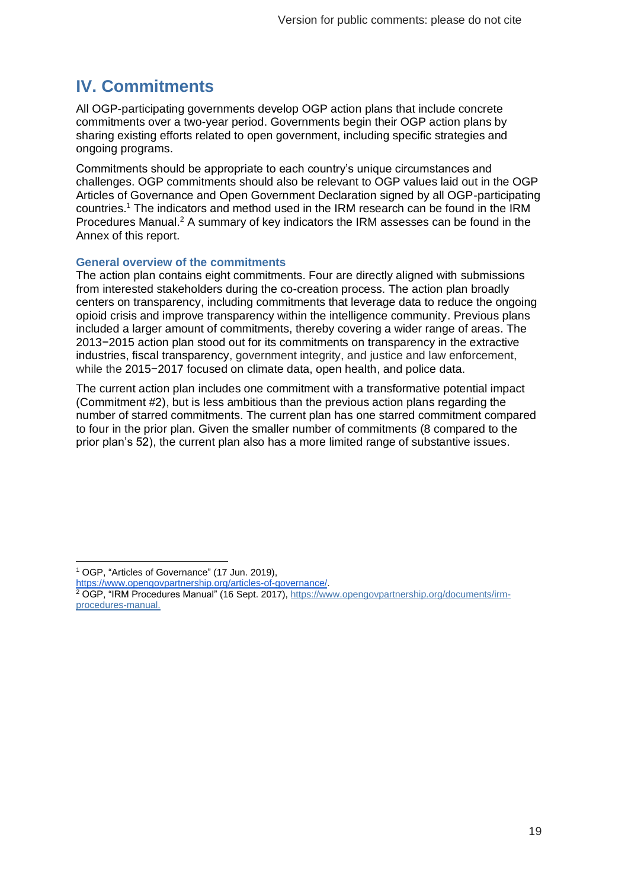# <span id="page-18-0"></span>**IV. Commitments**

All OGP-participating governments develop OGP action plans that include concrete commitments over a two-year period. Governments begin their OGP action plans by sharing existing efforts related to open government, including specific strategies and ongoing programs.

Commitments should be appropriate to each country's unique circumstances and challenges. OGP commitments should also be relevant to OGP values laid out in the OGP Articles of Governance and Open Government Declaration signed by all OGP-participating countries.<sup>1</sup> The indicators and method used in the IRM research can be found in the IRM Procedures Manual.<sup>2</sup> A summary of key indicators the IRM assesses can be found in the Annex of this report.

#### **General overview of the commitments**

The action plan contains eight commitments. Four are directly aligned with submissions from interested stakeholders during the co-creation process. The action plan broadly centers on transparency, including commitments that leverage data to reduce the ongoing opioid crisis and improve transparency within the intelligence community. Previous plans included a larger amount of commitments, thereby covering a wider range of areas. The 2013−2015 action plan stood out for its commitments on transparency in the extractive industries, fiscal transparency, government integrity, and justice and law enforcement, while the 2015−2017 focused on climate data, open health, and police data.

The current action plan includes one commitment with a transformative potential impact (Commitment #2), but is less ambitious than the previous action plans regarding the number of starred commitments. The current plan has one starred commitment compared to four in the prior plan. Given the smaller number of commitments (8 compared to the prior plan's 52), the current plan also has a more limited range of substantive issues.

<sup>1</sup> OGP, "Articles of Governance" (17 Jun. 2019),

[https://www.opengovpartnership.org/articles-of-governance/.](https://www.opengovpartnership.org/articles-of-governance/)

<sup>&</sup>lt;sup>2</sup> OGP, "IRM Procedures Manual" (16 Sept. 2017), [https://www.opengovpartnership.org/documents/irm](https://www.opengovpartnership.org/documents/irm-procedures-manual)[procedures-manual.](https://www.opengovpartnership.org/documents/irm-procedures-manual)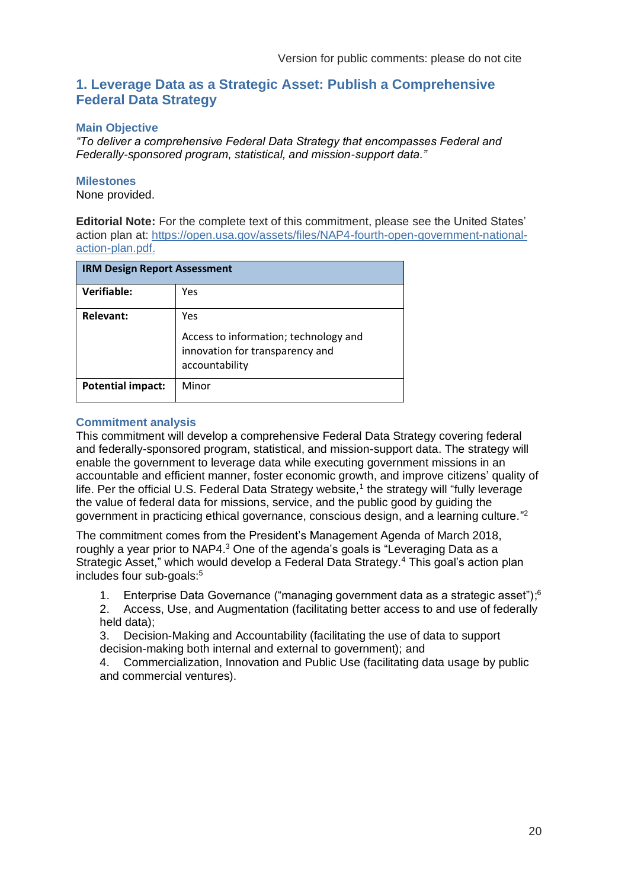### <span id="page-19-0"></span>**1. Leverage Data as a Strategic Asset: Publish a Comprehensive Federal Data Strategy**

#### **Main Objective**

*"To deliver a comprehensive Federal Data Strategy that encompasses Federal and Federally-sponsored program, statistical, and mission-support data."*

#### **Milestones**

None provided.

**Editorial Note:** For the complete text of this commitment, please see the United States' action plan at: [https://open.usa.gov/assets/files/NAP4-fourth-open-government-national](https://open.usa.gov/assets/files/NAP4-fourth-open-government-national-action-plan.pdf)[action-plan.pdf.](https://open.usa.gov/assets/files/NAP4-fourth-open-government-national-action-plan.pdf)

| <b>IRM Design Report Assessment</b> |                                                                                                   |
|-------------------------------------|---------------------------------------------------------------------------------------------------|
| Verifiable:                         | Yes                                                                                               |
| Relevant:                           | Yes<br>Access to information; technology and<br>innovation for transparency and<br>accountability |
| <b>Potential impact:</b>            | Minor                                                                                             |

#### **Commitment analysis**

This commitment will develop a comprehensive Federal Data Strategy covering federal and federally-sponsored program, statistical, and mission-support data. The strategy will enable the government to leverage data while executing government missions in an accountable and efficient manner, foster economic growth, and improve citizens' quality of life. Per the official U.S. Federal Data Strategy website,<sup>1</sup> the strategy will "fully leverage the value of federal data for missions, service, and the public good by guiding the government in practicing ethical governance, conscious design, and a learning culture."<sup>2</sup>

The commitment comes from the President's Management Agenda of March 2018, roughly a year prior to NAP4.<sup>3</sup> One of the agenda's goals is "Leveraging Data as a Strategic Asset," which would develop a Federal Data Strategy.<sup>4</sup> This goal's action plan includes four sub-goals:<sup>5</sup>

1. Enterprise Data Governance ("managing government data as a strategic asset"); 6

2. Access, Use, and Augmentation (facilitating better access to and use of federally held data);

3. Decision-Making and Accountability (facilitating the use of data to support decision-making both internal and external to government); and

4. Commercialization, Innovation and Public Use (facilitating data usage by public and commercial ventures).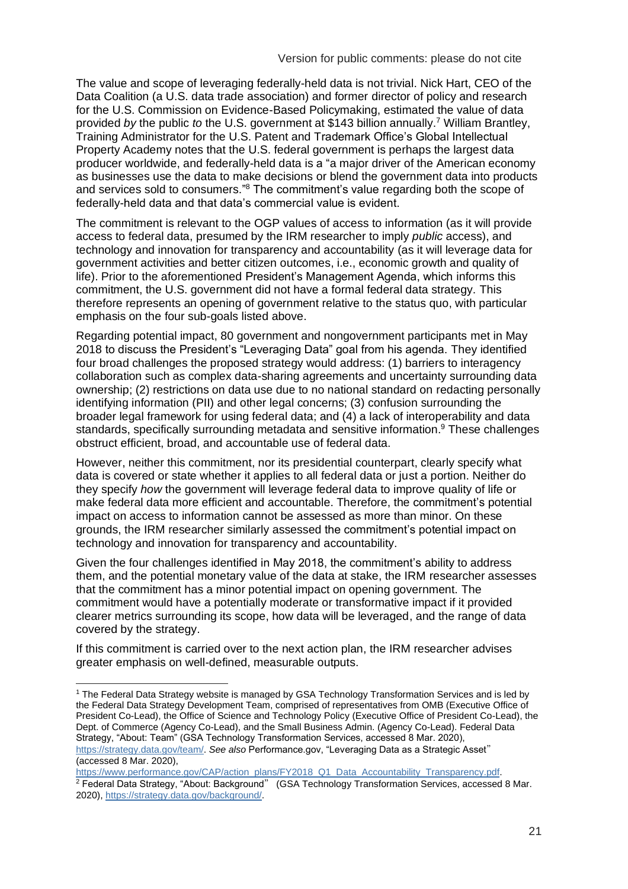The value and scope of leveraging federally-held data is not trivial. Nick Hart, CEO of the Data Coalition (a U.S. data trade association) and former director of policy and research for the U.S. Commission on Evidence-Based Policymaking, estimated the value of data provided *by* the public *to* the U.S. government at \$143 billion annually.<sup>7</sup> William Brantley, Training Administrator for the U.S. Patent and Trademark Office's Global Intellectual Property Academy notes that the U.S. federal government is perhaps the largest data producer worldwide, and federally-held data is a "a major driver of the American economy as businesses use the data to make decisions or blend the government data into products and services sold to consumers."<sup>8</sup> The commitment's value regarding both the scope of federally-held data and that data's commercial value is evident.

The commitment is relevant to the OGP values of access to information (as it will provide access to federal data, presumed by the IRM researcher to imply *public* access), and technology and innovation for transparency and accountability (as it will leverage data for government activities and better citizen outcomes, i.e., economic growth and quality of life). Prior to the aforementioned President's Management Agenda, which informs this commitment, the U.S. government did not have a formal federal data strategy. This therefore represents an opening of government relative to the status quo, with particular emphasis on the four sub-goals listed above.

Regarding potential impact, 80 government and nongovernment participants met in May 2018 to discuss the President's "Leveraging Data" goal from his agenda. They identified four broad challenges the proposed strategy would address: (1) barriers to interagency collaboration such as complex data-sharing agreements and uncertainty surrounding data ownership; (2) restrictions on data use due to no national standard on redacting personally identifying information (PII) and other legal concerns; (3) confusion surrounding the broader legal framework for using federal data; and (4) a lack of interoperability and data standards, specifically surrounding metadata and sensitive information. <sup>9</sup> These challenges obstruct efficient, broad, and accountable use of federal data.

However, neither this commitment, nor its presidential counterpart, clearly specify what data is covered or state whether it applies to all federal data or just a portion. Neither do they specify *how* the government will leverage federal data to improve quality of life or make federal data more efficient and accountable. Therefore, the commitment's potential impact on access to information cannot be assessed as more than minor. On these grounds, the IRM researcher similarly assessed the commitment's potential impact on technology and innovation for transparency and accountability.

Given the four challenges identified in May 2018, the commitment's ability to address them, and the potential monetary value of the data at stake, the IRM researcher assesses that the commitment has a minor potential impact on opening government. The commitment would have a potentially moderate or transformative impact if it provided clearer metrics surrounding its scope, how data will be leveraged, and the range of data covered by the strategy.

If this commitment is carried over to the next action plan, the IRM researcher advises greater emphasis on well-defined, measurable outputs.

<sup>1</sup> The Federal Data Strategy website is managed by GSA Technology Transformation Services and is led by the Federal Data Strategy Development Team, comprised of representatives from OMB (Executive Office of President Co-Lead), the Office of Science and Technology Policy (Executive Office of President Co-Lead), the Dept. of Commerce (Agency Co-Lead), and the Small Business Admin. (Agency Co-Lead). Federal Data Strategy, "About: Team" (GSA Technology Transformation Services, accessed 8 Mar. 2020), [https://strategy.data.gov/team/.](https://strategy.data.gov/team/) *See also* Performance.gov, "Leveraging Data as a Strategic Asset" (accessed 8 Mar. 2020),

[https://www.performance.gov/CAP/action\\_plans/FY2018\\_Q1\\_Data\\_Accountability\\_Transparency.pdf.](https://www.performance.gov/CAP/action_plans/FY2018_Q1_Data_Accountability_Transparency.pdf) <sup>2</sup> Federal Data Strategy, "About: Background" (GSA Technology Transformation Services, accessed 8 Mar. 2020), [https://strategy.data.gov/background/.](https://strategy.data.gov/background/)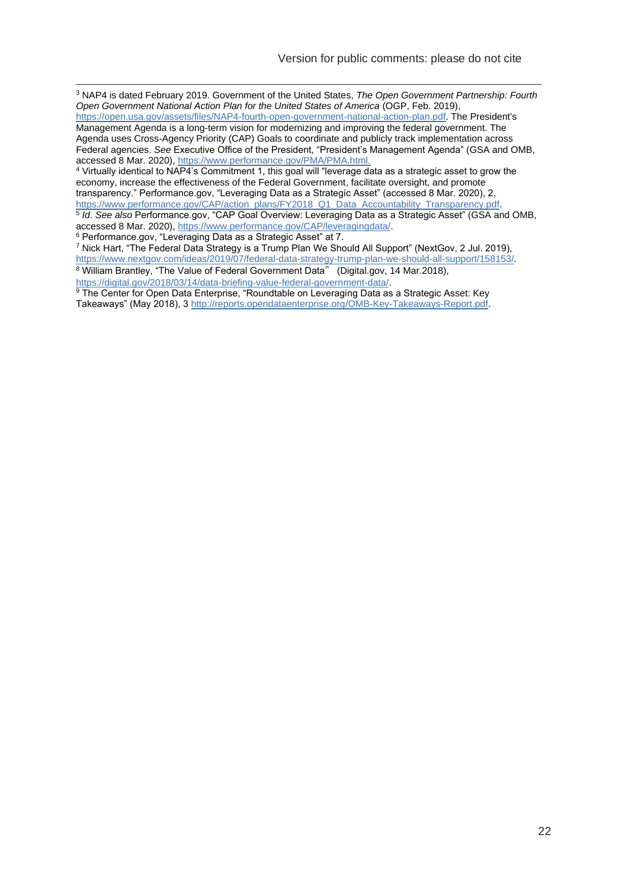<sup>3</sup> NAP4 is dated February 2019. Government of the United States, *The Open Government Partnership: Fourth Open Government National Action Plan for the United States of America* (OGP, Feb. 2019),

[https://open.usa.gov/assets/files/NAP4-fourth-open-government-national-action-plan.pdf.](https://open.usa.gov/assets/files/NAP4-fourth-open-government-national-action-plan.pdf) The President's Management Agenda is a long-term vision for modernizing and improving the federal government. The Agenda uses Cross-Agency Priority (CAP) Goals to coordinate and publicly track implementation across Federal agencies. *See* Executive Office of the President, "President's Management Agenda" (GSA and OMB, accessed 8 Mar. 2020),<https://www.performance.gov/PMA/PMA.html.>

<sup>4</sup> Virtually identical to NAP4's Commitment 1, this goal will "leverage data as a strategic asset to grow the economy, increase the effectiveness of the Federal Government, facilitate oversight, and promote transparency." Performance.gov, "Leveraging Data as a Strategic Asset" (accessed 8 Mar. 2020), 2, [https://www.performance.gov/CAP/action\\_plans/FY2018\\_Q1\\_Data\\_Accountability\\_Transparency.pdf.](https://www.performance.gov/CAP/action_plans/FY2018_Q1_Data_Accountability_Transparency.pdf) 5 *Id*. *See also* Performance.gov, "CAP Goal Overview: Leveraging Data as a Strategic Asset" (GSA and OMB, accessed 8 Mar. 2020), [https://www.performance.gov/CAP/leveragingdata/.](https://www.performance.gov/CAP/leveragingdata/)

<sup>6</sup> Performance.gov, "Leveraging Data as a Strategic Asset" at 7.

<sup>7</sup> Nick Hart, "The Federal Data Strategy is a Trump Plan We Should All Support" (NextGov, 2 Jul. 2019), [https://www.nextgov.com/ideas/2019/07/federal-data-strategy-trump-plan-we-should-all-support/158153/.](https://www.nextgov.com/ideas/2019/07/federal-data-strategy-trump-plan-we-should-all-support/158153/) <sup>8</sup> William Brantley, "The Value of Federal Government Data" (Digital.gov, 14 Mar.2018), [https://digital.gov/2018/03/14/data-briefing-value-federal-government-data/.](https://digital.gov/2018/03/14/data-briefing-value-federal-government-data/)

<sup>9</sup> The Center for Open Data Enterprise, "Roundtable on Leveraging Data as a Strategic Asset: Key Takeaways" (May 2018), 3 [http://reports.opendataenterprise.org/OMB-Key-Takeaways-Report.pdf.](http://reports.opendataenterprise.org/OMB-Key-Takeaways-Report.pdf)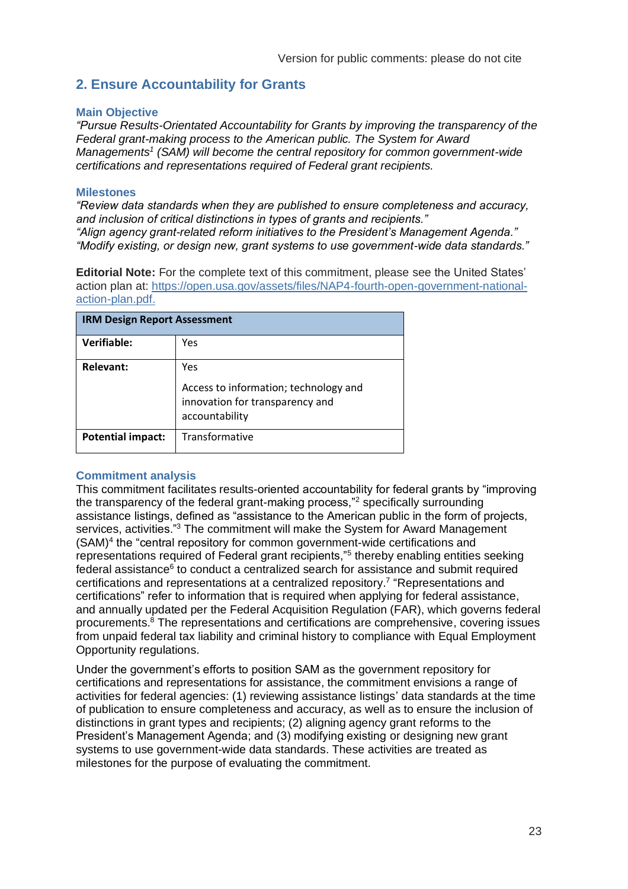# <span id="page-22-0"></span>**2. Ensure Accountability for Grants**

#### **Main Objective**

*"Pursue Results-Orientated Accountability for Grants by improving the transparency of the Federal grant-making process to the American public. The System for Award Managements<sup>1</sup> (SAM) will become the central repository for common government-wide certifications and representations required of Federal grant recipients.* 

#### **Milestones**

*"Review data standards when they are published to ensure completeness and accuracy, and inclusion of critical distinctions in types of grants and recipients." "Align agency grant-related reform initiatives to the President's Management Agenda." "Modify existing, or design new, grant systems to use government-wide data standards."*

**Editorial Note:** For the complete text of this commitment, please see the United States' action plan at: [https://open.usa.gov/assets/files/NAP4-fourth-open-government-national](https://open.usa.gov/assets/files/NAP4-fourth-open-government-national-action-plan.pdf)[action-plan.pdf.](https://open.usa.gov/assets/files/NAP4-fourth-open-government-national-action-plan.pdf)

| <b>IRM Design Report Assessment</b> |                                                                                                   |
|-------------------------------------|---------------------------------------------------------------------------------------------------|
| <b>Verifiable:</b>                  | Yes                                                                                               |
| Relevant:                           | Yes<br>Access to information; technology and<br>innovation for transparency and<br>accountability |
| <b>Potential impact:</b>            | Transformative                                                                                    |

#### **Commitment analysis**

This commitment facilitates results-oriented accountability for federal grants by "improving the transparency of the federal grant-making process,"<sup>2</sup> specifically surrounding assistance listings, defined as "assistance to the American public in the form of projects, services, activities."<sup>3</sup> The commitment will make the System for Award Management (SAM)<sup>4</sup> the "central repository for common government-wide certifications and representations required of Federal grant recipients,"<sup>5</sup> thereby enabling entities seeking federal assistance<sup>6</sup> to conduct a centralized search for assistance and submit required certifications and representations at a centralized repository.<sup>7</sup> "Representations and certifications" refer to information that is required when applying for federal assistance, and annually updated per the Federal Acquisition Regulation (FAR), which governs federal procurements. <sup>8</sup> The representations and certifications are comprehensive, covering issues from unpaid federal tax liability and criminal history to compliance with Equal Employment Opportunity regulations.

Under the government's efforts to position SAM as the government repository for certifications and representations for assistance, the commitment envisions a range of activities for federal agencies: (1) reviewing assistance listings' data standards at the time of publication to ensure completeness and accuracy, as well as to ensure the inclusion of distinctions in grant types and recipients; (2) aligning agency grant reforms to the President's Management Agenda; and (3) modifying existing or designing new grant systems to use government-wide data standards. These activities are treated as milestones for the purpose of evaluating the commitment.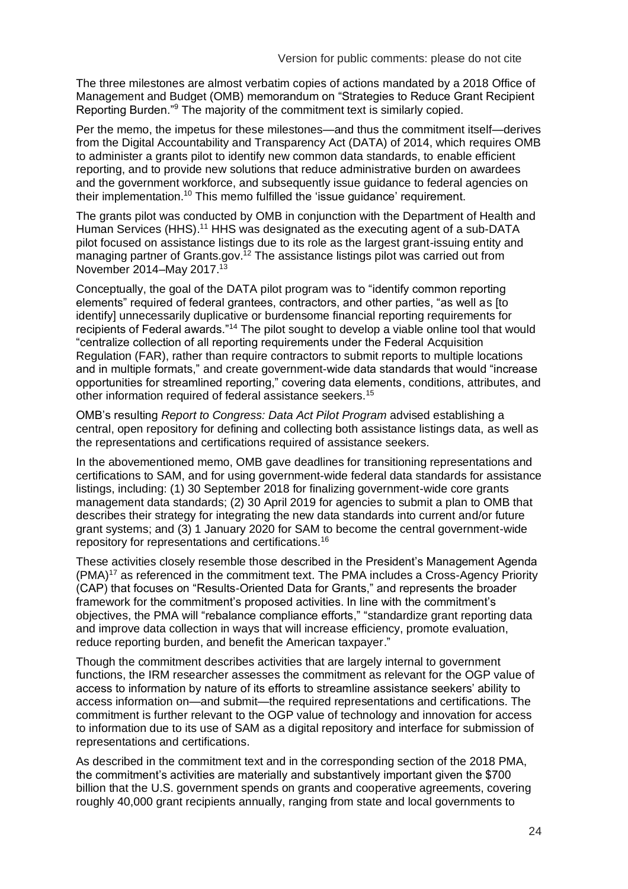The three milestones are almost verbatim copies of actions mandated by a 2018 Office of Management and Budget (OMB) memorandum on "Strategies to Reduce Grant Recipient Reporting Burden."<sup>9</sup> The majority of the commitment text is similarly copied.

Per the memo, the impetus for these milestones—and thus the commitment itself—derives from the Digital Accountability and Transparency Act (DATA) of 2014, which requires OMB to administer a grants pilot to identify new common data standards, to enable efficient reporting, and to provide new solutions that reduce administrative burden on awardees and the government workforce, and subsequently issue guidance to federal agencies on their implementation.<sup>10</sup> This memo fulfilled the 'issue guidance' requirement.

The grants pilot was conducted by OMB in conjunction with the Department of Health and Human Services (HHS).<sup>11</sup> HHS was designated as the executing agent of a sub-DATA pilot focused on assistance listings due to its role as the largest grant-issuing entity and managing partner of Grants.gov.<sup>12</sup> The assistance listings pilot was carried out from November 2014–May 2017.<sup>13</sup>

Conceptually, the goal of the DATA pilot program was to "identify common reporting elements" required of federal grantees, contractors, and other parties, "as well as [to identify] unnecessarily duplicative or burdensome financial reporting requirements for recipients of Federal awards."<sup>14</sup> The pilot sought to develop a viable online tool that would "centralize collection of all reporting requirements under the Federal Acquisition Regulation (FAR), rather than require contractors to submit reports to multiple locations and in multiple formats," and create government-wide data standards that would "increase opportunities for streamlined reporting," covering data elements, conditions, attributes, and other information required of federal assistance seekers.<sup>15</sup>

OMB's resulting *Report to Congress: Data Act Pilot Program* advised establishing a central, open repository for defining and collecting both assistance listings data, as well as the representations and certifications required of assistance seekers.

In the abovementioned memo, OMB gave deadlines for transitioning representations and certifications to SAM, and for using government-wide federal data standards for assistance listings, including: (1) 30 September 2018 for finalizing government-wide core grants management data standards; (2) 30 April 2019 for agencies to submit a plan to OMB that describes their strategy for integrating the new data standards into current and/or future grant systems; and (3) 1 January 2020 for SAM to become the central government-wide repository for representations and certifications.<sup>16</sup>

These activities closely resemble those described in the President's Management Agenda (PMA)<sup>17</sup> as referenced in the commitment text. The PMA includes a Cross-Agency Priority (CAP) that focuses on "Results-Oriented Data for Grants," and represents the broader framework for the commitment's proposed activities. In line with the commitment's objectives, the PMA will "rebalance compliance efforts," "standardize grant reporting data and improve data collection in ways that will increase efficiency, promote evaluation, reduce reporting burden, and benefit the American taxpayer."

Though the commitment describes activities that are largely internal to government functions, the IRM researcher assesses the commitment as relevant for the OGP value of access to information by nature of its efforts to streamline assistance seekers' ability to access information on—and submit—the required representations and certifications. The commitment is further relevant to the OGP value of technology and innovation for access to information due to its use of SAM as a digital repository and interface for submission of representations and certifications.

As described in the commitment text and in the corresponding section of the 2018 PMA, the commitment's activities are materially and substantively important given the \$700 billion that the U.S. government spends on grants and cooperative agreements, covering roughly 40,000 grant recipients annually, ranging from state and local governments to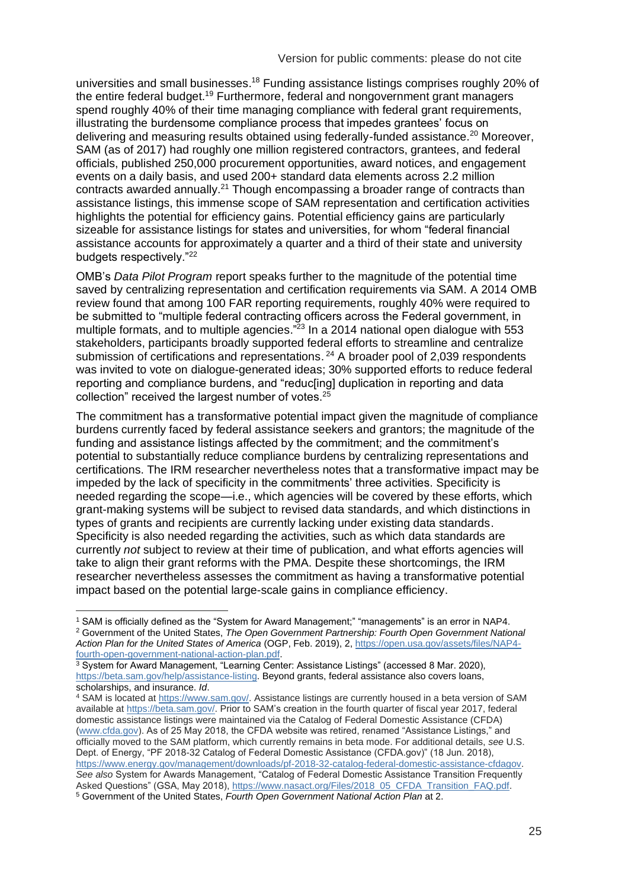universities and small businesses.<sup>18</sup> Funding assistance listings comprises roughly 20% of the entire federal budget.<sup>19</sup> Furthermore, federal and nongovernment grant managers spend roughly 40% of their time managing compliance with federal grant requirements, illustrating the burdensome compliance process that impedes grantees' focus on delivering and measuring results obtained using federally-funded assistance.<sup>20</sup> Moreover, SAM (as of 2017) had roughly one million registered contractors, grantees, and federal officials, published 250,000 procurement opportunities, award notices, and engagement events on a daily basis, and used 200+ standard data elements across 2.2 million contracts awarded annually.<sup>21</sup> Though encompassing a broader range of contracts than assistance listings, this immense scope of SAM representation and certification activities highlights the potential for efficiency gains. Potential efficiency gains are particularly sizeable for assistance listings for states and universities, for whom "federal financial assistance accounts for approximately a quarter and a third of their state and university budgets respectively."<sup>22</sup>

OMB's *Data Pilot Program* report speaks further to the magnitude of the potential time saved by centralizing representation and certification requirements via SAM. A 2014 OMB review found that among 100 FAR reporting requirements, roughly 40% were required to be submitted to "multiple federal contracting officers across the Federal government, in multiple formats, and to multiple agencies."<sup>23</sup> In a 2014 national open dialogue with 553 stakeholders, participants broadly supported federal efforts to streamline and centralize submission of certifications and representations.  $24$  A broader pool of 2,039 respondents was invited to vote on dialogue-generated ideas; 30% supported efforts to reduce federal reporting and compliance burdens, and "reduc[ing] duplication in reporting and data collection" received the largest number of votes. $25$ 

The commitment has a transformative potential impact given the magnitude of compliance burdens currently faced by federal assistance seekers and grantors; the magnitude of the funding and assistance listings affected by the commitment; and the commitment's potential to substantially reduce compliance burdens by centralizing representations and certifications. The IRM researcher nevertheless notes that a transformative impact may be impeded by the lack of specificity in the commitments' three activities. Specificity is needed regarding the scope—i.e., which agencies will be covered by these efforts, which grant-making systems will be subject to revised data standards, and which distinctions in types of grants and recipients are currently lacking under existing data standards. Specificity is also needed regarding the activities, such as which data standards are currently *not* subject to review at their time of publication, and what efforts agencies will take to align their grant reforms with the PMA. Despite these shortcomings, the IRM researcher nevertheless assesses the commitment as having a transformative potential impact based on the potential large-scale gains in compliance efficiency.

<sup>1</sup> SAM is officially defined as the "System for Award Management;" "managements" is an error in NAP4. <sup>2</sup> Government of the United States, *The Open Government Partnership: Fourth Open Government National Action Plan for the United States of America* (OGP, Feb. 2019), 2[, https://open.usa.gov/assets/files/NAP4](https://open.usa.gov/assets/files/NAP4-fourth-open-government-national-action-plan.pdf) [fourth-open-government-national-action-plan.pdf.](https://open.usa.gov/assets/files/NAP4-fourth-open-government-national-action-plan.pdf)

<sup>&</sup>lt;sup>3</sup> System for Award Management, "Learning Center: Assistance Listings" (accessed 8 Mar. 2020), [https://beta.sam.gov/help/assistance-listing.](https://beta.sam.gov/help/assistance-listing) Beyond grants, federal assistance also covers loans, scholarships, and insurance. *Id*.

<sup>4</sup> SAM is located at [https://www.sam.gov/.](https://www.sam.gov/) Assistance listings are currently housed in a beta version of SAM available at [https://beta.sam.gov/.](https://beta.sam.gov/help/assistance-listing) Prior to SAM's creation in the fourth quarter of fiscal year 2017, federal domestic assistance listings were maintained via the Catalog of Federal Domestic Assistance (CFDA) [\(www.cfda.gov\)](http://www.cfda.gov/). As of 25 May 2018, the CFDA website was retired, renamed "Assistance Listings," and officially moved to the SAM platform, which currently remains in beta mode. For additional details, *see* U.S. Dept. of Energy, "PF 2018-32 Catalog of Federal Domestic Assistance (CFDA.gov)" (18 Jun. 2018), [https://www.energy.gov/management/downloads/pf-2018-32-catalog-federal-domestic-assistance-cfdagov.](https://www.energy.gov/management/downloads/pf-2018-32-catalog-federal-domestic-assistance-cfdagov) *See also* System for Awards Management, "Catalog of Federal Domestic Assistance Transition Frequently Asked Questions" (GSA, May 2018), [https://www.nasact.org/Files/2018\\_05\\_CFDA\\_Transition\\_FAQ.pdf.](https://www.nasact.org/Files/2018_05_CFDA_Transition_FAQ.pdf) <sup>5</sup> Government of the United States, *Fourth Open Government National Action Plan* at 2.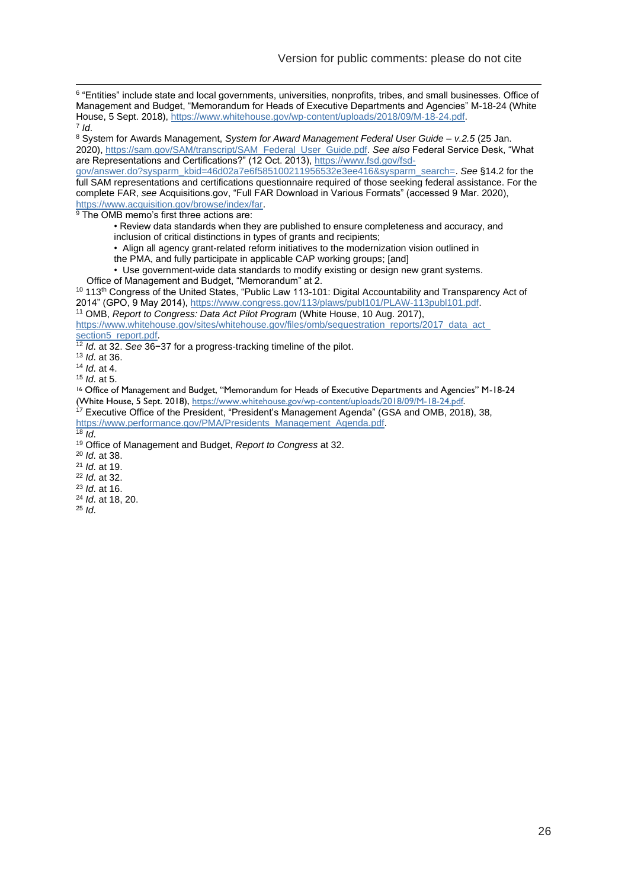6 "Entities" include state and local governments, universities, nonprofits, tribes, and small businesses. Office of Management and Budget, "Memorandum for Heads of Executive Departments and Agencies" M-18-24 (White House, 5 Sept. 2018), [https://www.whitehouse.gov/wp-content/uploads/2018/09/M-18-24.pdf.](https://www.whitehouse.gov/wp-content/uploads/2018/09/M-18-24.pdf) 7 *Id*.

<sup>8</sup> System for Awards Management, *System for Award Management Federal User Guide – v.2.5* (25 Jan. 2020), [https://sam.gov/SAM/transcript/SAM\\_Federal\\_User\\_Guide.pdf.](https://sam.gov/SAM/transcript/SAM_Federal_User_Guide.pdf) *See also* Federal Service Desk, "What are Representations and Certifications?" (12 Oct. 2013), [https://www.fsd.gov/fsd-](https://www.fsd.gov/fsd-gov/answer.do?sysparm_kbid=46d02a7e6f585100211956532e3ee416&sysparm_search=)

[gov/answer.do?sysparm\\_kbid=46d02a7e6f585100211956532e3ee416&sysparm\\_search=.](https://www.fsd.gov/fsd-gov/answer.do?sysparm_kbid=46d02a7e6f585100211956532e3ee416&sysparm_search=) *See* §14.2 for the full SAM representations and certifications questionnaire required of those seeking federal assistance. For the complete FAR, *see* Acquisitions.gov, "Full FAR Download in Various Formats" (accessed 9 Mar. 2020), [https://www.acquisition.gov/browse/index/far.](https://www.acquisition.gov/browse/index/far)

<sup>9</sup> The OMB memo's first three actions are:

• Review data standards when they are published to ensure completeness and accuracy, and inclusion of critical distinctions in types of grants and recipients;

• Align all agency grant-related reform initiatives to the modernization vision outlined in

the PMA, and fully participate in applicable CAP working groups; [and]

• Use government-wide data standards to modify existing or design new grant systems. Office of Management and Budget, "Memorandum" at 2.

<sup>10</sup> 113<sup>th</sup> Congress of the United States, "Public Law 113-101: Digital Accountability and Transparency Act of 2014" (GPO, 9 May 2014), [https://www.congress.gov/113/plaws/publ101/PLAW-113publ101.pdf.](https://www.congress.gov/113/plaws/publ101/PLAW-113publ101.pdf)

<sup>11</sup> OMB, *Report to Congress: Data Act Pilot Program* (White House, 10 Aug. 2017),

https://www.whitehouse.gov/sites/whitehouse.gov/files/omb/sequestration\_reports/2017\_data\_act

[section5\\_report.pdf.](https://www.whitehouse.gov/sites/whitehouse.gov/files/omb/sequestration_reports/2017_data_act_%20section5_report.pdf)

<sup>12</sup> *Id*. at 32. *See* 36−37 for a progress-tracking timeline of the pilot.

<sup>13</sup> *Id*. at 36.

<sup>14</sup> *Id*. at 4.

<sup>15</sup> *Id*. at 5.

<sup>16</sup> Office of Management and Budget, "Memorandum for Heads of Executive Departments and Agencies" M-18-24 (White House, 5 Sept. 2018)[, https://www.whitehouse.gov/wp-content/uploads/2018/09/M-18-24.pdf.](https://www.whitehouse.gov/wp-content/uploads/2018/09/M-18-24.pdf) 

<sup>17</sup> Executive Office of the President, "President's Management Agenda" (GSA and OMB, 2018), 38, [https://www.performance.gov/PMA/Presidents\\_Management\\_Agenda.pdf.](https://www.performance.gov/PMA/Presidents_Management_Agenda.pdf)

 $18$  *Id.* 

<sup>19</sup> Office of Management and Budget, *Report to Congress* at 32.

<sup>20</sup> *Id*. at 38.

<sup>21</sup> *Id*. at 19.

<sup>22</sup> *Id*. at 32.

<sup>23</sup> *Id*. at 16.

<sup>24</sup> *Id*. at 18, 20.

<sup>25</sup> *Id*.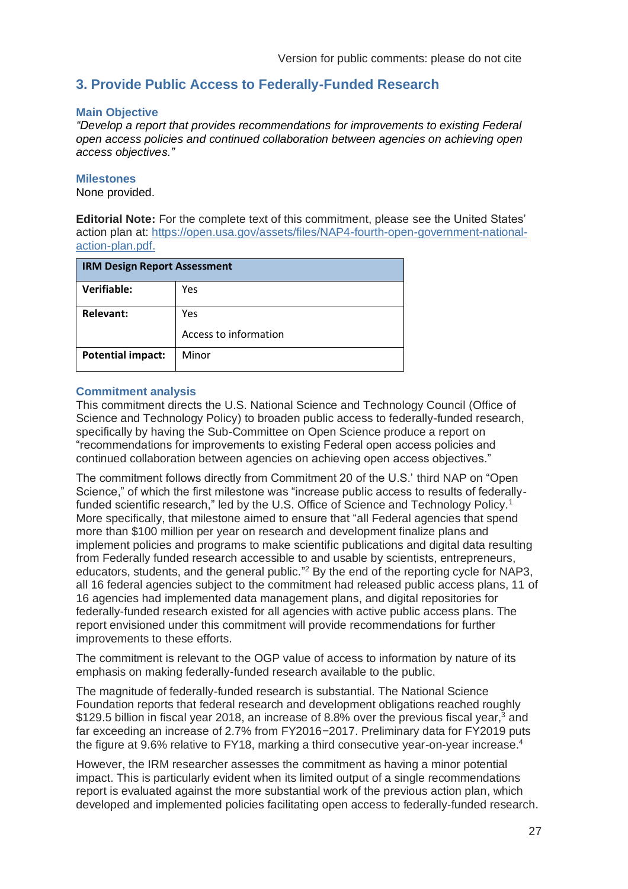# <span id="page-26-0"></span>**3. Provide Public Access to Federally-Funded Research**

#### **Main Objective**

*"Develop a report that provides recommendations for improvements to existing Federal open access policies and continued collaboration between agencies on achieving open access objectives."*

#### **Milestones**

None provided.

**Editorial Note:** For the complete text of this commitment, please see the United States' action plan at: [https://open.usa.gov/assets/files/NAP4-fourth-open-government-national](https://open.usa.gov/assets/files/NAP4-fourth-open-government-national-action-plan.pdf)[action-plan.pdf.](https://open.usa.gov/assets/files/NAP4-fourth-open-government-national-action-plan.pdf)

| <b>IRM Design Report Assessment</b> |                       |
|-------------------------------------|-----------------------|
| Verifiable:                         | Yes                   |
| <b>Relevant:</b>                    | Yes                   |
|                                     | Access to information |
| <b>Potential impact:</b>            | Minor                 |

#### **Commitment analysis**

This commitment directs the U.S. National Science and Technology Council (Office of Science and Technology Policy) to broaden public access to federally-funded research, specifically by having the Sub-Committee on Open Science produce a report on "recommendations for improvements to existing Federal open access policies and continued collaboration between agencies on achieving open access objectives."

The commitment follows directly from Commitment 20 of the U.S.' third NAP on "Open Science," of which the first milestone was "increase public access to results of federallyfunded scientific research," led by the U.S. Office of Science and Technology Policy.<sup>1</sup> More specifically, that milestone aimed to ensure that "all Federal agencies that spend more than \$100 million per year on research and development finalize plans and implement policies and programs to make scientific publications and digital data resulting from Federally funded research accessible to and usable by scientists, entrepreneurs, educators, students, and the general public."<sup>2</sup> By the end of the reporting cycle for NAP3, all 16 federal agencies subject to the commitment had released public access plans, 11 of 16 agencies had implemented data management plans, and digital repositories for federally-funded research existed for all agencies with active public access plans. The report envisioned under this commitment will provide recommendations for further improvements to these efforts.

The commitment is relevant to the OGP value of access to information by nature of its emphasis on making federally-funded research available to the public.

The magnitude of federally-funded research is substantial. The National Science Foundation reports that federal research and development obligations reached roughly \$129.5 billion in fiscal year 2018, an increase of 8.8% over the previous fiscal year,<sup>3</sup> and far exceeding an increase of 2.7% from FY2016−2017. Preliminary data for FY2019 puts the figure at 9.6% relative to FY18, marking a third consecutive year-on-year increase.<sup>4</sup>

However, the IRM researcher assesses the commitment as having a minor potential impact. This is particularly evident when its limited output of a single recommendations report is evaluated against the more substantial work of the previous action plan, which developed and implemented policies facilitating open access to federally-funded research.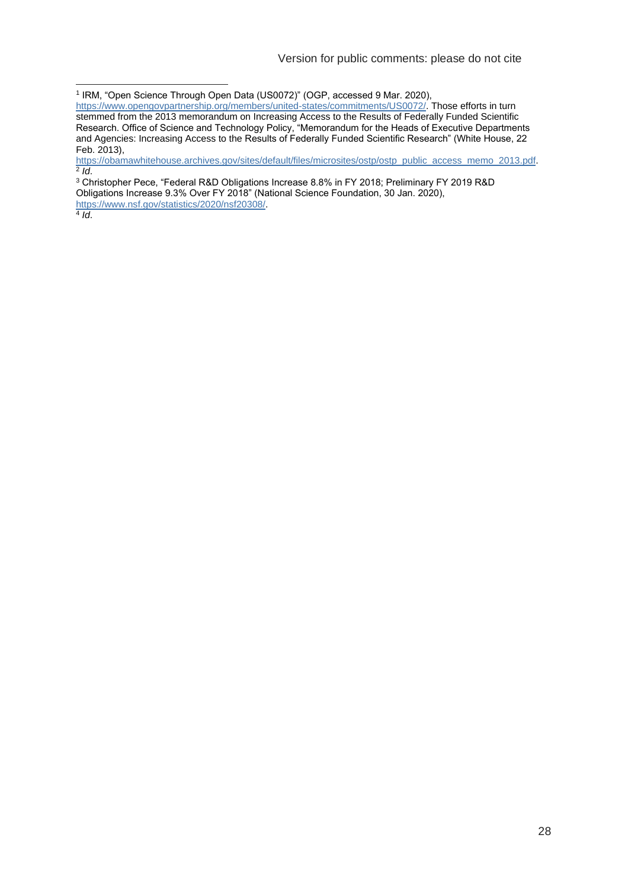<sup>1</sup> IRM, "Open Science Through Open Data (US0072)" (OGP, accessed 9 Mar. 2020),

[https://obamawhitehouse.archives.gov/sites/default/files/microsites/ostp/ostp\\_public\\_access\\_memo\\_2013.pdf.](https://obamawhitehouse.archives.gov/sites/default/files/microsites/ostp/ostp_public_access_memo_2013.pdf) 2 *Id*.

<sup>3</sup> Christopher Pece, "Federal R&D Obligations Increase 8.8% in FY 2018; Preliminary FY 2019 R&D Obligations Increase 9.3% Over FY 2018" (National Science Foundation, 30 Jan. 2020), [https://www.nsf.gov/statistics/2020/nsf20308/.](https://www.nsf.gov/statistics/2020/nsf20308/)

4 *Id*.

[https://www.opengovpartnership.org/members/united-states/commitments/US0072/.](https://www.opengovpartnership.org/members/united-states/commitments/US0072/) Those efforts in turn stemmed from the 2013 memorandum on Increasing Access to the Results of Federally Funded Scientific Research. Office of Science and Technology Policy, "Memorandum for the Heads of Executive Departments and Agencies: Increasing Access to the Results of Federally Funded Scientific Research" (White House, 22 Feb. 2013),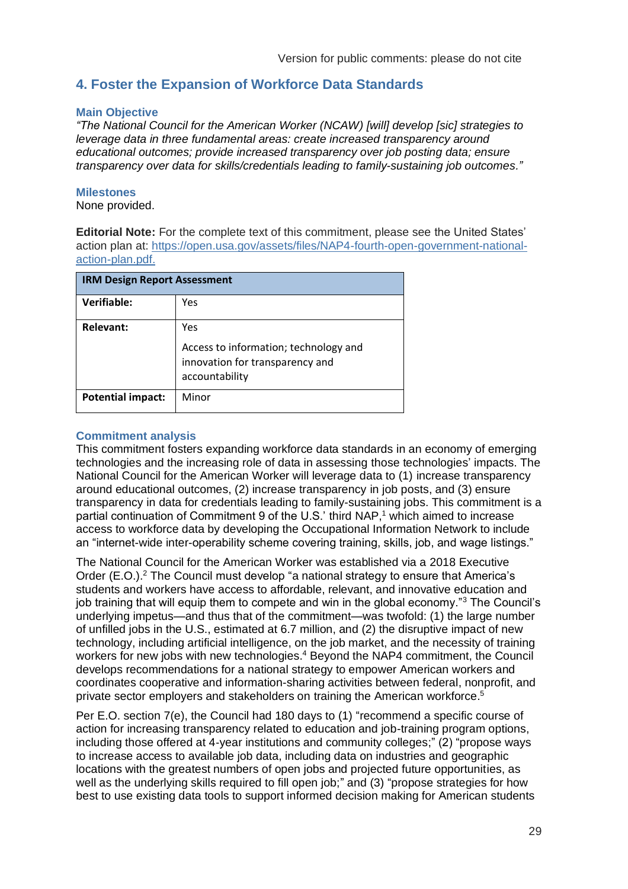## <span id="page-28-0"></span>**4. Foster the Expansion of Workforce Data Standards**

#### **Main Objective**

*"The National Council for the American Worker (NCAW) [will] develop [sic] strategies to leverage data in three fundamental areas: create increased transparency around educational outcomes; provide increased transparency over job posting data; ensure transparency over data for skills/credentials leading to family-sustaining job outcomes."*

#### **Milestones**

None provided.

**Editorial Note:** For the complete text of this commitment, please see the United States' action plan at: [https://open.usa.gov/assets/files/NAP4-fourth-open-government-national](https://open.usa.gov/assets/files/NAP4-fourth-open-government-national-action-plan.pdf)[action-plan.pdf.](https://open.usa.gov/assets/files/NAP4-fourth-open-government-national-action-plan.pdf)

| <b>IRM Design Report Assessment</b> |                                                                                                   |
|-------------------------------------|---------------------------------------------------------------------------------------------------|
| Verifiable:                         | Yes                                                                                               |
| Relevant:                           | Yes<br>Access to information; technology and<br>innovation for transparency and<br>accountability |
| <b>Potential impact:</b>            | Minor                                                                                             |

#### **Commitment analysis**

This commitment fosters expanding workforce data standards in an economy of emerging technologies and the increasing role of data in assessing those technologies' impacts. The National Council for the American Worker will leverage data to (1) increase transparency around educational outcomes, (2) increase transparency in job posts, and (3) ensure transparency in data for credentials leading to family-sustaining jobs. This commitment is a partial continuation of Commitment 9 of the U.S.' third NAP, <sup>1</sup> which aimed to increase access to workforce data by developing the Occupational Information Network to include an "internet-wide inter-operability scheme covering training, skills, job, and wage listings."

The National Council for the American Worker was established via a 2018 Executive Order (E.O.).<sup>2</sup> The Council must develop "a national strategy to ensure that America's students and workers have access to affordable, relevant, and innovative education and job training that will equip them to compete and win in the global economy."<sup>3</sup> The Council's underlying impetus—and thus that of the commitment—was twofold: (1) the large number of unfilled jobs in the U.S., estimated at 6.7 million, and (2) the disruptive impact of new technology, including artificial intelligence, on the job market, and the necessity of training workers for new jobs with new technologies. <sup>4</sup> Beyond the NAP4 commitment, the Council develops recommendations for a national strategy to empower American workers and coordinates cooperative and information-sharing activities between federal, nonprofit, and private sector employers and stakeholders on training the American workforce.<sup>5</sup>

Per E.O. section 7(e), the Council had 180 days to (1) "recommend a specific course of action for increasing transparency related to education and job-training program options, including those offered at 4‑year institutions and community colleges;" (2) "propose ways to increase access to available job data, including data on industries and geographic locations with the greatest numbers of open jobs and projected future opportunities, as well as the underlying skills required to fill open job;" and (3) "propose strategies for how best to use existing data tools to support informed decision making for American students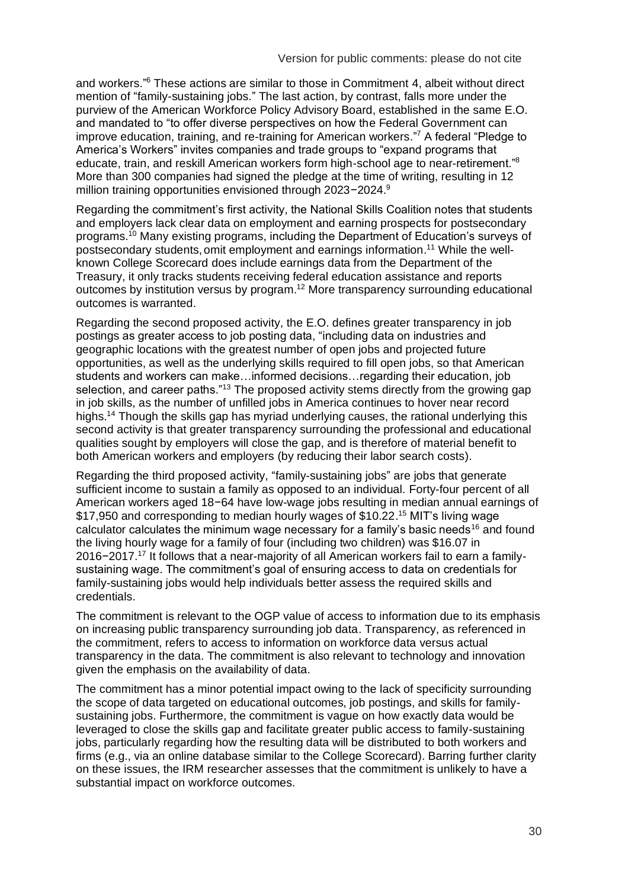and workers."<sup>6</sup> These actions are similar to those in Commitment 4, albeit without direct mention of "family-sustaining jobs." The last action, by contrast, falls more under the purview of the American Workforce Policy Advisory Board, established in the same E.O. and mandated to "to offer diverse perspectives on how the Federal Government can improve education, training, and re-training for American workers." <sup>7</sup> A federal "Pledge to America's Workers" invites companies and trade groups to "expand programs that educate, train, and reskill American workers form high-school age to near-retirement."<sup>8</sup> More than 300 companies had signed the pledge at the time of writing, resulting in 12 million training opportunities envisioned through 2023−2024.<sup>9</sup>

Regarding the commitment's first activity, the National Skills Coalition notes that students and employers lack clear data on employment and earning prospects for postsecondary programs.<sup>10</sup> Many existing programs, including the Department of Education's surveys of postsecondary students, omit employment and earnings information.<sup>11</sup> While the wellknown College Scorecard does include earnings data from the Department of the Treasury, it only tracks students receiving federal education assistance and reports outcomes by institution versus by program.<sup>12</sup> More transparency surrounding educational outcomes is warranted.

Regarding the second proposed activity, the E.O. defines greater transparency in job postings as greater access to job posting data, "including data on industries and geographic locations with the greatest number of open jobs and projected future opportunities, as well as the underlying skills required to fill open jobs, so that American students and workers can make…informed decisions…regarding their education, job selection, and career paths."<sup>13</sup> The proposed activity stems directly from the growing gap in job skills, as the number of unfilled jobs in America continues to hover near record highs.<sup>14</sup> Though the skills gap has myriad underlying causes, the rational underlying this second activity is that greater transparency surrounding the professional and educational qualities sought by employers will close the gap, and is therefore of material benefit to both American workers and employers (by reducing their labor search costs).

Regarding the third proposed activity, "family-sustaining jobs" are jobs that generate sufficient income to sustain a family as opposed to an individual. Forty-four percent of all American workers aged 18−64 have low-wage jobs resulting in median annual earnings of \$17,950 and corresponding to median hourly wages of \$10.22. <sup>15</sup> MIT's living wage calculator calculates the minimum wage necessary for a family's basic needs<sup>16</sup> and found the living hourly wage for a family of four (including two children) was \$16.07 in 2016−2017.<sup>17</sup> It follows that a near-majority of all American workers fail to earn a familysustaining wage. The commitment's goal of ensuring access to data on credentials for family-sustaining jobs would help individuals better assess the required skills and credentials.

The commitment is relevant to the OGP value of access to information due to its emphasis on increasing public transparency surrounding job data. Transparency, as referenced in the commitment, refers to access to information on workforce data versus actual transparency in the data. The commitment is also relevant to technology and innovation given the emphasis on the availability of data.

The commitment has a minor potential impact owing to the lack of specificity surrounding the scope of data targeted on educational outcomes, job postings, and skills for familysustaining jobs. Furthermore, the commitment is vague on how exactly data would be leveraged to close the skills gap and facilitate greater public access to family-sustaining jobs, particularly regarding how the resulting data will be distributed to both workers and firms (e.g., via an online database similar to the College Scorecard). Barring further clarity on these issues, the IRM researcher assesses that the commitment is unlikely to have a substantial impact on workforce outcomes.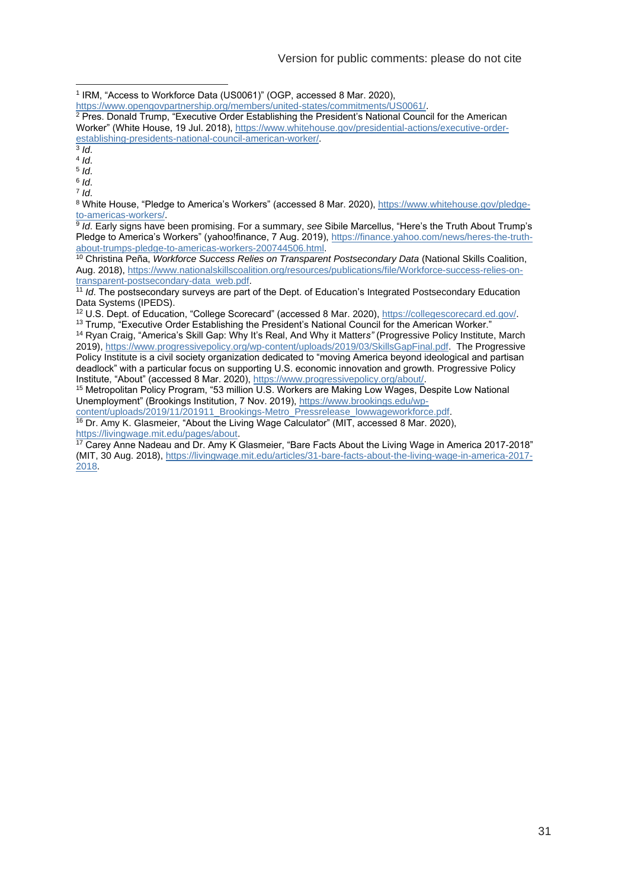<sup>1</sup> IRM, "Access to Workforce Data (US0061)" (OGP, accessed 8 Mar. 2020),

[https://www.opengovpartnership.org/members/united-states/commitments/US0061/.](https://www.opengovpartnership.org/members/united-states/commitments/US0061/)

<sup>2</sup> Pres. Donald Trump, "Executive Order Establishing the President's National Council for the American Worker" (White House, 19 Jul. 2018), [https://www.whitehouse.gov/presidential-actions/executive-order](https://www.whitehouse.gov/presidential-actions/executive-order-establishing-presidents-national-council-american-worker/)[establishing-presidents-national-council-american-worker/.](https://www.whitehouse.gov/presidential-actions/executive-order-establishing-presidents-national-council-american-worker/) 3 *Id*.

4 *Id*.

5 *Id*.

6 *Id*. 7 *Id*.

8 White House, "Pledge to America's Workers" (accessed 8 Mar. 2020), [https://www.whitehouse.gov/pledge](https://www.whitehouse.gov/pledge-to-americas-workers/)[to-americas-workers/.](https://www.whitehouse.gov/pledge-to-americas-workers/)

9 *Id*. Early signs have been promising. For a summary, *see* Sibile Marcellus, "Here's the Truth About Trump's Pledge to America's Workers" (yahoo!finance, 7 Aug. 2019), [https://finance.yahoo.com/news/heres-the-truth](https://finance.yahoo.com/news/heres-the-truth-about-trumps-pledge-to-americas-workers-200744506.html)[about-trumps-pledge-to-americas-workers-200744506.html.](https://finance.yahoo.com/news/heres-the-truth-about-trumps-pledge-to-americas-workers-200744506.html)

<sup>10</sup> Christina Peña, *Workforce Success Relies on Transparent Postsecondary Data* (National Skills Coalition, Aug. 2018), [https://www.nationalskillscoalition.org/resources/publications/file/Workforce-success-relies-on](https://www.nationalskillscoalition.org/resources/publications/file/Workforce-success-relies-on-transparent-postsecondary-data_web.pdf)[transparent-postsecondary-data\\_web.pdf.](https://www.nationalskillscoalition.org/resources/publications/file/Workforce-success-relies-on-transparent-postsecondary-data_web.pdf)

<sup>11</sup> *Id*. The postsecondary surveys are part of the Dept. of Education's Integrated Postsecondary Education Data Systems (IPEDS).

<sup>12</sup> U.S. Dept. of Education, "College Scorecard" (accessed 8 Mar. 2020), [https://collegescorecard.ed.gov/.](https://collegescorecard.ed.gov/) 

<sup>13</sup> Trump, "Executive Order Establishing the President's National Council for the American Worker."

<sup>14</sup> Ryan Craig, "America's Skill Gap: Why It's Real, And Why it Matter*s"* (Progressive Policy Institute, March 2019), [https://www.progressivepolicy.org/wp-content/uploads/2019/03/SkillsGapFinal.pdf.](https://www.progressivepolicy.org/wp-content/uploads/2019/03/SkillsGapFinal.pdf) The Progressive Policy Institute is a civil society organization dedicated to "moving America beyond ideological and partisan deadlock" with a particular focus on supporting U.S. economic innovation and growth. Progressive Policy Institute, "About" (accessed 8 Mar. 2020), [https://www.progressivepolicy.org/about/.](https://www.progressivepolicy.org/about/)

<sup>15</sup> Metropolitan Policy Program, "53 million U.S. Workers are Making Low Wages, Despite Low National Unemployment" (Brookings Institution, 7 Nov. 2019)[, https://www.brookings.edu/wp-](https://www.brookings.edu/wp-content/uploads/2019/11/201911_Brookings-Metro_Pressrelease_lowwageworkforce.pdf)

[content/uploads/2019/11/201911\\_Brookings-Metro\\_Pressrelease\\_lowwageworkforce.pdf.](https://www.brookings.edu/wp-content/uploads/2019/11/201911_Brookings-Metro_Pressrelease_lowwageworkforce.pdf) <sup>16</sup> Dr. Amy K. Glasmeier, "About the Living Wage Calculator" (MIT, accessed 8 Mar. 2020), [https://livingwage.mit.edu/pages/about.](https://livingwage.mit.edu/pages/about)

<sup>17</sup> Carey Anne Nadeau and Dr. Amy K Glasmeier, "Bare Facts About the Living Wage in America 2017-2018" (MIT, 30 Aug. 2018), [https://livingwage.mit.edu/articles/31-bare-facts-about-the-living-wage-in-america-2017-](https://livingwage.mit.edu/articles/31-bare-facts-about-the-living-wage-in-america-2017-2018) [2018.](https://livingwage.mit.edu/articles/31-bare-facts-about-the-living-wage-in-america-2017-2018)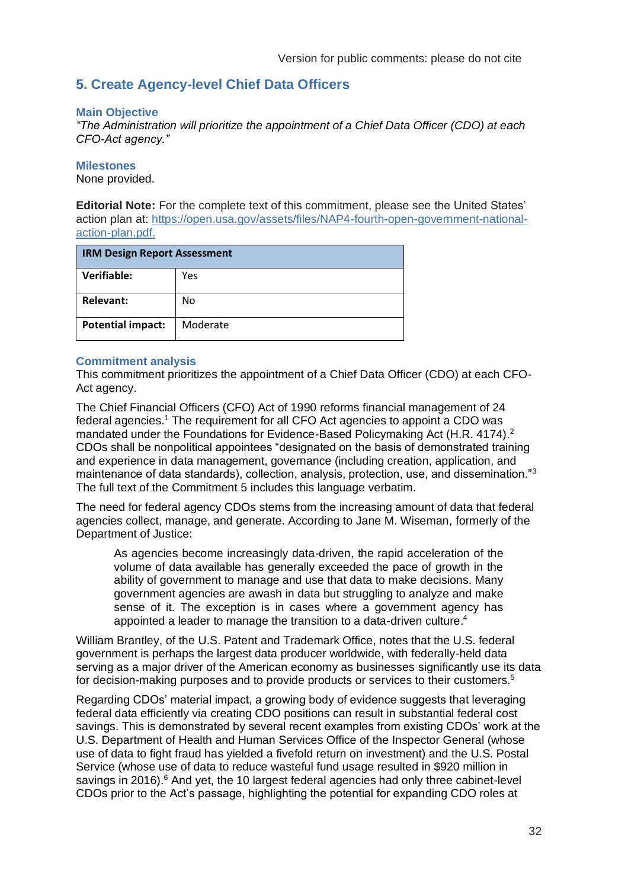# <span id="page-31-0"></span>**5. Create Agency-level Chief Data Officers**

#### **Main Objective**

*"The Administration will prioritize the appointment of a Chief Data Officer (CDO) at each CFO-Act agency."*

#### **Milestones**

None provided.

**Editorial Note:** For the complete text of this commitment, please see the United States' action plan at: [https://open.usa.gov/assets/files/NAP4-fourth-open-government-national](https://open.usa.gov/assets/files/NAP4-fourth-open-government-national-action-plan.pdf)[action-plan.pdf.](https://open.usa.gov/assets/files/NAP4-fourth-open-government-national-action-plan.pdf)

| <b>IRM Design Report Assessment</b> |          |
|-------------------------------------|----------|
| Verifiable:                         | Yes      |
| <b>Relevant:</b>                    | No       |
| <b>Potential impact:</b>            | Moderate |

#### **Commitment analysis**

This commitment prioritizes the appointment of a Chief Data Officer (CDO) at each CFO-Act agency.

The Chief Financial Officers (CFO) Act of 1990 reforms financial management of 24 federal agencies.<sup>1</sup> The requirement for all CFO Act agencies to appoint a CDO was mandated under the Foundations for Evidence-Based Policymaking Act (H.R. 4174).<sup>2</sup> CDOs shall be nonpolitical appointees "designated on the basis of demonstrated training and experience in data management, governance (including creation, application, and maintenance of data standards), collection, analysis, protection, use, and dissemination."<sup>3</sup> The full text of the Commitment 5 includes this language verbatim.

The need for federal agency CDOs stems from the increasing amount of data that federal agencies collect, manage, and generate. According to Jane M. Wiseman, formerly of the Department of Justice:

As agencies become increasingly data-driven, the rapid acceleration of the volume of data available has generally exceeded the pace of growth in the ability of government to manage and use that data to make decisions. Many government agencies are awash in data but struggling to analyze and make sense of it. The exception is in cases where a government agency has appointed a leader to manage the transition to a data-driven culture. 4

William Brantley, of the U.S. Patent and Trademark Office, notes that the U.S. federal government is perhaps the largest data producer worldwide, with federally-held data serving as a major driver of the American economy as businesses significantly use its data for decision-making purposes and to provide products or services to their customers.<sup>5</sup>

Regarding CDOs' material impact, a growing body of evidence suggests that leveraging federal data efficiently via creating CDO positions can result in substantial federal cost savings. This is demonstrated by several recent examples from existing CDOs' work at the U.S. Department of Health and Human Services Office of the Inspector General (whose use of data to fight fraud has yielded a fivefold return on investment) and the U.S. Postal Service (whose use of data to reduce wasteful fund usage resulted in \$920 million in savings in 2016). $6$  And yet, the 10 largest federal agencies had only three cabinet-level CDOs prior to the Act's passage, highlighting the potential for expanding CDO roles at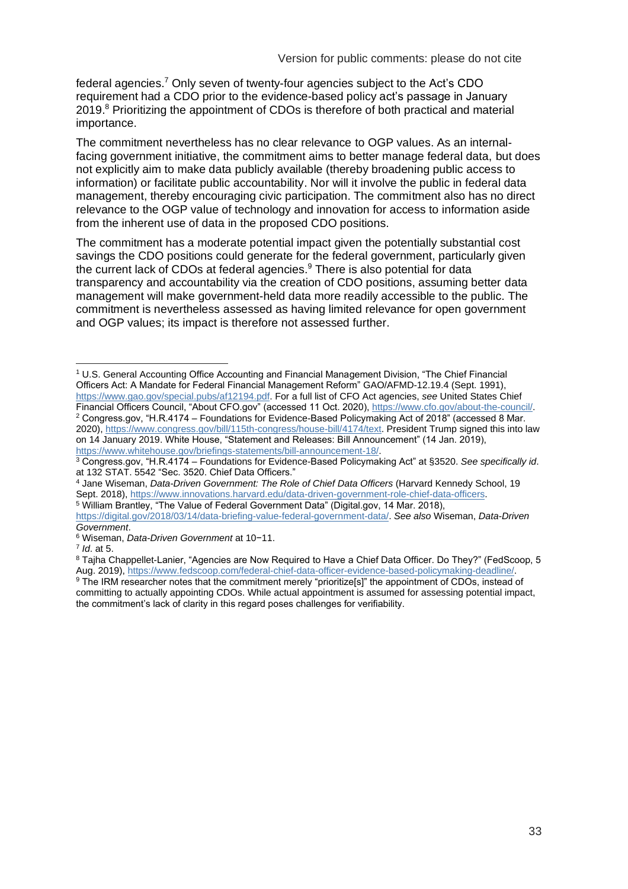federal agencies.<sup>7</sup> Only seven of twenty-four agencies subject to the Act's CDO requirement had a CDO prior to the evidence-based policy act's passage in January 2019.<sup>8</sup> Prioritizing the appointment of CDOs is therefore of both practical and material importance.

The commitment nevertheless has no clear relevance to OGP values. As an internalfacing government initiative, the commitment aims to better manage federal data, but does not explicitly aim to make data publicly available (thereby broadening public access to information) or facilitate public accountability. Nor will it involve the public in federal data management, thereby encouraging civic participation. The commitment also has no direct relevance to the OGP value of technology and innovation for access to information aside from the inherent use of data in the proposed CDO positions.

The commitment has a moderate potential impact given the potentially substantial cost savings the CDO positions could generate for the federal government, particularly given the current lack of CDOs at federal agencies.<sup>9</sup> There is also potential for data transparency and accountability via the creation of CDO positions, assuming better data management will make government-held data more readily accessible to the public. The commitment is nevertheless assessed as having limited relevance for open government and OGP values; its impact is therefore not assessed further.

<sup>1</sup> U.S. General Accounting Office Accounting and Financial Management Division, "The Chief Financial Officers Act: A Mandate for Federal Financial Management Reform" GAO/AFMD-12.19.4 (Sept. 1991), [https://www.gao.gov/special.pubs/af12194.pdf.](https://www.gao.gov/special.pubs/af12194.pdf) For a full list of CFO Act agencies, *see* United States Chief Financial Officers Council, "About CFO.gov" (accessed 11 Oct. 2020)[, https://www.cfo.gov/about-the-council/.](https://www.cfo.gov/about-the-council/) <sup>2</sup> Congress.gov, "H.R.4174 – Foundations for Evidence-Based Policymaking Act of 2018" (accessed 8 Mar.

<sup>2020),</sup> [https://www.congress.gov/bill/115th-congress/house-bill/4174/text.](https://www.congress.gov/bill/115th-congress/house-bill/4174/text) President Trump signed this into law on 14 January 2019. White House, "Statement and Releases: Bill Announcement" (14 Jan. 2019), [https://www.whitehouse.gov/briefings-statements/bill-announcement-18/.](https://www.whitehouse.gov/briefings-statements/bill-announcement-18/)

<sup>3</sup> Congress.gov, "H.R.4174 – Foundations for Evidence-Based Policymaking Act" at §3520. *See specifically id*. at 132 STAT. 5542 "Sec. 3520. Chief Data Officers."

<sup>4</sup> Jane Wiseman, *Data-Driven Government: The Role of Chief Data Officers* (Harvard Kennedy School, 19 Sept. 2018)[, https://www.innovations.harvard.edu/data-driven-government-role-chief-data-officers.](https://www.innovations.harvard.edu/data-driven-government-role-chief-data-officers) <sup>5</sup> William Brantley, "The Value of Federal Government Data" (Digital.gov, 14 Mar. 2018),

[https://digital.gov/2018/03/14/data-briefing-value-federal-government-data/.](https://digital.gov/2018/03/14/data-briefing-value-federal-government-data/) *See also* Wiseman, *Data-Driven Government*.

<sup>6</sup> Wiseman, *Data-Driven Government* at 10−11.

<sup>7</sup> *Id*. at 5.

<sup>8</sup> Tajha Chappellet-Lanier, "Agencies are Now Required to Have a Chief Data Officer. Do They?" (FedScoop, 5 Aug. 2019), [https://www.fedscoop.com/federal-chief-data-officer-evidence-based-policymaking-deadline/.](https://www.fedscoop.com/federal-chief-data-officer-evidence-based-policymaking-deadline/)

<sup>&</sup>lt;sup>9</sup> The IRM researcher notes that the commitment merely "prioritize[s]" the appointment of CDOs, instead of committing to actually appointing CDOs. While actual appointment is assumed for assessing potential impact, the commitment's lack of clarity in this regard poses challenges for verifiability.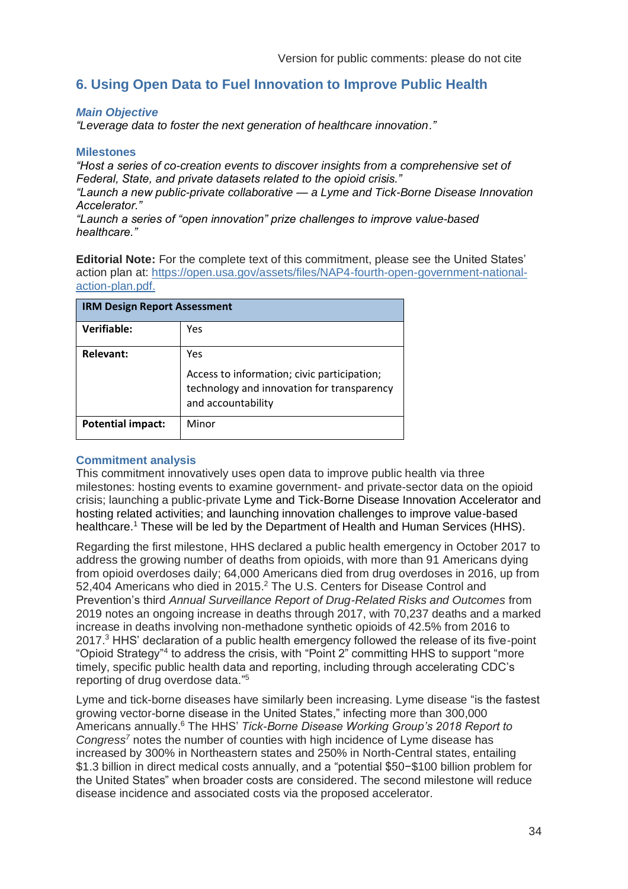## <span id="page-33-0"></span>**6. Using Open Data to Fuel Innovation to Improve Public Health**

#### *Main Objective*

*"Leverage data to foster the next generation of healthcare innovation."*

#### **Milestones**

*"Host a series of co-creation events to discover insights from a comprehensive set of Federal, State, and private datasets related to the opioid crisis."*

*"Launch a new public-private collaborative — a Lyme and Tick-Borne Disease Innovation Accelerator."*

*"Launch a series of "open innovation" prize challenges to improve value-based healthcare."*

**Editorial Note:** For the complete text of this commitment, please see the United States' action plan at: [https://open.usa.gov/assets/files/NAP4-fourth-open-government-national](https://open.usa.gov/assets/files/NAP4-fourth-open-government-national-action-plan.pdf)[action-plan.pdf.](https://open.usa.gov/assets/files/NAP4-fourth-open-government-national-action-plan.pdf)

| <b>IRM Design Report Assessment</b> |                                                                                                                 |
|-------------------------------------|-----------------------------------------------------------------------------------------------------------------|
| Verifiable:                         | Yes                                                                                                             |
| <b>Relevant:</b>                    | Yes                                                                                                             |
|                                     | Access to information; civic participation;<br>technology and innovation for transparency<br>and accountability |
| <b>Potential impact:</b>            | Minor                                                                                                           |

#### **Commitment analysis**

This commitment innovatively uses open data to improve public health via three milestones: hosting events to examine government- and private-sector data on the opioid crisis; launching a public-private Lyme and Tick-Borne Disease Innovation Accelerator and hosting related activities; and launching innovation challenges to improve value-based healthcare.<sup>1</sup> These will be led by the Department of Health and Human Services (HHS).

Regarding the first milestone, HHS declared a public health emergency in October 2017 to address the growing number of deaths from opioids, with more than 91 Americans dying from opioid overdoses daily; 64,000 Americans died from drug overdoses in 2016, up from 52,404 Americans who died in 2015.<sup>2</sup> The U.S. Centers for Disease Control and Prevention's third *Annual Surveillance Report of Drug-Related Risks and Outcomes* from 2019 notes an ongoing increase in deaths through 2017, with 70,237 deaths and a marked increase in deaths involving non-methadone synthetic opioids of 42.5% from 2016 to 2017.<sup>3</sup> HHS' declaration of a public health emergency followed the release of its five-point "Opioid Strategy"<sup>4</sup> to address the crisis, with "Point 2" committing HHS to support "more timely, specific public health data and reporting, including through accelerating CDC's reporting of drug overdose data." 5

Lyme and tick-borne diseases have similarly been increasing. Lyme disease "is the fastest growing vector-borne disease in the United States," infecting more than 300,000 Americans annually. <sup>6</sup> The HHS' *Tick-Borne Disease Working Group's 2018 Report to Congress<sup>7</sup>* notes the number of counties with high incidence of Lyme disease has increased by 300% in Northeastern states and 250% in North-Central states, entailing \$1.3 billion in direct medical costs annually, and a "potential \$50−\$100 billion problem for the United States" when broader costs are considered. The second milestone will reduce disease incidence and associated costs via the proposed accelerator.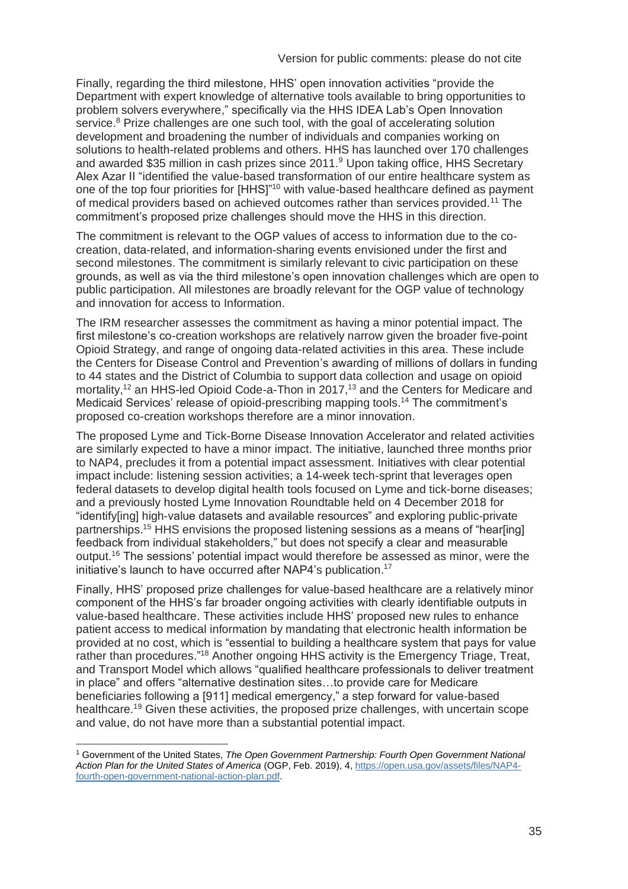Finally, regarding the third milestone, HHS' open innovation activities "provide the Department with expert knowledge of alternative tools available to bring opportunities to problem solvers everywhere," specifically via the HHS IDEA Lab's Open Innovation service.<sup>8</sup> Prize challenges are one such tool, with the goal of accelerating solution development and broadening the number of individuals and companies working on solutions to health-related problems and others. HHS has launched over 170 challenges and awarded \$35 million in cash prizes since 2011.<sup>9</sup> Upon taking office, HHS Secretary Alex Azar II "identified the value-based transformation of our entire healthcare system as one of the top four priorities for [HHS]"<sup>10</sup> with value-based healthcare defined as payment of medical providers based on achieved outcomes rather than services provided.<sup>11</sup> The commitment's proposed prize challenges should move the HHS in this direction.

The commitment is relevant to the OGP values of access to information due to the cocreation, data-related, and information-sharing events envisioned under the first and second milestones. The commitment is similarly relevant to civic participation on these grounds, as well as via the third milestone's open innovation challenges which are open to public participation. All milestones are broadly relevant for the OGP value of technology and innovation for access to Information.

The IRM researcher assesses the commitment as having a minor potential impact. The first milestone's co-creation workshops are relatively narrow given the broader five-point Opioid Strategy, and range of ongoing data-related activities in this area. These include the Centers for Disease Control and Prevention's awarding of millions of dollars in funding to 44 states and the District of Columbia to support data collection and usage on opioid mortality,<sup>12</sup> an HHS-led Opioid Code-a-Thon in 2017,<sup>13</sup> and the Centers for Medicare and Medicaid Services' release of opioid-prescribing mapping tools. <sup>14</sup> The commitment's proposed co-creation workshops therefore are a minor innovation.

The proposed Lyme and Tick-Borne Disease Innovation Accelerator and related activities are similarly expected to have a minor impact. The initiative, launched three months prior to NAP4, precludes it from a potential impact assessment. Initiatives with clear potential impact include: listening session activities; a 14-week tech-sprint that leverages open federal datasets to develop digital health tools focused on Lyme and tick-borne diseases; and a previously hosted Lyme Innovation Roundtable held on 4 December 2018 for "identify[ing] high-value datasets and available resources" and exploring public-private partnerships.<sup>15</sup> HHS envisions the proposed listening sessions as a means of "hear[ing] feedback from individual stakeholders," but does not specify a clear and measurable output.<sup>16</sup> The sessions' potential impact would therefore be assessed as minor, were the initiative's launch to have occurred after NAP4's publication. 17

Finally, HHS' proposed prize challenges for value-based healthcare are a relatively minor component of the HHS's far broader ongoing activities with clearly identifiable outputs in value-based healthcare. These activities include HHS' proposed new rules to enhance patient access to medical information by mandating that electronic health information be provided at no cost, which is "essential to building a healthcare system that pays for value rather than procedures."<sup>18</sup> Another ongoing HHS activity is the Emergency Triage, Treat, and Transport Model which allows "qualified healthcare professionals to deliver treatment in place" and offers "alternative destination sites…to provide care for Medicare beneficiaries following a [911] medical emergency," a step forward for value-based healthcare.<sup>19</sup> Given these activities, the proposed prize challenges, with uncertain scope and value, do not have more than a substantial potential impact.

<sup>1</sup> Government of the United States, *The Open Government Partnership: Fourth Open Government National Action Plan for the United States of America* (OGP, Feb. 2019), 4[, https://open.usa.gov/assets/files/NAP4](https://open.usa.gov/assets/files/NAP4-fourth-open-government-national-action-plan.pdf) [fourth-open-government-national-action-plan.pdf.](https://open.usa.gov/assets/files/NAP4-fourth-open-government-national-action-plan.pdf)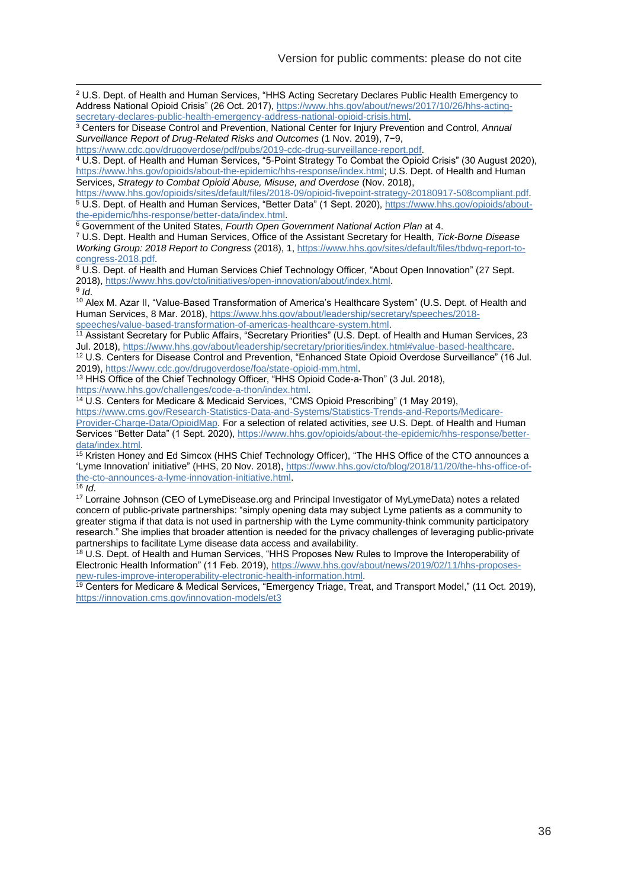<sup>2</sup> U.S. Dept. of Health and Human Services, "HHS Acting Secretary Declares Public Health Emergency to Address National Opioid Crisis" (26 Oct. 2017), [https://www.hhs.gov/about/news/2017/10/26/hhs-acting](https://www.hhs.gov/about/news/2017/10/26/hhs-acting-secretary-declares-public-health-emergency-address-national-opioid-crisis.html)[secretary-declares-public-health-emergency-address-national-opioid-crisis.html.](https://www.hhs.gov/about/news/2017/10/26/hhs-acting-secretary-declares-public-health-emergency-address-national-opioid-crisis.html)

<sup>3</sup> Centers for Disease Control and Prevention, National Center for Injury Prevention and Control, *Annual Surveillance Report of Drug-Related Risks and Outcomes* (1 Nov. 2019), 7−9,

[https://www.cdc.gov/drugoverdose/pdf/pubs/2019-cdc-drug-surveillance-report.pdf.](https://www.cdc.gov/drugoverdose/pdf/pubs/2019-cdc-drug-surveillance-report.pdf)

<sup>4</sup> U.S. Dept. of Health and Human Services, "5-Point Strategy To Combat the Opioid Crisis" (30 August 2020), [https://www.hhs.gov/opioids/about-the-epidemic/hhs-response/index.html;](https://www.hhs.gov/opioids/about-the-epidemic/hhs-response/index.html) U.S. Dept. of Health and Human Services, *Strategy to Combat Opioid Abuse, Misuse, and Overdose* (Nov. 2018),

[https://www.hhs.gov/opioids/sites/default/files/2018-09/opioid-fivepoint-strategy-20180917-508compliant.pdf.](https://www.hhs.gov/opioids/sites/default/files/2018-09/opioid-fivepoint-strategy-20180917-508compliant.pdf) <sup>5</sup> U.S. Dept. of Health and Human Services, "Better Data" (1 Sept. 2020), [https://www.hhs.gov/opioids/about](https://www.hhs.gov/opioids/about-the-epidemic/hhs-response/better-data/index.html)[the-epidemic/hhs-response/better-data/index.html.](https://www.hhs.gov/opioids/about-the-epidemic/hhs-response/better-data/index.html)

<sup>6</sup> Government of the United States, *Fourth Open Government National Action Plan* at 4.

<sup>7</sup> U.S. Dept. Health and Human Services, Office of the Assistant Secretary for Health, *Tick-Borne Disease Working Group: 2018 Report to Congress* (2018), 1[, https://www.hhs.gov/sites/default/files/tbdwg-report-to](https://www.hhs.gov/sites/default/files/tbdwg-report-to-congress-2018.pdf)[congress-2018.pdf.](https://www.hhs.gov/sites/default/files/tbdwg-report-to-congress-2018.pdf)

 $8$  U.S. Dept. of Health and Human Services Chief Technology Officer, "About Open Innovation" (27 Sept. 2018), [https://www.hhs.gov/cto/initiatives/open-innovation/about/index.html.](https://www.hhs.gov/cto/initiatives/open-innovation/about/index.html) 9 *Id*.

<sup>10</sup> Alex M. Azar II, "Value-Based Transformation of America's Healthcare System" (U.S. Dept. of Health and Human Services, 8 Mar. 2018), [https://www.hhs.gov/about/leadership/secretary/speeches/2018](https://www.hhs.gov/about/leadership/secretary/speeches/2018-speeches/value-based-transformation-of-americas-healthcare-system.html) [speeches/value-based-transformation-of-americas-healthcare-system.html.](https://www.hhs.gov/about/leadership/secretary/speeches/2018-speeches/value-based-transformation-of-americas-healthcare-system.html)

<sup>11</sup> Assistant Secretary for Public Affairs, "Secretary Priorities" (U.S. Dept. of Health and Human Services, 23 Jul. 2018)[, https://www.hhs.gov/about/leadership/secretary/priorities/index.html#value-based-healthcare.](https://www.hhs.gov/about/leadership/secretary/priorities/index.html#value-based-healthcare)

<sup>12</sup> U.S. Centers for Disease Control and Prevention, "Enhanced State Opioid Overdose Surveillance" (16 Jul. 2019), [https://www.cdc.gov/drugoverdose/foa/state-opioid-mm.html.](https://www.cdc.gov/drugoverdose/foa/state-opioid-mm.html)

<sup>13</sup> HHS Office of the Chief Technology Officer, "HHS Opioid Code-a-Thon" (3 Jul. 2018), [https://www.hhs.gov/challenges/code-a-thon/index.html.](https://www.hhs.gov/challenges/code-a-thon/index.html)

<sup>14</sup> U.S. Centers for Medicare & Medicaid Services, "CMS Opioid Prescribing" (1 May 2019), [https://www.cms.gov/Research-Statistics-Data-and-Systems/Statistics-Trends-and-Reports/Medicare-](https://www.cms.gov/Research-Statistics-Data-and-Systems/Statistics-Trends-and-Reports/Medicare-Provider-Charge-Data/OpioidMap)[Provider-Charge-Data/OpioidMap.](https://www.cms.gov/Research-Statistics-Data-and-Systems/Statistics-Trends-and-Reports/Medicare-Provider-Charge-Data/OpioidMap) For a selection of related activities, *see* U.S. Dept. of Health and Human

Services "Better Data" (1 Sept. 2020), [https://www.hhs.gov/opioids/about-the-epidemic/hhs-response/better](https://www.hhs.gov/opioids/about-the-epidemic/hhs-response/better-data/index.html)[data/index.html.](https://www.hhs.gov/opioids/about-the-epidemic/hhs-response/better-data/index.html)

<sup>15</sup> Kristen Honey and Ed Simcox (HHS Chief Technology Officer), "The HHS Office of the CTO announces a 'Lyme Innovation' initiative" (HHS, 20 Nov. 2018), [https://www.hhs.gov/cto/blog/2018/11/20/the-hhs-office-of](https://www.hhs.gov/cto/blog/2018/11/20/the-hhs-office-of-the-cto-announces-a-lyme-innovation-initiative.html)[the-cto-announces-a-lyme-innovation-initiative.html.](https://www.hhs.gov/cto/blog/2018/11/20/the-hhs-office-of-the-cto-announces-a-lyme-innovation-initiative.html)

 $\overline{16}$  *Id.* 

<sup>17</sup> Lorraine Johnson (CEO of LymeDisease.org and Principal Investigator of MyLymeData) notes a related concern of public-private partnerships: "simply opening data may subject Lyme patients as a community to greater stigma if that data is not used in partnership with the Lyme community-think community participatory research." She implies that broader attention is needed for the privacy challenges of leveraging public-private partnerships to facilitate Lyme disease data access and availability.

18 U.S. Dept. of Health and Human Services, "HHS Proposes New Rules to Improve the Interoperability of Electronic Health Information" (11 Feb. 2019), [https://www.hhs.gov/about/news/2019/02/11/hhs-proposes](https://www.hhs.gov/about/news/2019/02/11/hhs-proposes-new-rules-improve-interoperability-electronic-health-information.html)[new-rules-improve-interoperability-electronic-health-information.html.](https://www.hhs.gov/about/news/2019/02/11/hhs-proposes-new-rules-improve-interoperability-electronic-health-information.html)

<sup>19</sup> Centers for Medicare & Medical Services, "Emergency Triage, Treat, and Transport Model," (11 Oct. 2019), <https://innovation.cms.gov/innovation-models/et3>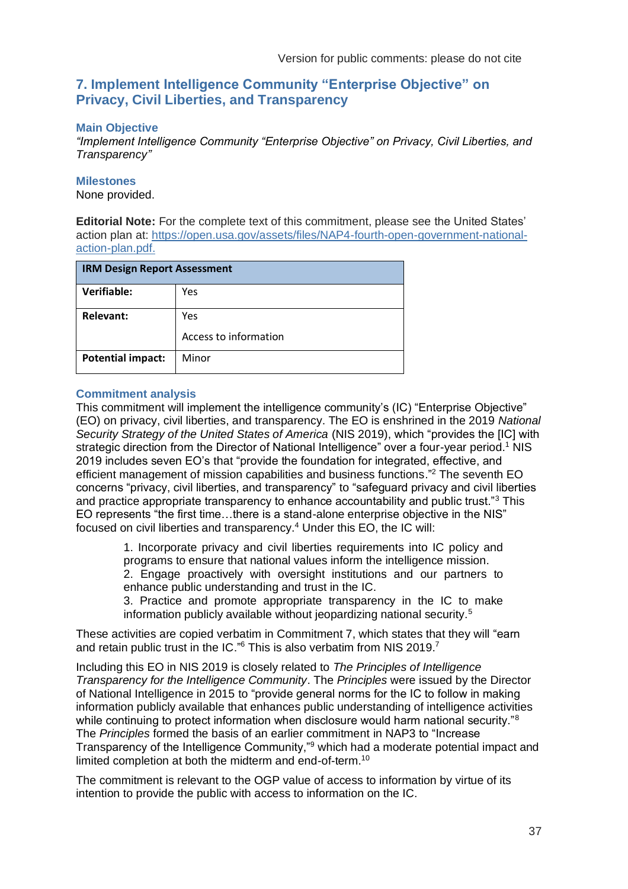### <span id="page-36-0"></span>**7. Implement Intelligence Community "Enterprise Objective" on Privacy, Civil Liberties, and Transparency**

#### **Main Objective**

*"Implement Intelligence Community "Enterprise Objective" on Privacy, Civil Liberties, and Transparency"*

#### **Milestones**

None provided.

**Editorial Note:** For the complete text of this commitment, please see the United States' action plan at: [https://open.usa.gov/assets/files/NAP4-fourth-open-government-national](https://open.usa.gov/assets/files/NAP4-fourth-open-government-national-action-plan.pdf)[action-plan.pdf.](https://open.usa.gov/assets/files/NAP4-fourth-open-government-national-action-plan.pdf)

| <b>IRM Design Report Assessment</b> |                       |  |
|-------------------------------------|-----------------------|--|
| Verifiable:                         | Yes                   |  |
| <b>Relevant:</b>                    | Yes                   |  |
|                                     | Access to information |  |
| <b>Potential impact:</b>            | Minor                 |  |

#### **Commitment analysis**

This commitment will implement the intelligence community's (IC) "Enterprise Objective" (EO) on privacy, civil liberties, and transparency. The EO is enshrined in the 2019 *National Security Strategy of the United States of America* (NIS 2019), which "provides the [IC] with strategic direction from the Director of National Intelligence" over a four-year period.<sup>1</sup> NIS 2019 includes seven EO's that "provide the foundation for integrated, effective, and efficient management of mission capabilities and business functions."<sup>2</sup> The seventh EO concerns "privacy, civil liberties, and transparency" to "safeguard privacy and civil liberties and practice appropriate transparency to enhance accountability and public trust."<sup>3</sup> This EO represents "the first time…there is a stand-alone enterprise objective in the NIS" focused on civil liberties and transparency.<sup>4</sup> Under this EO, the IC will:

> 1. Incorporate privacy and civil liberties requirements into IC policy and programs to ensure that national values inform the intelligence mission. 2. Engage proactively with oversight institutions and our partners to enhance public understanding and trust in the IC.

> 3. Practice and promote appropriate transparency in the IC to make information publicly available without jeopardizing national security.<sup>5</sup>

These activities are copied verbatim in Commitment 7, which states that they will "earn and retain public trust in the IC." $6$  This is also verbatim from NIS 2019.<sup>7</sup>

Including this EO in NIS 2019 is closely related to *The Principles of Intelligence Transparency for the Intelligence Community*. The *Principles* were issued by the Director of National Intelligence in 2015 to "provide general norms for the IC to follow in making information publicly available that enhances public understanding of intelligence activities while continuing to protect information when disclosure would harm national security."<sup>8</sup> The *Principles* formed the basis of an earlier commitment in NAP3 to "Increase Transparency of the Intelligence Community,"<sup>9</sup> which had a moderate potential impact and limited completion at both the midterm and end-of-term.<sup>10</sup>

The commitment is relevant to the OGP value of access to information by virtue of its intention to provide the public with access to information on the IC.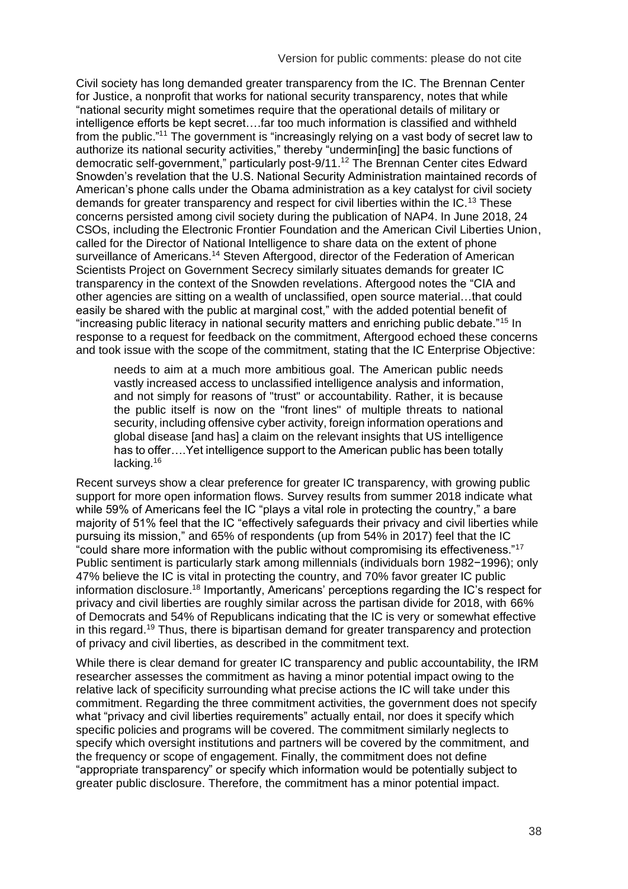Civil society has long demanded greater transparency from the IC. The Brennan Center for Justice, a nonprofit that works for national security transparency, notes that while "national security might sometimes require that the operational details of military or intelligence efforts be kept secret….far too much information is classified and withheld from the public."<sup>11</sup> The government is "increasingly relying on a vast body of secret law to authorize its national security activities," thereby "undermin[ing] the basic functions of democratic self-government," particularly post-9/11.<sup>12</sup> The Brennan Center cites Edward Snowden's revelation that the U.S. National Security Administration maintained records of American's phone calls under the Obama administration as a key catalyst for civil society demands for greater transparency and respect for civil liberties within the IC.<sup>13</sup> These concerns persisted among civil society during the publication of NAP4. In June 2018, 24 CSOs, including the Electronic Frontier Foundation and the American Civil Liberties Union, called for the Director of National Intelligence to share data on the extent of phone surveillance of Americans.<sup>14</sup> Steven Aftergood, director of the Federation of American Scientists Project on Government Secrecy similarly situates demands for greater IC transparency in the context of the Snowden revelations. Aftergood notes the "CIA and other agencies are sitting on a wealth of unclassified, open source material…that could easily be shared with the public at marginal cost," with the added potential benefit of "increasing public literacy in national security matters and enriching public debate."<sup>15</sup> In response to a request for feedback on the commitment, Aftergood echoed these concerns and took issue with the scope of the commitment, stating that the IC Enterprise Objective:

needs to aim at a much more ambitious goal. The American public needs vastly increased access to unclassified intelligence analysis and information, and not simply for reasons of "trust" or accountability. Rather, it is because the public itself is now on the "front lines" of multiple threats to national security, including offensive cyber activity, foreign information operations and global disease [and has] a claim on the relevant insights that US intelligence has to offer….Yet intelligence support to the American public has been totally lacking.<sup>16</sup>

Recent surveys show a clear preference for greater IC transparency, with growing public support for more open information flows. Survey results from summer 2018 indicate what while 59% of Americans feel the IC "plays a vital role in protecting the country," a bare majority of 51% feel that the IC "effectively safeguards their privacy and civil liberties while pursuing its mission," and 65% of respondents (up from 54% in 2017) feel that the IC "could share more information with the public without compromising its effectiveness."<sup>17</sup> Public sentiment is particularly stark among millennials (individuals born 1982−1996); only 47% believe the IC is vital in protecting the country, and 70% favor greater IC public information disclosure.<sup>18</sup> Importantly, Americans' perceptions regarding the IC's respect for privacy and civil liberties are roughly similar across the partisan divide for 2018, with 66% of Democrats and 54% of Republicans indicating that the IC is very or somewhat effective in this regard.<sup>19</sup> Thus, there is bipartisan demand for greater transparency and protection of privacy and civil liberties, as described in the commitment text.

While there is clear demand for greater IC transparency and public accountability, the IRM researcher assesses the commitment as having a minor potential impact owing to the relative lack of specificity surrounding what precise actions the IC will take under this commitment. Regarding the three commitment activities, the government does not specify what "privacy and civil liberties requirements" actually entail, nor does it specify which specific policies and programs will be covered. The commitment similarly neglects to specify which oversight institutions and partners will be covered by the commitment, and the frequency or scope of engagement. Finally, the commitment does not define "appropriate transparency" or specify which information would be potentially subject to greater public disclosure. Therefore, the commitment has a minor potential impact.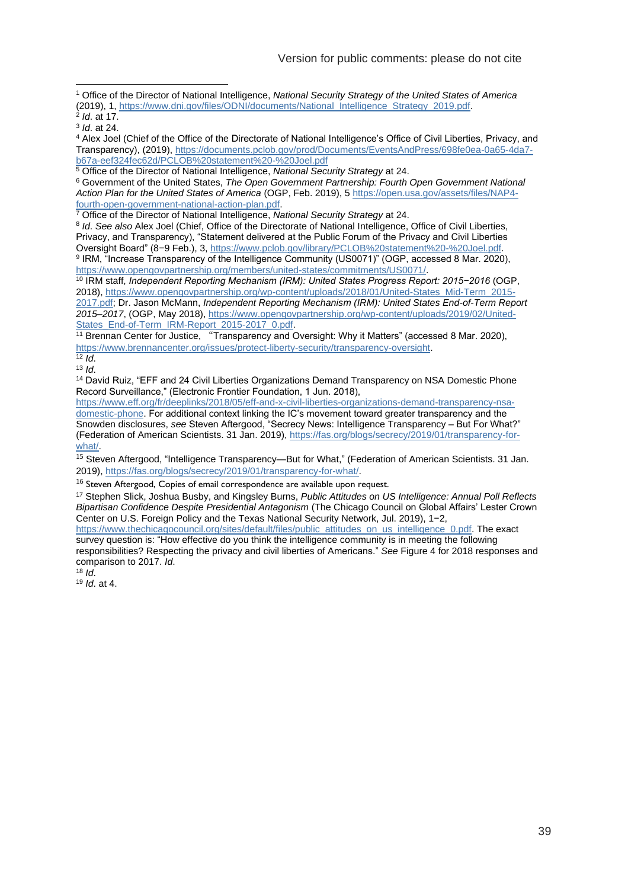<sup>1</sup> Office of the Director of National Intelligence, *National Security Strategy of the United States of America* (2019), 1, [https://www.dni.gov/files/ODNI/documents/National\\_Intelligence\\_Strategy\\_2019.pdf.](https://www.dni.gov/files/ODNI/documents/National_Intelligence_Strategy_2019.pdf)

2 *Id*. at 17.

3 *Id*. at 24.

<sup>4</sup> Alex Joel (Chief of the Office of the Directorate of National Intelligence's Office of Civil Liberties, Privacy, and Transparency), (2019), [https://documents.pclob.gov/prod/Documents/EventsAndPress/698fe0ea-0a65-4da7](https://documents.pclob.gov/prod/Documents/EventsAndPress/698fe0ea-0a65-4da7-b67a-eef324fec62d/PCLOB%20statement%20-%20Joel.pdf) [b67a-eef324fec62d/PCLOB%20statement%20-%20Joel.pdf](https://documents.pclob.gov/prod/Documents/EventsAndPress/698fe0ea-0a65-4da7-b67a-eef324fec62d/PCLOB%20statement%20-%20Joel.pdf)

<sup>5</sup> Office of the Director of National Intelligence, *National Security Strategy* at 24.

<sup>6</sup> Government of the United States, *The Open Government Partnership: Fourth Open Government National Action Plan for the United States of America* (OGP, Feb. 2019), 5 [https://open.usa.gov/assets/files/NAP4](https://open.usa.gov/assets/files/NAP4-fourth-open-government-national-action-plan.pdf) [fourth-open-government-national-action-plan.pdf.](https://open.usa.gov/assets/files/NAP4-fourth-open-government-national-action-plan.pdf)

<sup>7</sup> Office of the Director of National Intelligence, *National Security Strategy* at 24.

8 *Id*. *See also* Alex Joel (Chief, Office of the Directorate of National Intelligence, Office of Civil Liberties, Privacy, and Transparency), "Statement delivered at the Public Forum of the Privacy and Civil Liberties Oversight Board" (8−9 Feb.), 3, [https://www.pclob.gov/library/PCLOB%20statement%20-%20Joel.pdf.](https://www.pclob.gov/library/PCLOB%20statement%20-%20Joel.pdf) <sup>9</sup> IRM, "Increase Transparency of the Intelligence Community (US0071)" (OGP, accessed 8 Mar. 2020), [https://www.opengovpartnership.org/members/united-states/commitments/US0071/.](https://www.opengovpartnership.org/members/united-states/commitments/US0071/)

<sup>10</sup> IRM staff, *Independent Reporting Mechanism (IRM): United States Progress Report: 2015−2016* (OGP, 2018), [https://www.opengovpartnership.org/wp-content/uploads/2018/01/United-States\\_Mid-Term\\_2015-](https://www.opengovpartnership.org/wp-content/uploads/2018/01/United-States_Mid-Term_2015-2017.pdf) [2017.pdf;](https://www.opengovpartnership.org/wp-content/uploads/2018/01/United-States_Mid-Term_2015-2017.pdf) Dr. Jason McMann, *Independent Reporting Mechanism (IRM): United States End-of-Term Report 2015–2017*, (OGP, May 2018)[, https://www.opengovpartnership.org/wp-content/uploads/2019/02/United-](https://www.opengovpartnership.org/wp-content/uploads/2019/02/United-States_End-of-Term_IRM-Report_2015-2017_0.pdf)[States\\_End-of-Term\\_IRM-Report\\_2015-2017\\_0.pdf.](https://www.opengovpartnership.org/wp-content/uploads/2019/02/United-States_End-of-Term_IRM-Report_2015-2017_0.pdf)

<sup>11</sup> Brennan Center for Justice, "Transparency and Oversight: Why it Matters" (accessed 8 Mar. 2020), [https://www.brennancenter.org/issues/protect-liberty-security/transparency-oversight.](https://www.brennancenter.org/issues/protect-liberty-security/transparency-oversight)

<sup>12</sup> *Id*.

 $13 \frac{1}{1}$ 

<sup>14</sup> David Ruiz, "EFF and 24 Civil Liberties Organizations Demand Transparency on NSA Domestic Phone Record Surveillance," (Electronic Frontier Foundation, 1 Jun. 2018),

[https://www.eff.org/fr/deeplinks/2018/05/eff-and-x-civil-liberties-organizations-demand-transparency-nsa](https://www.eff.org/fr/deeplinks/2018/05/eff-and-x-civil-liberties-organizations-demand-transparency-nsa-domestic-phone)[domestic-phone.](https://www.eff.org/fr/deeplinks/2018/05/eff-and-x-civil-liberties-organizations-demand-transparency-nsa-domestic-phone) For additional context linking the IC's movement toward greater transparency and the Snowden disclosures, *see* Steven Aftergood, "Secrecy News: Intelligence Transparency – But For What?" (Federation of American Scientists. 31 Jan. 2019)[, https://fas.org/blogs/secrecy/2019/01/transparency-for](https://fas.org/blogs/secrecy/2019/01/transparency-for-what/)[what/.](https://fas.org/blogs/secrecy/2019/01/transparency-for-what/)

<sup>15</sup> Steven Aftergood, "Intelligence Transparency—But for What," (Federation of American Scientists. 31 Jan. 2019), [https://fas.org/blogs/secrecy/2019/01/transparency-for-what/.](https://fas.org/blogs/secrecy/2019/01/transparency-for-what/)

<sup>16</sup> Steven Aftergood, Copies of email correspondence are available upon request.

<sup>17</sup> Stephen Slick, Joshua Busby, and Kingsley Burns, *Public Attitudes on US Intelligence: Annual Poll Reflects Bipartisan Confidence Despite Presidential Antagonism* (The Chicago Council on Global Affairs' Lester Crown Center on U.S. Foreign Policy and the Texas National Security Network, Jul. 2019), 1−2,

[https://www.thechicagocouncil.org/sites/default/files/public\\_attitudes\\_on\\_us\\_intelligence\\_0.pdf.](https://www.thechicagocouncil.org/sites/default/files/public_attitudes_on_us_intelligence_0.pdf) The exact survey question is: "How effective do you think the intelligence community is in meeting the following responsibilities? Respecting the privacy and civil liberties of Americans." *See* Figure 4 for 2018 responses and comparison to 2017. *Id*.

 $18$  *Id.* 

<sup>19</sup> *Id*. at 4.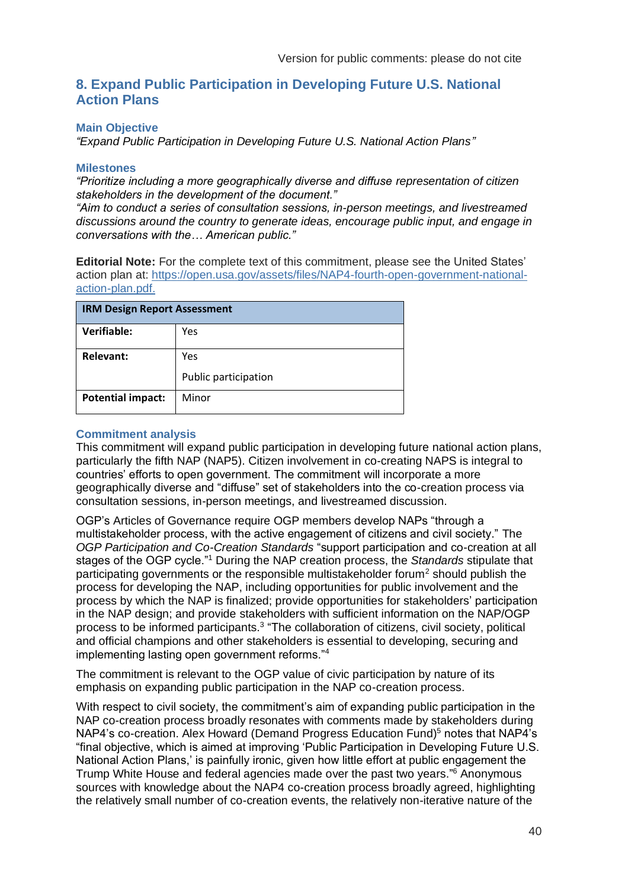### <span id="page-39-0"></span>**8. Expand Public Participation in Developing Future U.S. National Action Plans**

#### **Main Objective**

*"Expand Public Participation in Developing Future U.S. National Action Plans"* 

#### **Milestones**

*"Prioritize including a more geographically diverse and diffuse representation of citizen stakeholders in the development of the document."*

*"Aim to conduct a series of consultation sessions, in-person meetings, and livestreamed discussions around the country to generate ideas, encourage public input, and engage in conversations with the… American public."*

**Editorial Note:** For the complete text of this commitment, please see the United States' action plan at: [https://open.usa.gov/assets/files/NAP4-fourth-open-government-national](https://open.usa.gov/assets/files/NAP4-fourth-open-government-national-action-plan.pdf)[action-plan.pdf.](https://open.usa.gov/assets/files/NAP4-fourth-open-government-national-action-plan.pdf)

| <b>IRM Design Report Assessment</b> |                      |  |
|-------------------------------------|----------------------|--|
| Verifiable:                         | Yes                  |  |
| <b>Relevant:</b>                    | Yes                  |  |
|                                     | Public participation |  |
| <b>Potential impact:</b>            | Minor                |  |

#### **Commitment analysis**

This commitment will expand public participation in developing future national action plans, particularly the fifth NAP (NAP5). Citizen involvement in co-creating NAPS is integral to countries' efforts to open government. The commitment will incorporate a more geographically diverse and "diffuse" set of stakeholders into the co-creation process via consultation sessions, in-person meetings, and livestreamed discussion.

OGP's Articles of Governance require OGP members develop NAPs "through a multistakeholder process, with the active engagement of citizens and civil society." The *OGP Participation and Co-Creation Standards* "support participation and co-creation at all stages of the OGP cycle."<sup>1</sup> During the NAP creation process, the *Standards* stipulate that participating governments or the responsible multistakeholder forum<sup>2</sup> should publish the process for developing the NAP, including opportunities for public involvement and the process by which the NAP is finalized; provide opportunities for stakeholders' participation in the NAP design; and provide stakeholders with sufficient information on the NAP/OGP process to be informed participants.<sup>3</sup> "The collaboration of citizens, civil society, political and official champions and other stakeholders is essential to developing, securing and implementing lasting open government reforms."<sup>4</sup>

The commitment is relevant to the OGP value of civic participation by nature of its emphasis on expanding public participation in the NAP co-creation process.

With respect to civil society, the commitment's aim of expanding public participation in the NAP co-creation process broadly resonates with comments made by stakeholders during NAP4's co-creation. Alex Howard (Demand Progress Education Fund)<sup>5</sup> notes that NAP4's "final objective, which is aimed at improving 'Public Participation in Developing Future U.S. National Action Plans,' is painfully ironic, given how little effort at public engagement the Trump White House and federal agencies made over the past two years." <sup>6</sup> Anonymous sources with knowledge about the NAP4 co-creation process broadly agreed, highlighting the relatively small number of co-creation events, the relatively non-iterative nature of the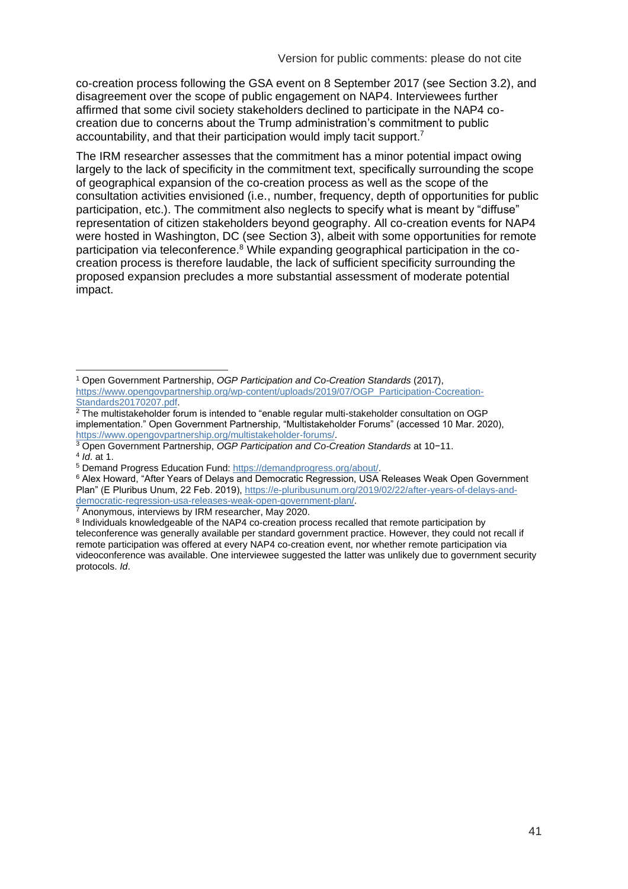co-creation process following the GSA event on 8 September 2017 (see Section 3.2), and disagreement over the scope of public engagement on NAP4. Interviewees further affirmed that some civil society stakeholders declined to participate in the NAP4 cocreation due to concerns about the Trump administration's commitment to public accountability, and that their participation would imply tacit support.<sup>7</sup>

The IRM researcher assesses that the commitment has a minor potential impact owing largely to the lack of specificity in the commitment text, specifically surrounding the scope of geographical expansion of the co-creation process as well as the scope of the consultation activities envisioned (i.e., number, frequency, depth of opportunities for public participation, etc.). The commitment also neglects to specify what is meant by "diffuse" representation of citizen stakeholders beyond geography. All co-creation events for NAP4 were hosted in Washington, DC (see Section 3), albeit with some opportunities for remote participation via teleconference.<sup>8</sup> While expanding geographical participation in the cocreation process is therefore laudable, the lack of sufficient specificity surrounding the proposed expansion precludes a more substantial assessment of moderate potential impact.

<sup>1</sup> Open Government Partnership, *OGP Participation and Co-Creation Standards* (2017), [https://www.opengovpartnership.org/wp-content/uploads/2019/07/OGP\\_Participation-Cocreation-](https://www.opengovpartnership.org/wp-content/uploads/2019/07/OGP_Participation-Cocreation-Standards20170207.pdf)[Standards20170207.pdf.](https://www.opengovpartnership.org/wp-content/uploads/2019/07/OGP_Participation-Cocreation-Standards20170207.pdf)

 $^2$  The multistakeholder forum is intended to "enable regular multi-stakeholder consultation on OGP implementation." Open Government Partnership, "Multistakeholder Forums" (accessed 10 Mar. 2020), [https://www.opengovpartnership.org/multistakeholder-forums/.](https://www.opengovpartnership.org/multistakeholder-forums/)

<sup>3</sup> Open Government Partnership, *OGP Participation and Co-Creation Standards* at 10−11. 4 *Id*. at 1.

<sup>5</sup> Demand Progress Education Fund: [https://demandprogress.org/about/.](https://demandprogress.org/about/)

<sup>6</sup> Alex Howard, "After Years of Delays and Democratic Regression, USA Releases Weak Open Government Plan" (E Pluribus Unum, 22 Feb. 2019), [https://e-pluribusunum.org/2019/02/22/after-years-of-delays-and](https://e-pluribusunum.org/2019/02/22/after-years-of-delays-and-democratic-regression-usa-releases-weak-open-government-plan/)[democratic-regression-usa-releases-weak-open-government-plan/.](https://e-pluribusunum.org/2019/02/22/after-years-of-delays-and-democratic-regression-usa-releases-weak-open-government-plan/)

<sup>&</sup>lt;sup>7</sup> Anonymous, interviews by IRM researcher, May 2020.

<sup>&</sup>lt;sup>8</sup> Individuals knowledgeable of the NAP4 co-creation process recalled that remote participation by teleconference was generally available per standard government practice. However, they could not recall if remote participation was offered at every NAP4 co-creation event, nor whether remote participation via videoconference was available. One interviewee suggested the latter was unlikely due to government security protocols. *Id*.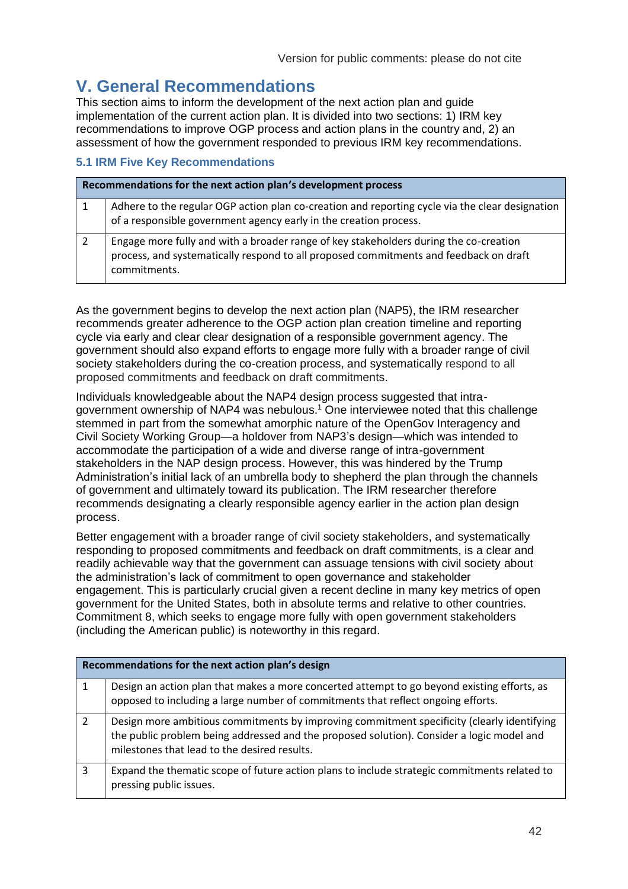# <span id="page-41-0"></span>**V. General Recommendations**

This section aims to inform the development of the next action plan and guide implementation of the current action plan. It is divided into two sections: 1) IRM key recommendations to improve OGP process and action plans in the country and, 2) an assessment of how the government responded to previous IRM key recommendations.

### **5.1 IRM Five Key Recommendations**

| Recommendations for the next action plan's development process |                                                                                                                                                                                                |  |
|----------------------------------------------------------------|------------------------------------------------------------------------------------------------------------------------------------------------------------------------------------------------|--|
| 1                                                              | Adhere to the regular OGP action plan co-creation and reporting cycle via the clear designation<br>of a responsible government agency early in the creation process.                           |  |
|                                                                | Engage more fully and with a broader range of key stakeholders during the co-creation<br>process, and systematically respond to all proposed commitments and feedback on draft<br>commitments. |  |

As the government begins to develop the next action plan (NAP5), the IRM researcher recommends greater adherence to the OGP action plan creation timeline and reporting cycle via early and clear clear designation of a responsible government agency. The government should also expand efforts to engage more fully with a broader range of civil society stakeholders during the co-creation process, and systematically respond to all proposed commitments and feedback on draft commitments.

Individuals knowledgeable about the NAP4 design process suggested that intragovernment ownership of NAP4 was nebulous.<sup>1</sup> One interviewee noted that this challenge stemmed in part from the somewhat amorphic nature of the OpenGov Interagency and Civil Society Working Group—a holdover from NAP3's design—which was intended to accommodate the participation of a wide and diverse range of intra-government stakeholders in the NAP design process. However, this was hindered by the Trump Administration's initial lack of an umbrella body to shepherd the plan through the channels of government and ultimately toward its publication. The IRM researcher therefore recommends designating a clearly responsible agency earlier in the action plan design process.

Better engagement with a broader range of civil society stakeholders, and systematically responding to proposed commitments and feedback on draft commitments, is a clear and readily achievable way that the government can assuage tensions with civil society about the administration's lack of commitment to open governance and stakeholder engagement. This is particularly crucial given a recent decline in many key metrics of open government for the United States, both in absolute terms and relative to other countries. Commitment 8, which seeks to engage more fully with open government stakeholders (including the American public) is noteworthy in this regard.

| Recommendations for the next action plan's design |                                                                                                                                                                                                                                         |  |
|---------------------------------------------------|-----------------------------------------------------------------------------------------------------------------------------------------------------------------------------------------------------------------------------------------|--|
|                                                   | Design an action plan that makes a more concerted attempt to go beyond existing efforts, as<br>opposed to including a large number of commitments that reflect ongoing efforts.                                                         |  |
| $\overline{2}$                                    | Design more ambitious commitments by improving commitment specificity (clearly identifying<br>the public problem being addressed and the proposed solution). Consider a logic model and<br>milestones that lead to the desired results. |  |
| 3                                                 | Expand the thematic scope of future action plans to include strategic commitments related to<br>pressing public issues.                                                                                                                 |  |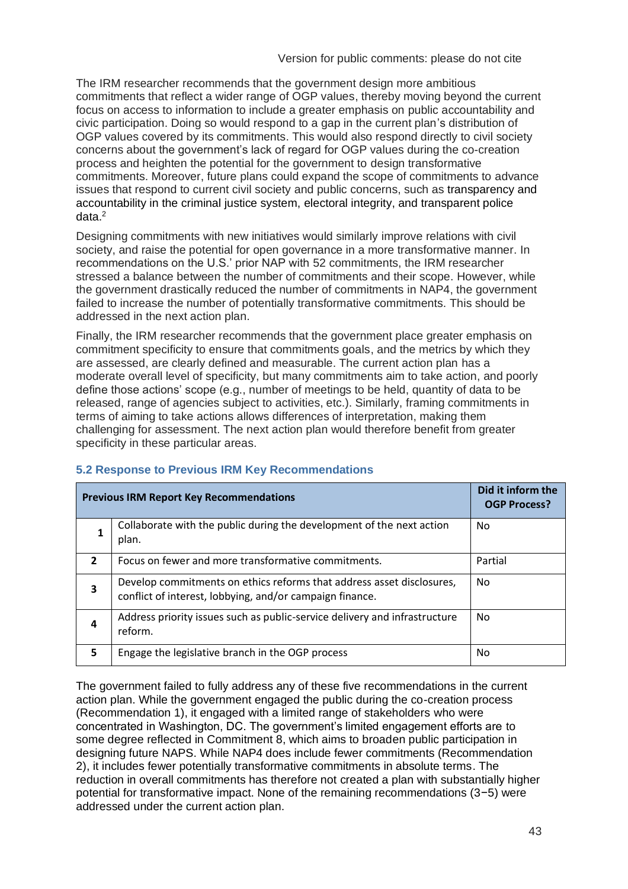The IRM researcher recommends that the government design more ambitious commitments that reflect a wider range of OGP values, thereby moving beyond the current focus on access to information to include a greater emphasis on public accountability and civic participation. Doing so would respond to a gap in the current plan's distribution of OGP values covered by its commitments. This would also respond directly to civil society concerns about the government's lack of regard for OGP values during the co-creation process and heighten the potential for the government to design transformative commitments. Moreover, future plans could expand the scope of commitments to advance issues that respond to current civil society and public concerns, such as transparency and accountability in the criminal justice system, electoral integrity, and transparent police  $data<sup>2</sup>$ 

Designing commitments with new initiatives would similarly improve relations with civil society, and raise the potential for open governance in a more transformative manner. In recommendations on the U.S.' prior NAP with 52 commitments, the IRM researcher stressed a balance between the number of commitments and their scope. However, while the government drastically reduced the number of commitments in NAP4, the government failed to increase the number of potentially transformative commitments. This should be addressed in the next action plan.

Finally, the IRM researcher recommends that the government place greater emphasis on commitment specificity to ensure that commitments goals, and the metrics by which they are assessed, are clearly defined and measurable. The current action plan has a moderate overall level of specificity, but many commitments aim to take action, and poorly define those actions' scope (e.g., number of meetings to be held, quantity of data to be released, range of agencies subject to activities, etc.). Similarly, framing commitments in terms of aiming to take actions allows differences of interpretation, making them challenging for assessment. The next action plan would therefore benefit from greater specificity in these particular areas.

| <b>Previous IRM Report Key Recommendations</b> |                                                                                                                                   | Did it inform the<br><b>OGP Process?</b> |
|------------------------------------------------|-----------------------------------------------------------------------------------------------------------------------------------|------------------------------------------|
|                                                | Collaborate with the public during the development of the next action<br>plan.                                                    | No.                                      |
| $\overline{2}$                                 | Focus on fewer and more transformative commitments.                                                                               | Partial                                  |
| 3                                              | Develop commitments on ethics reforms that address asset disclosures,<br>conflict of interest, lobbying, and/or campaign finance. | No.                                      |
| 4                                              | Address priority issues such as public-service delivery and infrastructure<br>reform.                                             | No.                                      |
| 5                                              | Engage the legislative branch in the OGP process                                                                                  | No.                                      |

#### **5.2 Response to Previous IRM Key Recommendations**

The government failed to fully address any of these five recommendations in the current action plan. While the government engaged the public during the co-creation process (Recommendation 1), it engaged with a limited range of stakeholders who were concentrated in Washington, DC. The government's limited engagement efforts are to some degree reflected in Commitment 8, which aims to broaden public participation in designing future NAPS. While NAP4 does include fewer commitments (Recommendation 2), it includes fewer potentially transformative commitments in absolute terms. The reduction in overall commitments has therefore not created a plan with substantially higher potential for transformative impact. None of the remaining recommendations (3−5) were addressed under the current action plan.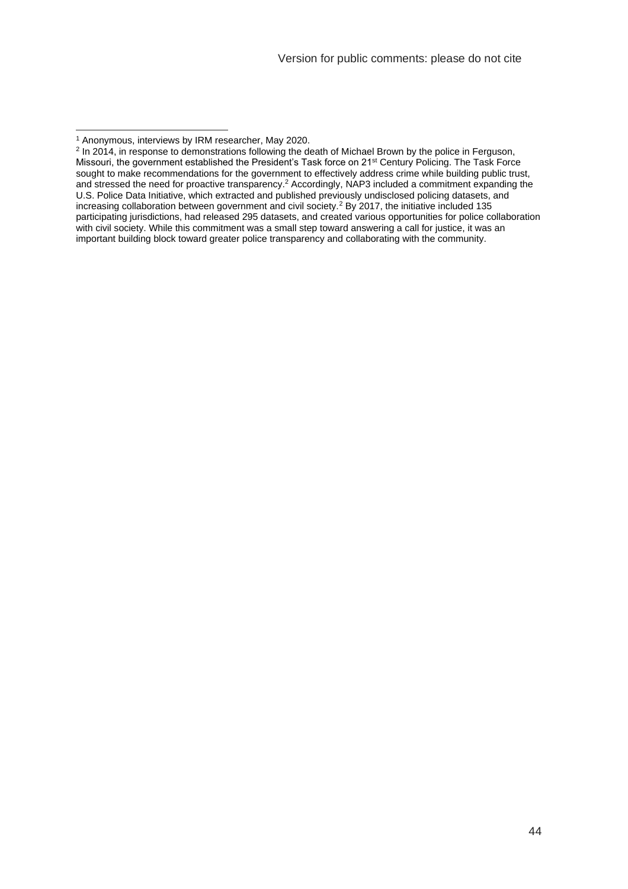<sup>1</sup> Anonymous, interviews by IRM researcher, May 2020.

<sup>&</sup>lt;sup>2</sup> In 2014, in response to demonstrations following the death of Michael Brown by the police in Ferguson, Missouri, the government established the President's Task force on 21st Century Policing. The Task Force sought to make recommendations for the government to effectively address crime while building public trust, and stressed the need for proactive transparency.<sup>2</sup> Accordingly, NAP3 included a commitment expanding the U.S. Police Data Initiative, which extracted and published previously undisclosed policing datasets, and increasing collaboration between government and civil society.<sup>2</sup> By 2017, the initiative included 135 participating jurisdictions, had released 295 datasets, and created various opportunities for police collaboration with civil society. While this commitment was a small step toward answering a call for justice, it was an important building block toward greater police transparency and collaborating with the community.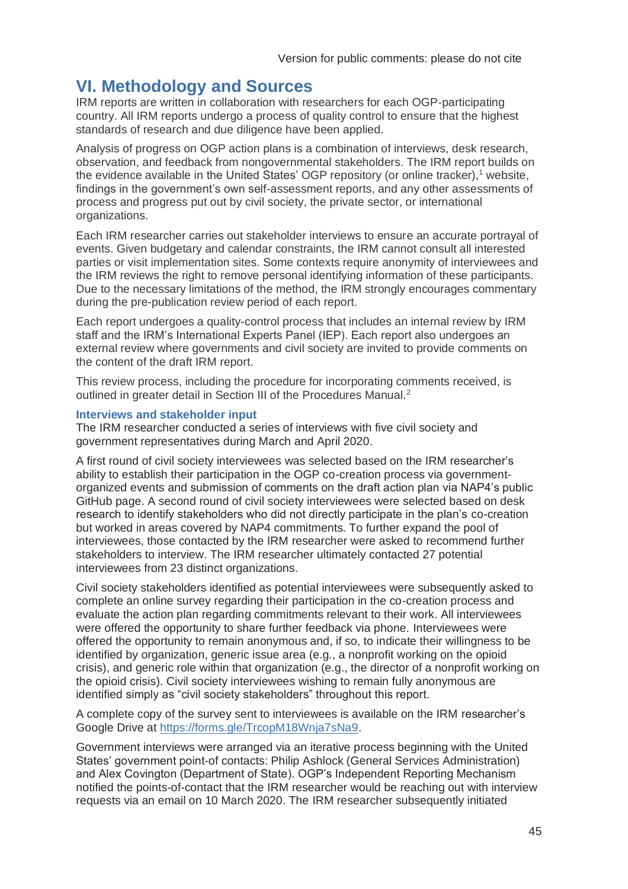# <span id="page-44-0"></span>**VI. Methodology and Sources**

IRM reports are written in collaboration with researchers for each OGP-participating country. All IRM reports undergo a process of quality control to ensure that the highest standards of research and due diligence have been applied.

Analysis of progress on OGP action plans is a combination of interviews, desk research, observation, and feedback from nongovernmental stakeholders. The IRM report builds on the evidence available in the United States' OGP repository (or online tracker), $1$  website, findings in the government's own self-assessment reports, and any other assessments of process and progress put out by civil society, the private sector, or international organizations.

Each IRM researcher carries out stakeholder interviews to ensure an accurate portrayal of events. Given budgetary and calendar constraints, the IRM cannot consult all interested parties or visit implementation sites. Some contexts require anonymity of interviewees and the IRM reviews the right to remove personal identifying information of these participants. Due to the necessary limitations of the method, the IRM strongly encourages commentary during the pre-publication review period of each report.

Each report undergoes a quality-control process that includes an internal review by IRM staff and the IRM's International Experts Panel (IEP). Each report also undergoes an external review where governments and civil society are invited to provide comments on the content of the draft IRM report.

This review process, including the procedure for incorporating comments received, is outlined in greater detail in Section III of the Procedures Manual.<sup>2</sup>

#### **Interviews and stakeholder input**

The IRM researcher conducted a series of interviews with five civil society and government representatives during March and April 2020.

A first round of civil society interviewees was selected based on the IRM researcher's ability to establish their participation in the OGP co-creation process via governmentorganized events and submission of comments on the draft action plan via NAP4's public GitHub page. A second round of civil society interviewees were selected based on desk research to identify stakeholders who did not directly participate in the plan's co-creation but worked in areas covered by NAP4 commitments. To further expand the pool of interviewees, those contacted by the IRM researcher were asked to recommend further stakeholders to interview. The IRM researcher ultimately contacted 27 potential interviewees from 23 distinct organizations.

Civil society stakeholders identified as potential interviewees were subsequently asked to complete an online survey regarding their participation in the co-creation process and evaluate the action plan regarding commitments relevant to their work. All interviewees were offered the opportunity to share further feedback via phone. Interviewees were offered the opportunity to remain anonymous and, if so, to indicate their willingness to be identified by organization, generic issue area (e.g., a nonprofit working on the opioid crisis), and generic role within that organization (e.g., the director of a nonprofit working on the opioid crisis). Civil society interviewees wishing to remain fully anonymous are identified simply as "civil society stakeholders" throughout this report.

A complete copy of the survey sent to interviewees is available on the IRM researcher's Google Drive at [https://forms.gle/TrcopM18Wnja7sNa9.](https://forms.gle/TrcopM18Wnja7sNa9)

Government interviews were arranged via an iterative process beginning with the United States' government point-of contacts: Philip Ashlock (General Services Administration) and Alex Covington (Department of State). OGP's Independent Reporting Mechanism notified the points-of-contact that the IRM researcher would be reaching out with interview requests via an email on 10 March 2020. The IRM researcher subsequently initiated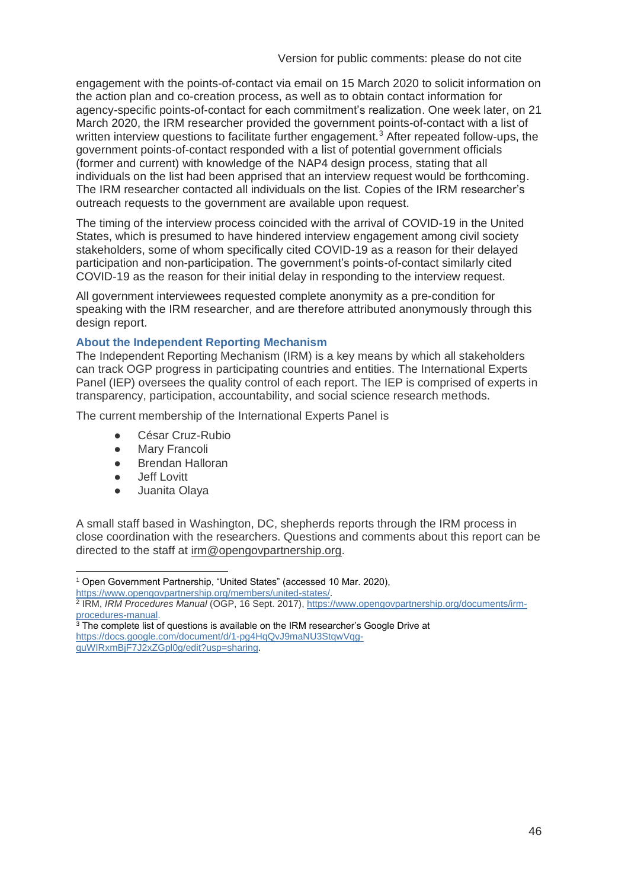engagement with the points-of-contact via email on 15 March 2020 to solicit information on the action plan and co-creation process, as well as to obtain contact information for agency-specific points-of-contact for each commitment's realization. One week later, on 21 March 2020, the IRM researcher provided the government points-of-contact with a list of written interview questions to facilitate further engagement.<sup>3</sup> After repeated follow-ups, the government points-of-contact responded with a list of potential government officials (former and current) with knowledge of the NAP4 design process, stating that all individuals on the list had been apprised that an interview request would be forthcoming. The IRM researcher contacted all individuals on the list. Copies of the IRM researcher's outreach requests to the government are available upon request.

The timing of the interview process coincided with the arrival of COVID-19 in the United States, which is presumed to have hindered interview engagement among civil society stakeholders, some of whom specifically cited COVID-19 as a reason for their delayed participation and non-participation. The government's points-of-contact similarly cited COVID-19 as the reason for their initial delay in responding to the interview request.

All government interviewees requested complete anonymity as a pre-condition for speaking with the IRM researcher, and are therefore attributed anonymously through this design report.

#### **About the Independent Reporting Mechanism**

The Independent Reporting Mechanism (IRM) is a key means by which all stakeholders can track OGP progress in participating countries and entities. The International Experts Panel (IEP) oversees the quality control of each report. The IEP is comprised of experts in transparency, participation, accountability, and social science research methods.

The current membership of the International Experts Panel is

- César Cruz-Rubio
- Mary Francoli
- Brendan Halloran
- Jeff Lovitt
- Juanita Olaya

A small staff based in Washington, DC, shepherds reports through the IRM process in close coordination with the researchers. Questions and comments about this report can be directed to the staff at [irm@opengovpartnership.org.](mailto:irm@opengovpartnership.org)

<sup>1</sup> Open Government Partnership, "United States" (accessed 10 Mar. 2020),

[https://www.opengovpartnership.org/members/united-states/.](https://www.opengovpartnership.org/members/united-states/) 2 IRM, *IRM Procedures Manual* (OGP, 16 Sept. 2017), [https://www.opengovpartnership.org/documents/irm](https://www.opengovpartnership.org/documents/irm-procedures-manual)[procedures-manual.](https://www.opengovpartnership.org/documents/irm-procedures-manual)

 $3$  The complete list of questions is available on the IRM researcher's Google Drive at [https://docs.google.com/document/d/1-pg4HqQvJ9maNU3StqwVqg](https://docs.google.com/document/d/1-pg4HqQvJ9maNU3StqwVqg-quWIRxmBjF7J2xZGpl0g/edit?usp=sharing)[quWIRxmBjF7J2xZGpl0g/edit?usp=sharing.](https://docs.google.com/document/d/1-pg4HqQvJ9maNU3StqwVqg-quWIRxmBjF7J2xZGpl0g/edit?usp=sharing)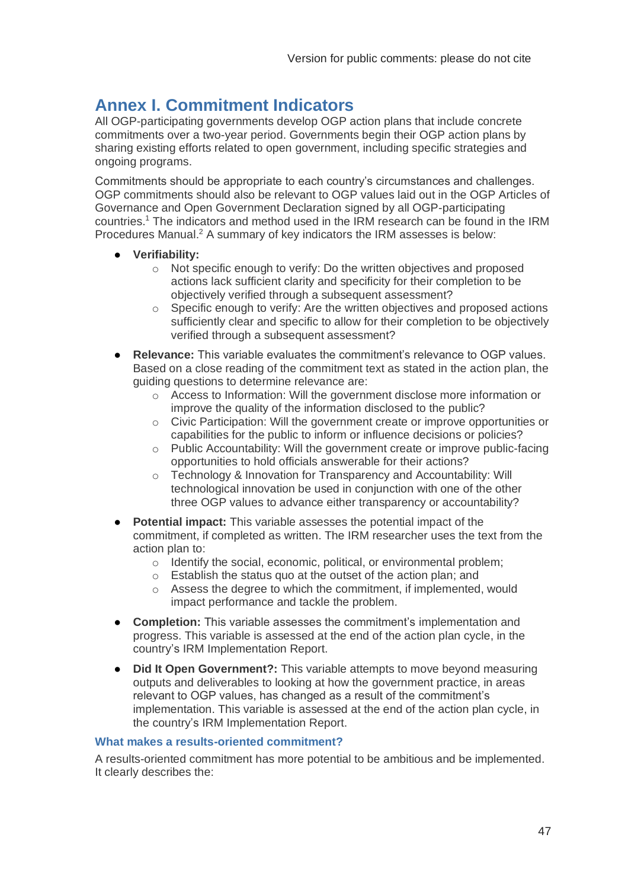# <span id="page-46-0"></span>**Annex I. Commitment Indicators**

All OGP-participating governments develop OGP action plans that include concrete commitments over a two-year period. Governments begin their OGP action plans by sharing existing efforts related to open government, including specific strategies and ongoing programs.

Commitments should be appropriate to each country's circumstances and challenges. OGP commitments should also be relevant to OGP values laid out in the OGP Articles of Governance and Open Government Declaration signed by all OGP-participating countries.<sup>1</sup> The indicators and method used in the IRM research can be found in the IRM Procedures Manual.<sup>2</sup> A summary of key indicators the IRM assesses is below:

- **Verifiability:**
	- o Not specific enough to verify: Do the written objectives and proposed actions lack sufficient clarity and specificity for their completion to be objectively verified through a subsequent assessment?
	- $\circ$  Specific enough to verify: Are the written objectives and proposed actions sufficiently clear and specific to allow for their completion to be objectively verified through a subsequent assessment?
- **Relevance:** This variable evaluates the commitment's relevance to OGP values. Based on a close reading of the commitment text as stated in the action plan, the guiding questions to determine relevance are:
	- o Access to Information: Will the government disclose more information or improve the quality of the information disclosed to the public?
	- o Civic Participation: Will the government create or improve opportunities or capabilities for the public to inform or influence decisions or policies?
	- o Public Accountability: Will the government create or improve public-facing opportunities to hold officials answerable for their actions?
	- o Technology & Innovation for Transparency and Accountability: Will technological innovation be used in conjunction with one of the other three OGP values to advance either transparency or accountability?
- **Potential impact:** This variable assesses the potential impact of the commitment, if completed as written. The IRM researcher uses the text from the action plan to:
	- o Identify the social, economic, political, or environmental problem;
	- o Establish the status quo at the outset of the action plan; and
	- o Assess the degree to which the commitment, if implemented, would impact performance and tackle the problem.
- **Completion:** This variable assesses the commitment's implementation and progress. This variable is assessed at the end of the action plan cycle, in the country's IRM Implementation Report.
- **Did It Open Government?:** This variable attempts to move beyond measuring outputs and deliverables to looking at how the government practice, in areas relevant to OGP values, has changed as a result of the commitment's implementation. This variable is assessed at the end of the action plan cycle, in the country's IRM Implementation Report.

#### **What makes a results-oriented commitment?**

A results-oriented commitment has more potential to be ambitious and be implemented. It clearly describes the: